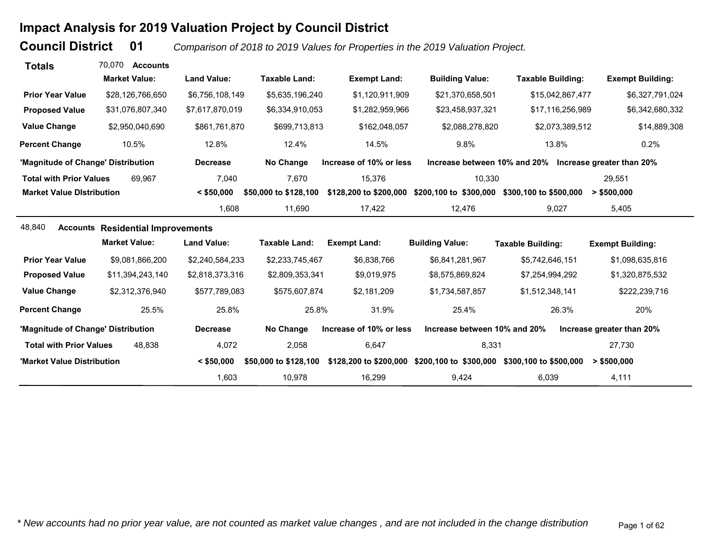# **Impact Analysis for 2019 Valuation Project by Council District**

**Council District**

 **01***Comparison of 2018 to 2019 Values for Properties in the 2019 Valuation Project.* 

| <b>Totals</b>                      | 70.070<br><b>Accounts</b>                |                    |                       |                         |                              |                                                        |                           |
|------------------------------------|------------------------------------------|--------------------|-----------------------|-------------------------|------------------------------|--------------------------------------------------------|---------------------------|
|                                    | <b>Market Value:</b>                     | <b>Land Value:</b> | <b>Taxable Land:</b>  | <b>Exempt Land:</b>     | <b>Building Value:</b>       | <b>Taxable Building:</b>                               | <b>Exempt Building:</b>   |
| <b>Prior Year Value</b>            | \$28,126,766,650                         | \$6,756,108,149    | \$5,635,196,240       | \$1,120,911,909         | \$21,370,658,501             | \$15,042,867,477                                       | \$6,327,791,024           |
| <b>Proposed Value</b>              | \$31,076,807,340                         | \$7,617,870,019    | \$6,334,910,053       | \$1,282,959,966         | \$23,458,937,321             | \$17,116,256,989                                       | \$6,342,680,332           |
| <b>Value Change</b>                | \$2,950,040,690                          | \$861,761,870      | \$699,713,813         | \$162,048,057           | \$2,088,278,820              | \$2,073,389,512                                        | \$14,889,308              |
| <b>Percent Change</b>              | 10.5%                                    | 12.8%              | 12.4%                 | 14.5%                   | 9.8%                         | 13.8%                                                  | 0.2%                      |
| 'Magnitude of Change' Distribution |                                          | <b>Decrease</b>    | No Change             | Increase of 10% or less |                              | Increase between 10% and 20% Increase greater than 20% |                           |
| <b>Total with Prior Values</b>     | 69.967                                   | 7,040              | 7,670                 | 15,376                  | 10,330                       |                                                        | 29,551                    |
| <b>Market Value Distribution</b>   |                                          | $<$ \$50,000       | \$50,000 to \$128,100 | \$128,200 to \$200,000  | \$200,100 to \$300,000       | \$300,100 to \$500,000                                 | $>$ \$500,000             |
|                                    |                                          | 1,608              | 11,690                | 17,422                  | 12,476                       | 9,027                                                  | 5,405                     |
| 48,840                             | <b>Accounts Residential Improvements</b> |                    |                       |                         |                              |                                                        |                           |
|                                    | <b>Market Value:</b>                     | <b>Land Value:</b> | <b>Taxable Land:</b>  | <b>Exempt Land:</b>     | <b>Building Value:</b>       | <b>Taxable Building:</b>                               | <b>Exempt Building:</b>   |
| <b>Prior Year Value</b>            | \$9,081,866,200                          | \$2,240,584,233    | \$2,233,745,467       | \$6,838,766             | \$6,841,281,967              | \$5,742,646,151                                        | \$1,098,635,816           |
| <b>Proposed Value</b>              | \$11,394,243,140                         | \$2,818,373,316    | \$2,809,353,341       | \$9,019,975             | \$8,575,869,824              | \$7,254,994,292                                        | \$1,320,875,532           |
| <b>Value Change</b>                | \$2,312,376,940                          | \$577,789,083      | \$575,607,874         | \$2,181,209             | \$1,734,587,857              | \$1,512,348,141                                        | \$222,239,716             |
| <b>Percent Change</b>              | 25.5%                                    | 25.8%              | 25.8%                 | 31.9%                   | 25.4%                        | 26.3%                                                  | 20%                       |
| 'Magnitude of Change' Distribution |                                          | <b>Decrease</b>    | No Change             | Increase of 10% or less | Increase between 10% and 20% |                                                        | Increase greater than 20% |
| <b>Total with Prior Values</b>     | 48.838                                   | 4,072              | 2,058                 | 6,647                   | 8,331                        |                                                        | 27,730                    |
| 'Market Value Distribution         |                                          | $<$ \$50,000       | \$50,000 to \$128,100 | \$128,200 to \$200,000  |                              | \$200,100 to \$300,000 \$300,100 to \$500,000          | $>$ \$500,000             |
|                                    |                                          | 1,603              | 10,978                | 16,299                  | 9,424                        | 6,039                                                  | 4,111                     |

*\* New accounts had no prior year value, are not counted as market value changes , and are not included in the change distribution* Page 1 of 62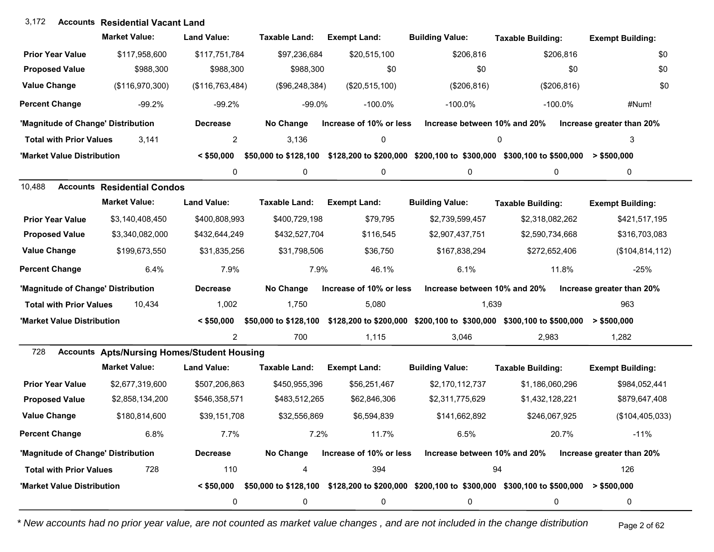## **Accounts** 3,172 **Residential Vacant Land**

|                                    | <b>Market Value:</b>                               | <b>Land Value:</b> | <b>Taxable Land:</b> | <b>Exempt Land:</b>     | <b>Building Value:</b>       | <b>Taxable Building:</b>                                                                                               | <b>Exempt Building:</b>   |
|------------------------------------|----------------------------------------------------|--------------------|----------------------|-------------------------|------------------------------|------------------------------------------------------------------------------------------------------------------------|---------------------------|
| <b>Prior Year Value</b>            | \$117,958,600                                      | \$117,751,784      | \$97,236,684         | \$20,515,100            | \$206,816                    | \$206,816                                                                                                              | \$0                       |
| <b>Proposed Value</b>              | \$988,300                                          | \$988,300          | \$988,300            | \$0                     | \$0                          | \$0                                                                                                                    | \$0                       |
| <b>Value Change</b>                | (\$116,970,300)                                    | (\$116,763,484)    | (\$96,248,384)       | (\$20,515,100)          | (\$206, 816)                 | (\$206, 816)                                                                                                           | \$0                       |
| <b>Percent Change</b>              | $-99.2%$                                           | $-99.2%$           | $-99.0%$             | $-100.0\%$              | $-100.0\%$                   | $-100.0\%$                                                                                                             | #Num!                     |
| 'Magnitude of Change' Distribution |                                                    | <b>Decrease</b>    | No Change            | Increase of 10% or less | Increase between 10% and 20% |                                                                                                                        | Increase greater than 20% |
| <b>Total with Prior Values</b>     | 3,141                                              | 2                  | 3,136                | 0                       |                              | 0                                                                                                                      | 3                         |
| 'Market Value Distribution         |                                                    | $<$ \$50,000       |                      |                         |                              | \$50,000 to \$128,100 \$128,200 to \$200,000 \$200,100 to \$300,000 \$300,100 to \$500,000 > \$500,000                 |                           |
|                                    |                                                    | 0                  | 0                    | 0                       | 0                            | 0                                                                                                                      | 0                         |
| 10,488                             | <b>Accounts Residential Condos</b>                 |                    |                      |                         |                              |                                                                                                                        |                           |
|                                    | <b>Market Value:</b>                               | <b>Land Value:</b> | <b>Taxable Land:</b> | <b>Exempt Land:</b>     | <b>Building Value:</b>       | <b>Taxable Building:</b>                                                                                               | <b>Exempt Building:</b>   |
| <b>Prior Year Value</b>            | \$3,140,408,450                                    | \$400,808,993      | \$400,729,198        | \$79,795                | \$2,739,599,457              | \$2,318,082,262                                                                                                        | \$421,517,195             |
| <b>Proposed Value</b>              | \$3,340,082,000                                    | \$432,644,249      | \$432,527,704        | \$116,545               | \$2,907,437,751              | \$2,590,734,668                                                                                                        | \$316,703,083             |
| <b>Value Change</b>                | \$199,673,550                                      | \$31,835,256       | \$31,798,506         | \$36,750                | \$167,838,294                | \$272,652,406                                                                                                          | (\$104, 814, 112)         |
| <b>Percent Change</b>              | 6.4%                                               | 7.9%               | 7.9%                 | 46.1%                   | 6.1%                         | 11.8%                                                                                                                  | $-25%$                    |
| 'Magnitude of Change' Distribution |                                                    | <b>Decrease</b>    | No Change            | Increase of 10% or less | Increase between 10% and 20% |                                                                                                                        | Increase greater than 20% |
| <b>Total with Prior Values</b>     | 10,434                                             | 1,002              | 1,750                | 5,080                   | 1,639                        |                                                                                                                        | 963                       |
| 'Market Value Distribution         |                                                    | $<$ \$50,000       |                      |                         |                              | \$50,000 to \$128,100 \$128,200 to \$200,000 \$200,100 to \$300,000 \$300,100 to \$500,000                             | > \$500,000               |
|                                    |                                                    | $\overline{2}$     | 700                  | 1,115                   | 3,046                        | 2,983                                                                                                                  | 1,282                     |
| 728                                | <b>Accounts Apts/Nursing Homes/Student Housing</b> |                    |                      |                         |                              |                                                                                                                        |                           |
|                                    | <b>Market Value:</b>                               | <b>Land Value:</b> | <b>Taxable Land:</b> | <b>Exempt Land:</b>     | <b>Building Value:</b>       | <b>Taxable Building:</b>                                                                                               | <b>Exempt Building:</b>   |
| <b>Prior Year Value</b>            | \$2,677,319,600                                    | \$507,206,863      | \$450,955,396        | \$56,251,467            | \$2,170,112,737              | \$1,186,060,296                                                                                                        | \$984,052,441             |
| <b>Proposed Value</b>              | \$2,858,134,200                                    | \$546,358,571      | \$483,512,265        | \$62,846,306            | \$2,311,775,629              | \$1,432,128,221                                                                                                        | \$879,647,408             |
| <b>Value Change</b>                | \$180,814,600                                      | \$39,151,708       | \$32,556,869         | \$6,594,839             | \$141,662,892                | \$246,067,925                                                                                                          | (\$104,405,033)           |
| <b>Percent Change</b>              | 6.8%                                               | 7.7%               | 7.2%                 | 11.7%                   | 6.5%                         | 20.7%                                                                                                                  | $-11%$                    |
| 'Magnitude of Change' Distribution |                                                    | <b>Decrease</b>    | No Change            | Increase of 10% or less | Increase between 10% and 20% |                                                                                                                        | Increase greater than 20% |
| <b>Total with Prior Values</b>     | 728                                                | 110                | 4                    | 394                     |                              | 94                                                                                                                     | 126                       |
| 'Market Value Distribution         |                                                    |                    |                      |                         |                              | $\leq$ \$50,000 \$50,000 to \$128,100 \$128,200 to \$200,000 \$200,100 to \$300,000 \$300,100 to \$500,000 > \$500,000 |                           |
|                                    |                                                    | 0                  | 0                    | 0                       | 0                            | 0                                                                                                                      | 0                         |

*\* New accounts had no prior year value, are not counted as market value changes , and are not included in the change distribution* Page 2 of 62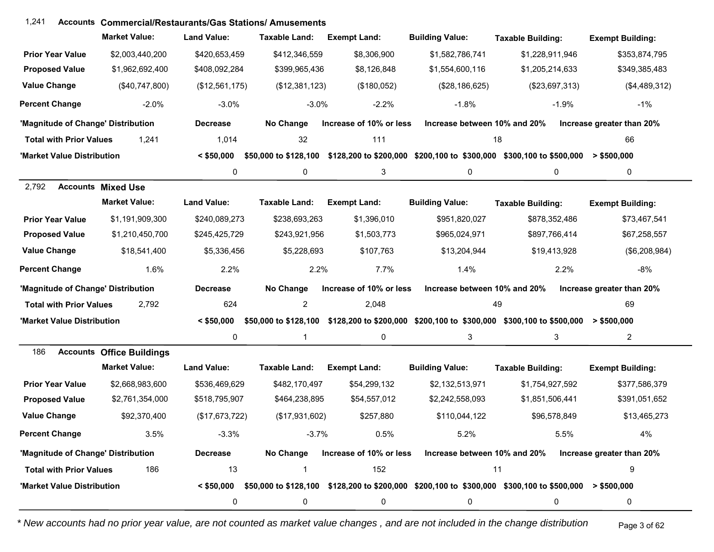| 1,241                              | <b>Accounts Commercial/Restaurants/Gas Stations/ Amusements</b> |                    |                         |                         |                              |                                                                                                                 |                           |
|------------------------------------|-----------------------------------------------------------------|--------------------|-------------------------|-------------------------|------------------------------|-----------------------------------------------------------------------------------------------------------------|---------------------------|
|                                    | <b>Market Value:</b>                                            | <b>Land Value:</b> | Taxable Land:           | <b>Exempt Land:</b>     | <b>Building Value:</b>       | <b>Taxable Building:</b>                                                                                        | <b>Exempt Building:</b>   |
| <b>Prior Year Value</b>            | \$2,003,440,200                                                 | \$420,653,459      | \$412,346,559           | \$8,306,900             | \$1,582,786,741              | \$1,228,911,946                                                                                                 | \$353,874,795             |
| <b>Proposed Value</b>              | \$1,962,692,400                                                 | \$408,092,284      | \$399,965,436           | \$8,126,848             | \$1,554,600,116              | \$1,205,214,633                                                                                                 | \$349,385,483             |
| <b>Value Change</b>                | (\$40,747,800)                                                  | (\$12,561,175)     | (\$12,381,123)          | (\$180,052)             | (\$28,186,625)               | (\$23,697,313)                                                                                                  | (\$4,489,312)             |
| <b>Percent Change</b>              | $-2.0%$                                                         | $-3.0%$            | $-3.0%$                 | $-2.2%$                 | $-1.8%$                      | $-1.9%$                                                                                                         | $-1\%$                    |
| 'Magnitude of Change' Distribution |                                                                 | <b>Decrease</b>    | No Change               | Increase of 10% or less | Increase between 10% and 20% |                                                                                                                 | Increase greater than 20% |
| <b>Total with Prior Values</b>     | 1,241                                                           | 1,014              | 32                      | 111                     | 18                           |                                                                                                                 | 66                        |
| 'Market Value Distribution         |                                                                 | $<$ \$50,000       |                         |                         |                              | \$50,000 to \$128,100 \$128,200 to \$200,000 \$200,100 to \$300,000 \$300,100 to \$500,000                      | $>$ \$500,000             |
|                                    |                                                                 | 0                  | $\mathbf 0$             | 3                       | 0                            | 0                                                                                                               | 0                         |
| 2,792                              | <b>Accounts Mixed Use</b>                                       |                    |                         |                         |                              |                                                                                                                 |                           |
|                                    | <b>Market Value:</b>                                            | <b>Land Value:</b> | <b>Taxable Land:</b>    | <b>Exempt Land:</b>     | <b>Building Value:</b>       | <b>Taxable Building:</b>                                                                                        | <b>Exempt Building:</b>   |
| <b>Prior Year Value</b>            | \$1,191,909,300                                                 | \$240,089,273      | \$238,693,263           | \$1,396,010             | \$951,820,027                | \$878,352,486                                                                                                   | \$73,467,541              |
| <b>Proposed Value</b>              | \$1,210,450,700                                                 | \$245,425,729      | \$243,921,956           | \$1,503,773             | \$965,024,971                | \$897,766,414                                                                                                   | \$67,258,557              |
| <b>Value Change</b>                | \$18,541,400                                                    | \$5,336,456        | \$5,228,693             | \$107,763               | \$13,204,944                 | \$19,413,928                                                                                                    | (\$6,208,984)             |
| <b>Percent Change</b>              | 1.6%                                                            | 2.2%               | 2.2%                    | 7.7%                    | 1.4%                         | 2.2%                                                                                                            | $-8%$                     |
| 'Magnitude of Change' Distribution |                                                                 | <b>Decrease</b>    | No Change               | Increase of 10% or less | Increase between 10% and 20% |                                                                                                                 | Increase greater than 20% |
| <b>Total with Prior Values</b>     | 2,792                                                           | 624                | $\overline{2}$          | 2,048                   | 49                           |                                                                                                                 | 69                        |
| 'Market Value Distribution         |                                                                 | $<$ \$50,000       | \$50,000 to \$128,100   |                         |                              | \$128,200 to \$200,000 \$200,100 to \$300,000 \$300,100 to \$500,000                                            | > \$500,000               |
|                                    |                                                                 | 0                  | $\overline{1}$          | 0                       | 3                            | 3                                                                                                               | $\overline{2}$            |
| 186                                | <b>Accounts Office Buildings</b>                                |                    |                         |                         |                              |                                                                                                                 |                           |
|                                    | <b>Market Value:</b>                                            | <b>Land Value:</b> | Taxable Land:           | <b>Exempt Land:</b>     | <b>Building Value:</b>       | <b>Taxable Building:</b>                                                                                        | <b>Exempt Building:</b>   |
| <b>Prior Year Value</b>            | \$2,668,983,600                                                 | \$536,469,629      | \$482,170,497           | \$54,299,132            | \$2,132,513,971              | \$1,754,927,592                                                                                                 | \$377,586,379             |
| <b>Proposed Value</b>              | \$2,761,354,000                                                 | \$518,795,907      | \$464,238,895           | \$54,557,012            | \$2,242,558,093              | \$1,851,506,441                                                                                                 | \$391,051,652             |
| <b>Value Change</b>                | \$92,370,400                                                    | (\$17,673,722)     | (\$17,931,602)          | \$257,880               | \$110,044,122                | \$96,578,849                                                                                                    | \$13,465,273              |
| <b>Percent Change</b>              | 3.5%                                                            | $-3.3%$            | $-3.7%$                 | 0.5%                    | 5.2%                         | 5.5%                                                                                                            | 4%                        |
| 'Magnitude of Change' Distribution |                                                                 | <b>Decrease</b>    | No Change               | Increase of 10% or less | Increase between 10% and 20% |                                                                                                                 | Increase greater than 20% |
| <b>Total with Prior Values</b>     | 186                                                             | 13                 | $\overline{\mathbf{1}}$ | 152                     | 11                           |                                                                                                                 | 9                         |
| 'Market Value Distribution         |                                                                 | $<$ \$50,000       |                         |                         |                              | $$50,000$ to $$128,100$ $$128,200$ to $$200,000$ $$200,100$ to $$300,000$ $$300,100$ to $$500,000$ > $$500,000$ |                           |
|                                    |                                                                 | 0                  | 0                       | 0                       | 0                            | 0                                                                                                               | 0                         |

*\* New accounts had no prior year value, are not counted as market value changes , and are not included in the change distribution* Page 3 of 62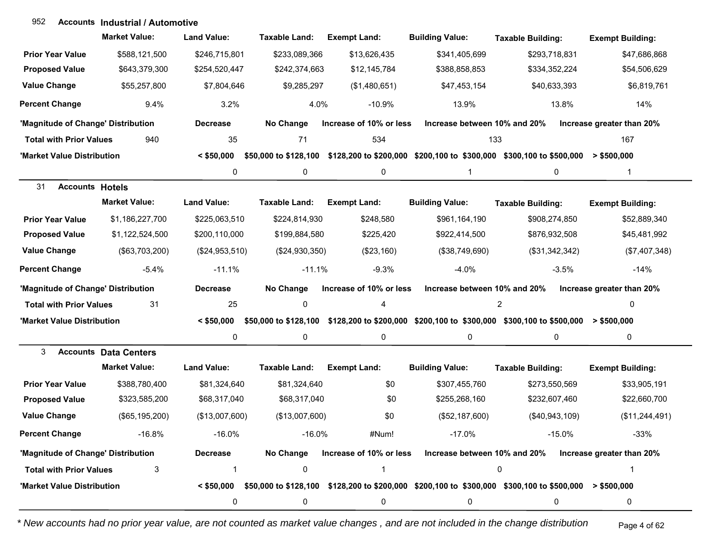### **Accounts** 952 **Industrial / Automotive**

|                                    | <b>Market Value:</b>         | <b>Land Value:</b> | <b>Taxable Land:</b> | <b>Exempt Land:</b>     | <b>Building Value:</b>                                                                                                                               | <b>Taxable Building:</b> | <b>Exempt Building:</b>   |
|------------------------------------|------------------------------|--------------------|----------------------|-------------------------|------------------------------------------------------------------------------------------------------------------------------------------------------|--------------------------|---------------------------|
| <b>Prior Year Value</b>            | \$588,121,500                | \$246,715,801      | \$233,089,366        | \$13,626,435            | \$341,405,699                                                                                                                                        | \$293,718,831            | \$47,686,868              |
| <b>Proposed Value</b>              | \$643,379,300                | \$254,520,447      | \$242,374,663        | \$12,145,784            | \$388,858,853                                                                                                                                        | \$334,352,224            | \$54,506,629              |
| <b>Value Change</b>                | \$55,257,800                 | \$7,804,646        | \$9,285,297          | (\$1,480,651)           | \$47,453,154                                                                                                                                         | \$40,633,393             | \$6,819,761               |
| <b>Percent Change</b>              | 9.4%                         | 3.2%               | 4.0%                 | $-10.9%$                | 13.9%                                                                                                                                                | 13.8%                    | 14%                       |
| 'Magnitude of Change' Distribution |                              | <b>Decrease</b>    | No Change            | Increase of 10% or less | Increase between 10% and 20%                                                                                                                         |                          | Increase greater than 20% |
| <b>Total with Prior Values</b>     | 940                          | 35                 | 71                   | 534                     | 133                                                                                                                                                  |                          | 167                       |
| 'Market Value Distribution         |                              | $<$ \$50,000       |                      |                         | \$50,000 to \$128,100 \$128,200 to \$200,000 \$200,100 to \$300,000 \$300,100 to \$500,000 > \$500,000                                               |                          |                           |
|                                    |                              | 0                  | 0                    | 0                       | $\mathbf{1}$                                                                                                                                         | $\mathbf 0$              | $\mathbf{1}$              |
| 31<br><b>Accounts Hotels</b>       |                              |                    |                      |                         |                                                                                                                                                      |                          |                           |
|                                    | <b>Market Value:</b>         | <b>Land Value:</b> | <b>Taxable Land:</b> | <b>Exempt Land:</b>     | <b>Building Value:</b>                                                                                                                               | <b>Taxable Building:</b> | <b>Exempt Building:</b>   |
| <b>Prior Year Value</b>            | \$1,186,227,700              | \$225,063,510      | \$224,814,930        | \$248,580               | \$961,164,190                                                                                                                                        | \$908,274,850            | \$52,889,340              |
| <b>Proposed Value</b>              | \$1,122,524,500              | \$200,110,000      | \$199,884,580        | \$225,420               | \$922,414,500                                                                                                                                        | \$876,932,508            | \$45,481,992              |
| <b>Value Change</b>                | (\$63,703,200)               | (\$24,953,510)     | (\$24,930,350)       | (\$23,160)              | (\$38,749,690)                                                                                                                                       | (\$31,342,342)           | (\$7,407,348)             |
| <b>Percent Change</b>              | $-5.4%$                      | $-11.1%$           | $-11.1%$             | $-9.3%$                 | $-4.0%$                                                                                                                                              | $-3.5%$                  | $-14%$                    |
| 'Magnitude of Change' Distribution |                              | <b>Decrease</b>    | No Change            | Increase of 10% or less | Increase between 10% and 20%                                                                                                                         |                          | Increase greater than 20% |
| <b>Total with Prior Values</b>     | 31                           | 25                 | 0                    | 4                       |                                                                                                                                                      | 2                        | 0                         |
| 'Market Value Distribution         |                              | $<$ \$50,000       |                      |                         | \$50,000 to \$128,100 \$128,200 to \$200,000 \$200,100 to \$300,000 \$300,100 to \$500,000                                                           |                          | $>$ \$500,000             |
|                                    |                              | 0                  | 0                    | 0                       | 0                                                                                                                                                    | 0                        | 0                         |
| 3                                  | <b>Accounts Data Centers</b> |                    |                      |                         |                                                                                                                                                      |                          |                           |
|                                    | <b>Market Value:</b>         | <b>Land Value:</b> | <b>Taxable Land:</b> | <b>Exempt Land:</b>     | <b>Building Value:</b>                                                                                                                               | <b>Taxable Building:</b> | <b>Exempt Building:</b>   |
| <b>Prior Year Value</b>            | \$388,780,400                | \$81,324,640       | \$81,324,640         | \$0                     | \$307,455,760                                                                                                                                        | \$273,550,569            | \$33,905,191              |
| <b>Proposed Value</b>              | \$323,585,200                | \$68,317,040       | \$68,317,040         | \$0                     | \$255,268,160                                                                                                                                        | \$232,607,460            | \$22,660,700              |
| <b>Value Change</b>                | (\$65,195,200)               | (\$13,007,600)     | (\$13,007,600)       | \$0                     | (\$52,187,600)                                                                                                                                       | (\$40,943,109)           | (\$11,244,491)            |
| <b>Percent Change</b>              | $-16.8%$                     | $-16.0%$           | $-16.0%$             | #Num!                   | $-17.0%$                                                                                                                                             | $-15.0%$                 | $-33%$                    |
| 'Magnitude of Change' Distribution |                              | <b>Decrease</b>    | No Change            | Increase of 10% or less | Increase between 10% and 20%                                                                                                                         |                          | Increase greater than 20% |
| <b>Total with Prior Values</b>     | 3                            | $\mathbf 1$        | 0                    | 1                       |                                                                                                                                                      | 0                        | 1                         |
| 'Market Value Distribution         |                              |                    |                      |                         | $\leq$ \$50,000 $\,$ \$50,000 to \$128,100 $\,$ \$128,200 to \$200,000 $\,$ \$200,100 to \$300,000 $\,$ \$300,100 to \$500,000 $\,$ > \$500,000 $\,$ |                          |                           |
|                                    |                              | 0                  | 0                    | 0                       | 0                                                                                                                                                    | 0                        | 0                         |

*\* New accounts had no prior year value, are not counted as market value changes , and are not included in the change distribution* Page 4 of 62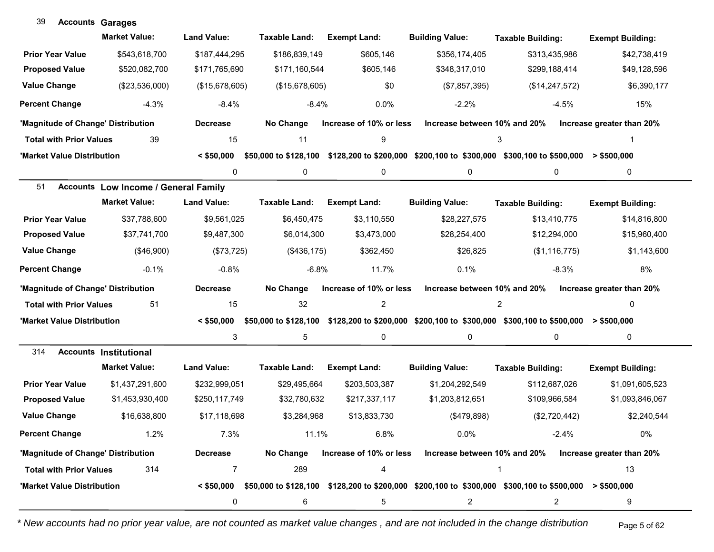| 39                                 | <b>Accounts Garages</b>                     |                    |                       |                         |                              |                                                                                                                             |                           |
|------------------------------------|---------------------------------------------|--------------------|-----------------------|-------------------------|------------------------------|-----------------------------------------------------------------------------------------------------------------------------|---------------------------|
|                                    | <b>Market Value:</b>                        | <b>Land Value:</b> | Taxable Land:         | <b>Exempt Land:</b>     | <b>Building Value:</b>       | <b>Taxable Building:</b>                                                                                                    | <b>Exempt Building:</b>   |
| <b>Prior Year Value</b>            | \$543,618,700                               | \$187,444,295      | \$186,839,149         | \$605,146               | \$356,174,405                | \$313,435,986                                                                                                               | \$42,738,419              |
| <b>Proposed Value</b>              | \$520,082,700                               | \$171,765,690      | \$171,160,544         | \$605,146               | \$348,317,010                | \$299,188,414                                                                                                               | \$49,128,596              |
| <b>Value Change</b>                | (\$23,536,000)                              | (\$15,678,605)     | (\$15,678,605)        | \$0                     | (\$7,857,395)                | (\$14, 247, 572)                                                                                                            | \$6,390,177               |
| <b>Percent Change</b>              | $-4.3%$                                     | $-8.4%$            | $-8.4%$               | 0.0%                    | $-2.2%$                      | $-4.5%$                                                                                                                     | 15%                       |
| 'Magnitude of Change' Distribution |                                             | <b>Decrease</b>    | No Change             | Increase of 10% or less | Increase between 10% and 20% |                                                                                                                             | Increase greater than 20% |
| <b>Total with Prior Values</b>     | 39                                          | 15                 | 11                    | 9                       |                              | 3                                                                                                                           |                           |
| 'Market Value Distribution         |                                             | $<$ \$50,000       | \$50,000 to \$128,100 |                         |                              | \$128,200 to \$200,000 \$200,100 to \$300,000 \$300,100 to \$500,000                                                        | > \$500,000               |
|                                    |                                             | 0                  | 0                     | 0                       | 0                            | 0                                                                                                                           | 0                         |
| 51                                 | <b>Accounts Low Income / General Family</b> |                    |                       |                         |                              |                                                                                                                             |                           |
|                                    | <b>Market Value:</b>                        | <b>Land Value:</b> | <b>Taxable Land:</b>  | <b>Exempt Land:</b>     | <b>Building Value:</b>       | <b>Taxable Building:</b>                                                                                                    | <b>Exempt Building:</b>   |
| <b>Prior Year Value</b>            | \$37,788,600                                | \$9,561,025        | \$6,450,475           | \$3,110,550             | \$28,227,575                 | \$13,410,775                                                                                                                | \$14,816,800              |
| <b>Proposed Value</b>              | \$37,741,700                                | \$9,487,300        | \$6,014,300           | \$3,473,000             | \$28,254,400                 | \$12,294,000                                                                                                                | \$15,960,400              |
| <b>Value Change</b>                | (\$46,900)                                  | (\$73,725)         | (\$436, 175)          | \$362,450               | \$26,825                     | (\$1,116,775)                                                                                                               | \$1,143,600               |
| <b>Percent Change</b>              | $-0.1%$                                     | $-0.8%$            | $-6.8%$               | 11.7%                   | 0.1%                         | $-8.3%$                                                                                                                     | 8%                        |
| 'Magnitude of Change' Distribution |                                             | <b>Decrease</b>    | No Change             | Increase of 10% or less | Increase between 10% and 20% |                                                                                                                             | Increase greater than 20% |
| <b>Total with Prior Values</b>     | 51                                          | 15                 | 32                    | $\overline{2}$          |                              | $\overline{c}$                                                                                                              | 0                         |
| 'Market Value Distribution         |                                             | $<$ \$50,000       | \$50,000 to \$128,100 |                         |                              | \$128,200 to \$200,000 \$200,100 to \$300,000 \$300,100 to \$500,000                                                        | $>$ \$500,000             |
|                                    |                                             | 3                  | 5                     | $\pmb{0}$               | 0                            | 0                                                                                                                           | $\mathbf 0$               |
| 314                                | <b>Accounts Institutional</b>               |                    |                       |                         |                              |                                                                                                                             |                           |
|                                    | <b>Market Value:</b>                        | <b>Land Value:</b> | <b>Taxable Land:</b>  | <b>Exempt Land:</b>     | <b>Building Value:</b>       | <b>Taxable Building:</b>                                                                                                    | <b>Exempt Building:</b>   |
| <b>Prior Year Value</b>            | \$1,437,291,600                             | \$232,999,051      | \$29,495,664          | \$203,503,387           | \$1,204,292,549              | \$112,687,026                                                                                                               | \$1,091,605,523           |
| <b>Proposed Value</b>              | \$1,453,930,400                             | \$250,117,749      | \$32,780,632          | \$217,337,117           | \$1,203,812,651              | \$109,966,584                                                                                                               | \$1,093,846,067           |
| <b>Value Change</b>                | \$16,638,800                                | \$17,118,698       | \$3,284,968           | \$13,833,730            | (\$479,898)                  | (\$2,720,442)                                                                                                               | \$2,240,544               |
| <b>Percent Change</b>              | 1.2%                                        | 7.3%               | 11.1%                 | 6.8%                    | 0.0%                         | $-2.4%$                                                                                                                     | 0%                        |
| 'Magnitude of Change' Distribution |                                             | <b>Decrease</b>    | No Change             | Increase of 10% or less | Increase between 10% and 20% |                                                                                                                             | Increase greater than 20% |
| <b>Total with Prior Values</b>     | 314                                         | 7                  | 289                   | 4                       |                              | -1                                                                                                                          | 13                        |
| 'Market Value Distribution         |                                             |                    |                       |                         |                              | $\leq$ \$50,000 \$50,000 to \$128,100 \$128,200 to \$200,000 \$200,100 to \$300,000 \$300,100 to \$500,000 $\geq$ \$500,000 |                           |
|                                    |                                             | 0                  | 6                     | 5                       | $\overline{c}$               | 2                                                                                                                           | 9                         |

 $\sim$ 

*\* New accounts had no prior year value, are not counted as market value changes , and are not included in the change distribution* Page 5 of 62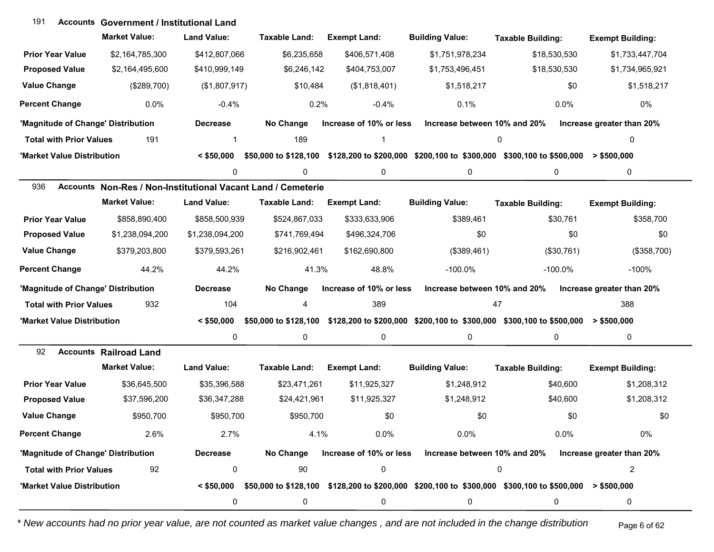| 191                                | <b>Accounts Government / Institutional Land</b>              |                    |                       |                         |                              |                                                                                                                        |                           |
|------------------------------------|--------------------------------------------------------------|--------------------|-----------------------|-------------------------|------------------------------|------------------------------------------------------------------------------------------------------------------------|---------------------------|
|                                    | <b>Market Value:</b>                                         | <b>Land Value:</b> | Taxable Land:         | <b>Exempt Land:</b>     | <b>Building Value:</b>       | <b>Taxable Building:</b>                                                                                               | <b>Exempt Building:</b>   |
| <b>Prior Year Value</b>            | \$2,164,785,300                                              | \$412,807,066      | \$6,235,658           | \$406,571,408           | \$1,751,978,234              | \$18,530,530                                                                                                           | \$1,733,447,704           |
| <b>Proposed Value</b>              | \$2,164,495,600                                              | \$410,999,149      | \$6,246,142           | \$404,753,007           | \$1,753,496,451              | \$18,530,530                                                                                                           | \$1,734,965,921           |
| <b>Value Change</b>                | (\$289,700)                                                  | (\$1,807,917)      | \$10,484              | (\$1,818,401)           | \$1,518,217                  | \$0                                                                                                                    | \$1,518,217               |
| <b>Percent Change</b>              | 0.0%                                                         | $-0.4%$            | 0.2%                  | $-0.4%$                 | 0.1%                         | 0.0%                                                                                                                   | 0%                        |
| 'Magnitude of Change' Distribution |                                                              | <b>Decrease</b>    | No Change             | Increase of 10% or less | Increase between 10% and 20% |                                                                                                                        | Increase greater than 20% |
| <b>Total with Prior Values</b>     | 191                                                          | 1                  | 189                   |                         |                              | 0                                                                                                                      | 0                         |
| 'Market Value Distribution         |                                                              | $<$ \$50,000       | \$50,000 to \$128,100 |                         |                              | \$128,200 to \$200,000 \$200,100 to \$300,000 \$300,100 to \$500,000                                                   | > \$500,000               |
|                                    |                                                              | 0                  | 0                     | 0                       | 0                            | 0                                                                                                                      | 0                         |
| 936                                | Accounts Non-Res / Non-Institutional Vacant Land / Cemeterie |                    |                       |                         |                              |                                                                                                                        |                           |
|                                    | <b>Market Value:</b>                                         | <b>Land Value:</b> | <b>Taxable Land:</b>  | <b>Exempt Land:</b>     | <b>Building Value:</b>       | <b>Taxable Building:</b>                                                                                               | <b>Exempt Building:</b>   |
| <b>Prior Year Value</b>            | \$858,890,400                                                | \$858,500,939      | \$524,867,033         | \$333,633,906           | \$389,461                    | \$30,761                                                                                                               | \$358,700                 |
| <b>Proposed Value</b>              | \$1,238,094,200                                              | \$1,238,094,200    | \$741,769,494         | \$496,324,706           | \$0                          | \$0                                                                                                                    | \$0                       |
| <b>Value Change</b>                | \$379,203,800                                                | \$379,593,261      | \$216,902,461         | \$162,690,800           | (\$389,461)                  | (\$30,761)                                                                                                             | (\$358,700)               |
| <b>Percent Change</b>              | 44.2%                                                        | 44.2%              | 41.3%                 | 48.8%                   | $-100.0\%$                   | $-100.0\%$                                                                                                             | $-100%$                   |
| 'Magnitude of Change' Distribution |                                                              | <b>Decrease</b>    | No Change             | Increase of 10% or less | Increase between 10% and 20% |                                                                                                                        | Increase greater than 20% |
| <b>Total with Prior Values</b>     | 932                                                          | 104                | 4                     | 389                     |                              | 47                                                                                                                     | 388                       |
| 'Market Value Distribution         |                                                              | $<$ \$50,000       |                       |                         |                              | \$50,000 to \$128,100 \$128,200 to \$200,000 \$200,100 to \$300,000 \$300,100 to \$500,000                             | $>$ \$500,000             |
|                                    |                                                              | 0                  | 0                     | 0                       | 0                            | 0                                                                                                                      | 0                         |
| 92                                 | <b>Accounts Railroad Land</b>                                |                    |                       |                         |                              |                                                                                                                        |                           |
|                                    | <b>Market Value:</b>                                         | <b>Land Value:</b> | <b>Taxable Land:</b>  | <b>Exempt Land:</b>     | <b>Building Value:</b>       | <b>Taxable Building:</b>                                                                                               | <b>Exempt Building:</b>   |
| <b>Prior Year Value</b>            | \$36,645,500                                                 | \$35,396,588       | \$23,471,261          | \$11,925,327            | \$1,248,912                  | \$40,600                                                                                                               | \$1,208,312               |
| <b>Proposed Value</b>              | \$37,596,200                                                 | \$36,347,288       | \$24,421,961          | \$11,925,327            | \$1,248,912                  | \$40,600                                                                                                               | \$1,208,312               |
| <b>Value Change</b>                | \$950,700                                                    | \$950,700          | \$950,700             | \$0                     | \$0                          | \$0                                                                                                                    | \$0                       |
| <b>Percent Change</b>              | 2.6%                                                         | 2.7%               | 4.1%                  | 0.0%                    | 0.0%                         | 0.0%                                                                                                                   | 0%                        |
| 'Magnitude of Change' Distribution |                                                              | <b>Decrease</b>    | No Change             | Increase of 10% or less | Increase between 10% and 20% |                                                                                                                        | Increase greater than 20% |
| <b>Total with Prior Values</b>     | 92                                                           | 0                  | 90                    | $\pmb{0}$               |                              | 0                                                                                                                      | 2                         |
| 'Market Value Distribution         |                                                              |                    |                       |                         |                              | $\leq$ \$50,000 \$50,000 to \$128,100 \$128,200 to \$200,000 \$200,100 to \$300,000 \$300,100 to \$500,000 > \$500,000 |                           |
|                                    |                                                              | 0                  | 0                     | 0                       | 0                            | 0                                                                                                                      | 0                         |

*\* New accounts had no prior year value, are not counted as market value changes , and are not included in the change distribution* Page 6 of 62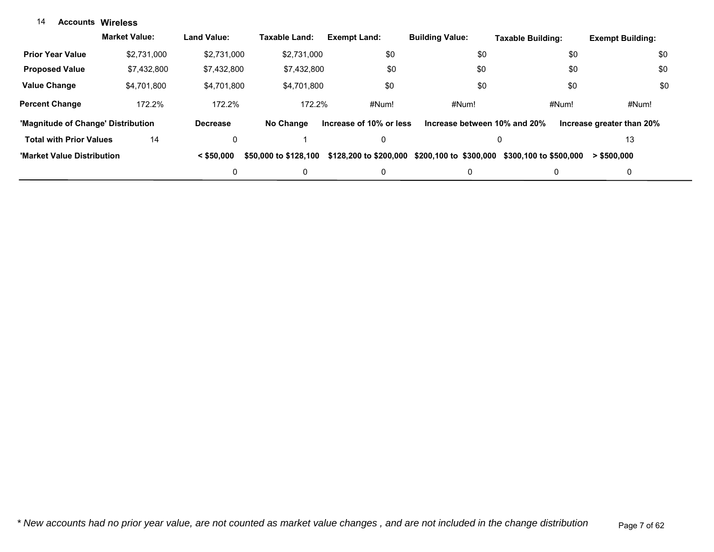#### **Accounts Wireless**14

|                                    | <b>Market Value:</b> | <b>Land Value:</b> | Taxable Land:         | <b>Exempt Land:</b>     | <b>Building Value:</b>       | Taxable Building:      | <b>Exempt Building:</b>   |
|------------------------------------|----------------------|--------------------|-----------------------|-------------------------|------------------------------|------------------------|---------------------------|
| <b>Prior Year Value</b>            | \$2.731.000          | \$2.731.000        | \$2.731.000           | \$0                     | \$0                          | \$0                    | \$0                       |
| <b>Proposed Value</b>              | \$7,432,800          | \$7,432,800        | \$7,432,800           | \$0                     | \$0                          | \$0                    | \$0                       |
| <b>Value Change</b>                | \$4.701.800          | \$4,701,800        | \$4.701.800           | \$0                     | \$0                          | \$0                    | \$0                       |
| <b>Percent Change</b>              | 172.2%               | 172.2%             | 172.2%                | #Num!                   | #Num!                        | #Num!                  | #Num!                     |
| 'Magnitude of Change' Distribution |                      | <b>Decrease</b>    | No Change             | Increase of 10% or less | Increase between 10% and 20% |                        | Increase greater than 20% |
| <b>Total with Prior Values</b>     | 14                   | 0                  |                       | 0                       | 0                            |                        | 13                        |
| 'Market Value Distribution         |                      | $<$ \$50,000       | \$50,000 to \$128,100 | \$128,200 to \$200,000  | \$200,100 to \$300,000       | \$300,100 to \$500,000 | > \$500.000               |
|                                    |                      | 0                  | 0                     | 0                       | 0                            | 0                      | 0                         |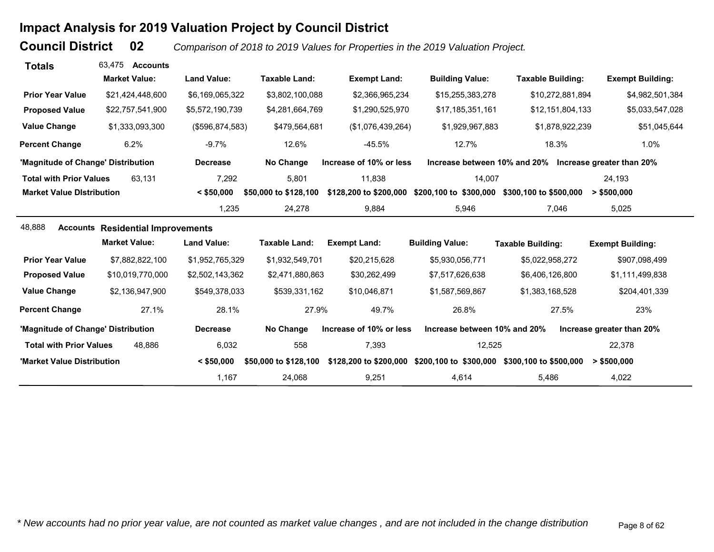# **Impact Analysis for 2019 Valuation Project by Council District**

**Council District**

 **02***Comparison of 2018 to 2019 Values for Properties in the 2019 Valuation Project.* 

| <b>Totals</b>                      | 63.475<br><b>Accounts</b>                |                    |                       |                         |                              |                                                        |                           |
|------------------------------------|------------------------------------------|--------------------|-----------------------|-------------------------|------------------------------|--------------------------------------------------------|---------------------------|
|                                    | <b>Market Value:</b>                     | <b>Land Value:</b> | <b>Taxable Land:</b>  | <b>Exempt Land:</b>     | <b>Building Value:</b>       | <b>Taxable Building:</b>                               | <b>Exempt Building:</b>   |
| <b>Prior Year Value</b>            | \$21,424,448,600                         | \$6,169,065,322    | \$3,802,100,088       | \$2,366,965,234         | \$15,255,383,278             | \$10,272,881,894                                       | \$4,982,501,384           |
| <b>Proposed Value</b>              | \$22,757,541,900                         | \$5,572,190,739    | \$4,281,664,769       | \$1,290,525,970         | \$17,185,351,161             | \$12,151,804,133                                       | \$5,033,547,028           |
| <b>Value Change</b>                | \$1,333,093,300                          | (\$596, 874, 583)  | \$479,564,681         | (\$1,076,439,264)       | \$1,929,967,883              | \$1,878,922,239                                        | \$51,045,644              |
| <b>Percent Change</b>              | 6.2%                                     | $-9.7%$            | 12.6%                 | $-45.5%$                | 12.7%                        | 18.3%                                                  | 1.0%                      |
| 'Magnitude of Change' Distribution |                                          | <b>Decrease</b>    | No Change             | Increase of 10% or less |                              | Increase between 10% and 20% Increase greater than 20% |                           |
| <b>Total with Prior Values</b>     | 63,131                                   | 7,292              | 5,801                 | 11,838                  | 14,007                       |                                                        | 24,193                    |
| <b>Market Value Distribution</b>   |                                          | $<$ \$50,000       | \$50,000 to \$128,100 | \$128,200 to \$200,000  | \$200,100 to \$300,000       | \$300,100 to \$500,000                                 | $>$ \$500,000             |
|                                    |                                          | 1,235              | 24,278                | 9,884                   | 5,946                        | 7,046                                                  | 5,025                     |
| 48,888                             | <b>Accounts Residential Improvements</b> |                    |                       |                         |                              |                                                        |                           |
|                                    | <b>Market Value:</b>                     | <b>Land Value:</b> | <b>Taxable Land:</b>  | <b>Exempt Land:</b>     | <b>Building Value:</b>       | <b>Taxable Building:</b>                               | <b>Exempt Building:</b>   |
| <b>Prior Year Value</b>            | \$7,882,822,100                          | \$1,952,765,329    | \$1,932,549,701       | \$20,215,628            | \$5,930,056,771              | \$5,022,958,272                                        | \$907,098,499             |
| <b>Proposed Value</b>              | \$10,019,770,000                         | \$2,502,143,362    | \$2,471,880,863       | \$30,262,499            | \$7,517,626,638              | \$6,406,126,800                                        | \$1,111,499,838           |
| <b>Value Change</b>                | \$2,136,947,900                          | \$549,378,033      | \$539,331,162         | \$10,046,871            | \$1,587,569,867              | \$1,383,168,528                                        | \$204,401,339             |
| <b>Percent Change</b>              | 27.1%                                    | 28.1%              | 27.9%                 | 49.7%                   | 26.8%                        | 27.5%                                                  | 23%                       |
| 'Magnitude of Change' Distribution |                                          | <b>Decrease</b>    | No Change             | Increase of 10% or less | Increase between 10% and 20% |                                                        | Increase greater than 20% |
| <b>Total with Prior Values</b>     | 48,886                                   | 6,032              | 558                   | 7,393                   | 12,525                       |                                                        | 22,378                    |
| 'Market Value Distribution         |                                          | $<$ \$50,000       | \$50,000 to \$128,100 | \$128,200 to \$200,000  |                              | \$200,100 to \$300,000 \$300,100 to \$500,000          | $>$ \$500,000             |
|                                    |                                          | 1,167              | 24,068                | 9,251                   | 4,614                        | 5,486                                                  | 4,022                     |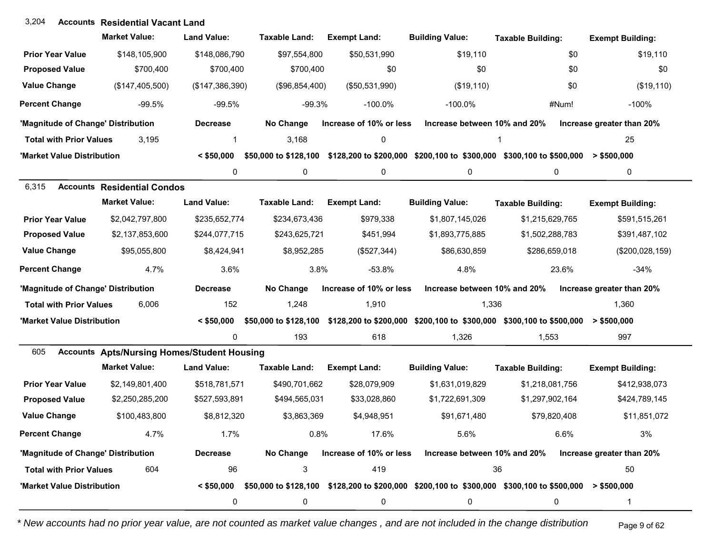| 3,204                              | <b>Accounts Residential Vacant Land</b>            |                    |                       |                         |                              |                                                                                                        |                           |
|------------------------------------|----------------------------------------------------|--------------------|-----------------------|-------------------------|------------------------------|--------------------------------------------------------------------------------------------------------|---------------------------|
|                                    | <b>Market Value:</b>                               | <b>Land Value:</b> | <b>Taxable Land:</b>  | <b>Exempt Land:</b>     | <b>Building Value:</b>       | <b>Taxable Building:</b>                                                                               | <b>Exempt Building:</b>   |
| <b>Prior Year Value</b>            | \$148,105,900                                      | \$148,086,790      | \$97,554,800          | \$50,531,990            | \$19,110                     | \$0                                                                                                    | \$19,110                  |
| <b>Proposed Value</b>              | \$700,400                                          | \$700,400          | \$700,400             | \$0                     | \$0                          | \$0                                                                                                    | \$0                       |
| <b>Value Change</b>                | (\$147,405,500)                                    | (\$147,386,390)    | (\$96,854,400)        | (\$50,531,990)          | (\$19,110)                   | \$0                                                                                                    | (\$19, 110)               |
| <b>Percent Change</b>              | $-99.5%$                                           | -99.5%             | $-99.3%$              | $-100.0%$               | $-100.0\%$                   | #Num!                                                                                                  | $-100%$                   |
| 'Magnitude of Change' Distribution |                                                    | <b>Decrease</b>    | No Change             | Increase of 10% or less | Increase between 10% and 20% |                                                                                                        | Increase greater than 20% |
| <b>Total with Prior Values</b>     | 3,195                                              | $\mathbf 1$        | 3,168                 | 0                       |                              | 1                                                                                                      | 25                        |
| 'Market Value Distribution         |                                                    | $<$ \$50,000       | \$50,000 to \$128,100 |                         |                              | \$128,200 to \$200,000 \$200,100 to \$300,000 \$300,100 to \$500,000                                   | $>$ \$500,000             |
|                                    |                                                    | 0                  | 0                     | 0                       | 0                            | 0                                                                                                      | 0                         |
| 6,315                              | <b>Accounts Residential Condos</b>                 |                    |                       |                         |                              |                                                                                                        |                           |
|                                    | <b>Market Value:</b>                               | <b>Land Value:</b> | <b>Taxable Land:</b>  | <b>Exempt Land:</b>     | <b>Building Value:</b>       | <b>Taxable Building:</b>                                                                               | <b>Exempt Building:</b>   |
| <b>Prior Year Value</b>            | \$2,042,797,800                                    | \$235,652,774      | \$234,673,436         | \$979,338               | \$1,807,145,026              | \$1,215,629,765                                                                                        | \$591,515,261             |
| <b>Proposed Value</b>              | \$2,137,853,600                                    | \$244,077,715      | \$243,625,721         | \$451,994               | \$1,893,775,885              | \$1,502,288,783                                                                                        | \$391,487,102             |
| <b>Value Change</b>                | \$95,055,800                                       | \$8,424,941        | \$8,952,285           | (\$527,344)             | \$86,630,859                 | \$286,659,018                                                                                          | (\$200,028,159)           |
| <b>Percent Change</b>              | 4.7%                                               | 3.6%               | 3.8%                  | $-53.8%$                | 4.8%                         | 23.6%                                                                                                  | $-34%$                    |
| 'Magnitude of Change' Distribution |                                                    | <b>Decrease</b>    | No Change             | Increase of 10% or less | Increase between 10% and 20% |                                                                                                        | Increase greater than 20% |
| <b>Total with Prior Values</b>     | 6,006                                              | 152                | 1,248                 | 1,910                   | 1,336                        |                                                                                                        | 1,360                     |
| 'Market Value Distribution         |                                                    | $<$ \$50,000       |                       |                         |                              | \$50,000 to \$128,100 \$128,200 to \$200,000 \$200,100 to \$300,000 \$300,100 to \$500,000             | $>$ \$500,000             |
|                                    |                                                    | 0                  | 193                   | 618                     | 1,326                        | 1,553                                                                                                  | 997                       |
| 605                                | <b>Accounts Apts/Nursing Homes/Student Housing</b> |                    |                       |                         |                              |                                                                                                        |                           |
|                                    | <b>Market Value:</b>                               | <b>Land Value:</b> | <b>Taxable Land:</b>  | <b>Exempt Land:</b>     | <b>Building Value:</b>       | <b>Taxable Building:</b>                                                                               | <b>Exempt Building:</b>   |
| <b>Prior Year Value</b>            | \$2,149,801,400                                    | \$518,781,571      | \$490,701,662         | \$28,079,909            | \$1,631,019,829              | \$1,218,081,756                                                                                        | \$412,938,073             |
| <b>Proposed Value</b>              | \$2,250,285,200                                    | \$527,593,891      | \$494,565,031         | \$33,028,860            | \$1,722,691,309              | \$1,297,902,164                                                                                        | \$424,789,145             |
| <b>Value Change</b>                | \$100,483,800                                      | \$8,812,320        | \$3,863,369           | \$4,948,951             | \$91,671,480                 | \$79,820,408                                                                                           | \$11,851,072              |
| <b>Percent Change</b>              | 4.7%                                               | 1.7%               | 0.8%                  | 17.6%                   | 5.6%                         | 6.6%                                                                                                   | 3%                        |
| 'Magnitude of Change' Distribution |                                                    | <b>Decrease</b>    | No Change             | Increase of 10% or less | Increase between 10% and 20% |                                                                                                        | Increase greater than 20% |
| <b>Total with Prior Values</b>     | 604                                                | 96                 | 3                     | 419                     |                              | 36                                                                                                     | 50                        |
| 'Market Value Distribution         |                                                    | $<$ \$50,000       |                       |                         |                              | \$50,000 to \$128,100 \$128,200 to \$200,000 \$200,100 to \$300,000 \$300,100 to \$500,000 > \$500,000 |                           |
|                                    |                                                    | 0                  | 0                     | 0                       | 0                            | 0                                                                                                      |                           |

*\* New accounts had no prior year value, are not counted as market value changes , and are not included in the change distribution* Page 9 of 62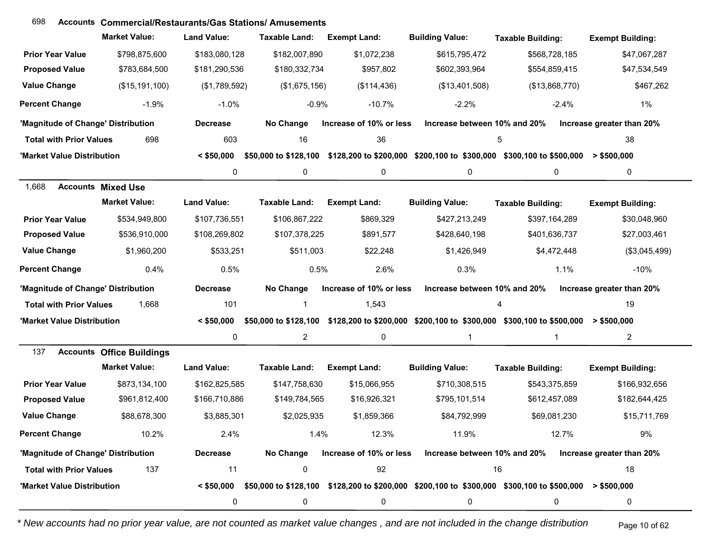| 698                                | <b>Accounts Commercial/Restaurants/Gas Stations/ Amusements</b> |                    |                      |                         |                              |                                                                                            |                           |
|------------------------------------|-----------------------------------------------------------------|--------------------|----------------------|-------------------------|------------------------------|--------------------------------------------------------------------------------------------|---------------------------|
|                                    | <b>Market Value:</b>                                            | <b>Land Value:</b> | <b>Taxable Land:</b> | <b>Exempt Land:</b>     | <b>Building Value:</b>       | <b>Taxable Building:</b>                                                                   | <b>Exempt Building:</b>   |
| <b>Prior Year Value</b>            | \$798,875,600                                                   | \$183,080,128      | \$182,007,890        | \$1,072,238             | \$615,795,472                | \$568,728,185                                                                              | \$47,067,287              |
| <b>Proposed Value</b>              | \$783,684,500                                                   | \$181,290,536      | \$180,332,734        | \$957,802               | \$602,393,964                | \$554,859,415                                                                              | \$47,534,549              |
| <b>Value Change</b>                | (\$15, 191, 100)                                                | (\$1,789,592)      | (\$1,675,156)        | (\$114,436)             | (\$13,401,508)               | (\$13,868,770)                                                                             | \$467,262                 |
| <b>Percent Change</b>              | $-1.9%$                                                         | $-1.0%$            | $-0.9%$              | $-10.7%$                | $-2.2%$                      | $-2.4%$                                                                                    | 1%                        |
| 'Magnitude of Change' Distribution |                                                                 | <b>Decrease</b>    | No Change            | Increase of 10% or less | Increase between 10% and 20% |                                                                                            | Increase greater than 20% |
| <b>Total with Prior Values</b>     | 698                                                             | 603                | 16                   | 36                      |                              | 5                                                                                          | 38                        |
| 'Market Value Distribution         |                                                                 | $<$ \$50,000       |                      |                         |                              | \$50,000 to \$128,100 \$128,200 to \$200,000 \$200,100 to \$300,000 \$300,100 to \$500,000 | $>$ \$500,000             |
|                                    |                                                                 | 0                  | $\mathbf 0$          | 0                       | 0                            | 0                                                                                          | 0                         |
| 1,668                              | <b>Accounts Mixed Use</b>                                       |                    |                      |                         |                              |                                                                                            |                           |
|                                    | <b>Market Value:</b>                                            | <b>Land Value:</b> | <b>Taxable Land:</b> | <b>Exempt Land:</b>     | <b>Building Value:</b>       | <b>Taxable Building:</b>                                                                   | <b>Exempt Building:</b>   |
| <b>Prior Year Value</b>            | \$534,949,800                                                   | \$107,736,551      | \$106,867,222        | \$869,329               | \$427,213,249                | \$397,164,289                                                                              | \$30,048,960              |
| <b>Proposed Value</b>              | \$536,910,000                                                   | \$108,269,802      | \$107,378,225        | \$891,577               | \$428,640,198                | \$401,636,737                                                                              | \$27,003,461              |
| <b>Value Change</b>                | \$1,960,200                                                     | \$533,251          | \$511,003            | \$22,248                | \$1,426,949                  | \$4,472,448                                                                                | (\$3,045,499)             |
| <b>Percent Change</b>              | 0.4%                                                            | 0.5%               | 0.5%                 | 2.6%                    | 0.3%                         | 1.1%                                                                                       | $-10%$                    |
| 'Magnitude of Change' Distribution |                                                                 | <b>Decrease</b>    | No Change            | Increase of 10% or less | Increase between 10% and 20% |                                                                                            | Increase greater than 20% |
| <b>Total with Prior Values</b>     | 1,668                                                           | 101                | 1                    | 1,543                   |                              | 4                                                                                          | 19                        |
| 'Market Value Distribution         |                                                                 | $<$ \$50,000       |                      |                         |                              | \$50,000 to \$128,100 \$128,200 to \$200,000 \$200,100 to \$300,000 \$300,100 to \$500,000 | $>$ \$500,000             |
|                                    |                                                                 | 0                  | $\overline{c}$       | 0                       | 1                            | $\mathbf 1$                                                                                | $\overline{2}$            |
| 137                                | <b>Accounts Office Buildings</b>                                |                    |                      |                         |                              |                                                                                            |                           |
|                                    | <b>Market Value:</b>                                            | <b>Land Value:</b> | <b>Taxable Land:</b> | <b>Exempt Land:</b>     | <b>Building Value:</b>       | <b>Taxable Building:</b>                                                                   | <b>Exempt Building:</b>   |
| <b>Prior Year Value</b>            | \$873,134,100                                                   | \$162,825,585      | \$147,758,630        | \$15,066,955            | \$710,308,515                | \$543,375,859                                                                              | \$166,932,656             |
| <b>Proposed Value</b>              | \$961,812,400                                                   | \$166,710,886      | \$149,784,565        | \$16,926,321            | \$795,101,514                | \$612,457,089                                                                              | \$182,644,425             |
| <b>Value Change</b>                | \$88,678,300                                                    | \$3,885,301        | \$2,025,935          | \$1,859,366             | \$84,792,999                 | \$69,081,230                                                                               | \$15,711,769              |
| <b>Percent Change</b>              | 10.2%                                                           | 2.4%               | 1.4%                 | 12.3%                   | 11.9%                        | 12.7%                                                                                      | 9%                        |
| 'Magnitude of Change' Distribution |                                                                 | <b>Decrease</b>    | No Change            | Increase of 10% or less | Increase between 10% and 20% |                                                                                            | Increase greater than 20% |
| <b>Total with Prior Values</b>     | 137                                                             | 11                 | 0                    | 92                      |                              | 16                                                                                         | 18                        |
| 'Market Value Distribution         |                                                                 | $<$ \$50,000       |                      |                         |                              | \$50,000 to \$128,100 \$128,200 to \$200,000 \$200,100 to \$300,000 \$300,100 to \$500,000 | $>$ \$500,000             |
|                                    |                                                                 | 0                  | 0                    | 0                       | 0                            | 0                                                                                          | 0                         |

*\* New accounts had no prior year value, are not counted as market value changes , and are not included in the change distribution* Page 10 of 62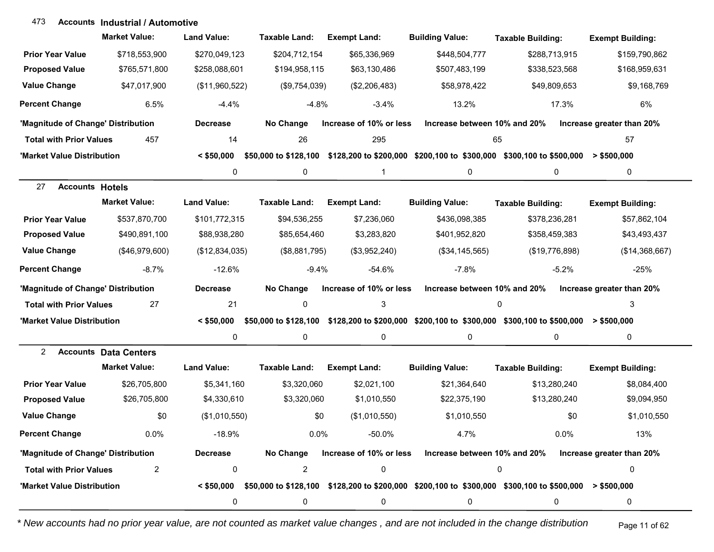#### **Accounts Industrial / Automotive**473

|                                    | <b>Market Value:</b>         | <b>Land Value:</b> | <b>Taxable Land:</b>  | <b>Exempt Land:</b>     | <b>Building Value:</b>                                                                                                      | <b>Taxable Building:</b> | <b>Exempt Building:</b>   |
|------------------------------------|------------------------------|--------------------|-----------------------|-------------------------|-----------------------------------------------------------------------------------------------------------------------------|--------------------------|---------------------------|
| <b>Prior Year Value</b>            | \$718,553,900                | \$270,049,123      | \$204,712,154         | \$65,336,969            | \$448,504,777                                                                                                               | \$288,713,915            | \$159,790,862             |
| <b>Proposed Value</b>              | \$765,571,800                | \$258,088,601      | \$194,958,115         | \$63,130,486            | \$507,483,199                                                                                                               | \$338,523,568            | \$168,959,631             |
| <b>Value Change</b>                | \$47,017,900                 | (\$11,960,522)     | (\$9,754,039)         | (\$2,206,483)           | \$58,978,422                                                                                                                | \$49,809,653             | \$9,168,769               |
| <b>Percent Change</b>              | 6.5%                         | $-4.4%$            | $-4.8%$               | $-3.4%$                 | 13.2%                                                                                                                       | 17.3%                    | 6%                        |
| 'Magnitude of Change' Distribution |                              | <b>Decrease</b>    | No Change             | Increase of 10% or less | Increase between 10% and 20%                                                                                                |                          | Increase greater than 20% |
| <b>Total with Prior Values</b>     | 457                          | 14                 | 26                    | 295                     | 65                                                                                                                          |                          | 57                        |
| 'Market Value Distribution         |                              | $<$ \$50,000       | \$50,000 to \$128,100 |                         | $$128,200$ to $$200,000$ $$200,100$ to $$300,000$ $$300,100$ to $$500,000$ > $$500,000$                                     |                          |                           |
|                                    |                              | 0                  | 0                     | $\mathbf{1}$            | 0                                                                                                                           | $\mathbf 0$              | 0                         |
| <b>Accounts Hotels</b><br>27       |                              |                    |                       |                         |                                                                                                                             |                          |                           |
|                                    | <b>Market Value:</b>         | <b>Land Value:</b> | <b>Taxable Land:</b>  | <b>Exempt Land:</b>     | <b>Building Value:</b>                                                                                                      | <b>Taxable Building:</b> | <b>Exempt Building:</b>   |
| <b>Prior Year Value</b>            | \$537,870,700                | \$101,772,315      | \$94,536,255          | \$7,236,060             | \$436,098,385                                                                                                               | \$378,236,281            | \$57,862,104              |
| <b>Proposed Value</b>              | \$490,891,100                | \$88,938,280       | \$85,654,460          | \$3,283,820             | \$401,952,820                                                                                                               | \$358,459,383            | \$43,493,437              |
| <b>Value Change</b>                | (\$46,979,600)               | (\$12,834,035)     | (\$8,881,795)         | (\$3,952,240)           | (\$34,145,565)                                                                                                              | (\$19,776,898)           | (\$14,368,667)            |
| <b>Percent Change</b>              | $-8.7%$                      | $-12.6%$           | $-9.4%$               | $-54.6%$                | $-7.8%$                                                                                                                     | $-5.2%$                  | $-25%$                    |
| 'Magnitude of Change' Distribution |                              | <b>Decrease</b>    | No Change             | Increase of 10% or less | Increase between 10% and 20%                                                                                                |                          | Increase greater than 20% |
| <b>Total with Prior Values</b>     | 27                           | 21                 | 0                     | 3                       |                                                                                                                             | 0                        | 3                         |
| 'Market Value Distribution         |                              | $<$ \$50,000       | \$50,000 to \$128,100 |                         | \$128,200 to \$200,000 \$200,100 to \$300,000 \$300,100 to \$500,000                                                        |                          | $>$ \$500,000             |
|                                    |                              | 0                  | 0                     | 0                       | 0                                                                                                                           | 0                        | 0                         |
| 2                                  | <b>Accounts Data Centers</b> |                    |                       |                         |                                                                                                                             |                          |                           |
|                                    | <b>Market Value:</b>         | <b>Land Value:</b> | <b>Taxable Land:</b>  | <b>Exempt Land:</b>     | <b>Building Value:</b>                                                                                                      | <b>Taxable Building:</b> | <b>Exempt Building:</b>   |
| <b>Prior Year Value</b>            | \$26,705,800                 | \$5,341,160        | \$3,320,060           | \$2,021,100             | \$21,364,640                                                                                                                | \$13,280,240             | \$8,084,400               |
| <b>Proposed Value</b>              | \$26,705,800                 | \$4,330,610        | \$3,320,060           | \$1,010,550             | \$22,375,190                                                                                                                | \$13,280,240             | \$9,094,950               |
| <b>Value Change</b>                | \$0                          | (\$1,010,550)      | \$0                   | (\$1,010,550)           | \$1,010,550                                                                                                                 | \$0                      | \$1,010,550               |
| <b>Percent Change</b>              | $0.0\%$                      | $-18.9%$           | $0.0\%$               | $-50.0\%$               | 4.7%                                                                                                                        | 0.0%                     | 13%                       |
| 'Magnitude of Change' Distribution |                              | <b>Decrease</b>    | No Change             | Increase of 10% or less | Increase between 10% and 20%                                                                                                |                          | Increase greater than 20% |
| <b>Total with Prior Values</b>     | $\overline{c}$               | $\pmb{0}$          | $\overline{a}$        | $\pmb{0}$               |                                                                                                                             | 0                        | 0                         |
| 'Market Value Distribution         |                              |                    |                       |                         | $< $50,000$ $$50,000$ to $$128,100$ $$128,200$ to $$200,000$ $$200,100$ to $$300,000$ $$300,100$ to $$500,000$ $> $500,000$ |                          |                           |
|                                    |                              | 0                  | 0                     | 0                       | 0                                                                                                                           | 0                        | 0                         |

*\* New accounts had no prior year value, are not counted as market value changes , and are not included in the change distribution* Page 11 of 62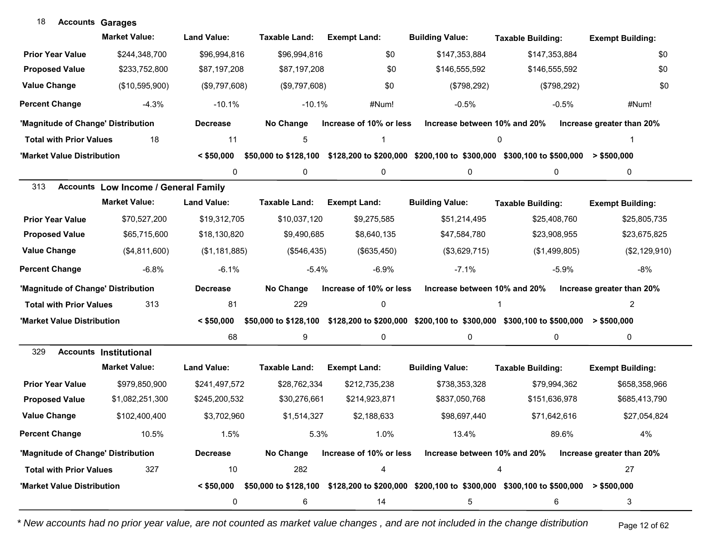| 18<br><b>Accounts Garages</b>      |                                             |                    |                       |                         |                              |                                                                                                           |                           |
|------------------------------------|---------------------------------------------|--------------------|-----------------------|-------------------------|------------------------------|-----------------------------------------------------------------------------------------------------------|---------------------------|
|                                    | <b>Market Value:</b>                        | <b>Land Value:</b> | Taxable Land:         | <b>Exempt Land:</b>     | <b>Building Value:</b>       | <b>Taxable Building:</b>                                                                                  | <b>Exempt Building:</b>   |
| <b>Prior Year Value</b>            | \$244,348,700                               | \$96,994,816       | \$96,994,816          | \$0                     | \$147,353,884                | \$147,353,884                                                                                             | \$0                       |
| <b>Proposed Value</b>              | \$233,752,800                               | \$87,197,208       | \$87,197,208          | \$0                     | \$146,555,592                | \$146,555,592                                                                                             | \$0                       |
| <b>Value Change</b>                | (\$10,595,900)                              | (\$9,797,608)      | (\$9,797,608)         | \$0                     | (\$798,292)                  | (\$798,292)                                                                                               | \$0                       |
| <b>Percent Change</b>              | $-4.3%$                                     | $-10.1%$           | $-10.1%$              | #Num!                   | $-0.5%$                      | $-0.5%$                                                                                                   | #Num!                     |
| 'Magnitude of Change' Distribution |                                             | <b>Decrease</b>    | No Change             | Increase of 10% or less | Increase between 10% and 20% |                                                                                                           | Increase greater than 20% |
| <b>Total with Prior Values</b>     | 18                                          | 11                 | 5                     |                         |                              | 0                                                                                                         |                           |
| 'Market Value Distribution         |                                             | $<$ \$50,000       |                       |                         |                              | \$50,000 to \$128,100 \$128,200 to \$200,000 \$200,100 to \$300,000 \$300,100 to \$500,000 > \$500,000    |                           |
|                                    |                                             | 0                  | $\mathbf 0$           | 0                       | 0                            | 0                                                                                                         | 0                         |
| 313                                | <b>Accounts Low Income / General Family</b> |                    |                       |                         |                              |                                                                                                           |                           |
|                                    | <b>Market Value:</b>                        | <b>Land Value:</b> | Taxable Land:         | <b>Exempt Land:</b>     | <b>Building Value:</b>       | <b>Taxable Building:</b>                                                                                  | <b>Exempt Building:</b>   |
| <b>Prior Year Value</b>            | \$70,527,200                                | \$19,312,705       | \$10,037,120          | \$9,275,585             | \$51,214,495                 | \$25,408,760                                                                                              | \$25,805,735              |
| <b>Proposed Value</b>              | \$65,715,600                                | \$18,130,820       | \$9,490,685           | \$8,640,135             | \$47,584,780                 | \$23,908,955                                                                                              | \$23,675,825              |
| <b>Value Change</b>                | (\$4,811,600)                               | (\$1,181,885)      | (\$546,435)           | (\$635,450)             | (\$3,629,715)                | (\$1,499,805)                                                                                             | (\$2,129,910)             |
| <b>Percent Change</b>              | $-6.8%$                                     | $-6.1%$            | $-5.4%$               | $-6.9%$                 | $-7.1%$                      | $-5.9%$                                                                                                   | $-8%$                     |
| 'Magnitude of Change' Distribution |                                             | <b>Decrease</b>    | No Change             | Increase of 10% or less | Increase between 10% and 20% |                                                                                                           | Increase greater than 20% |
| <b>Total with Prior Values</b>     | 313                                         | 81                 | 229                   | $\pmb{0}$               |                              |                                                                                                           | 2                         |
| 'Market Value Distribution         |                                             | $<$ \$50,000       | \$50,000 to \$128,100 |                         |                              | \$128,200 to \$200,000 \$200,100 to \$300,000 \$300,100 to \$500,000                                      | > \$500,000               |
|                                    |                                             | 68                 | 9                     | 0                       | 0                            | 0                                                                                                         | 0                         |
| 329                                | <b>Accounts Institutional</b>               |                    |                       |                         |                              |                                                                                                           |                           |
|                                    | <b>Market Value:</b>                        | <b>Land Value:</b> | <b>Taxable Land:</b>  | <b>Exempt Land:</b>     | <b>Building Value:</b>       | <b>Taxable Building:</b>                                                                                  | <b>Exempt Building:</b>   |
| <b>Prior Year Value</b>            | \$979,850,900                               | \$241,497,572      | \$28,762,334          | \$212,735,238           | \$738,353,328                | \$79,994,362                                                                                              | \$658,358,966             |
| <b>Proposed Value</b>              | \$1,082,251,300                             | \$245,200,532      | \$30,276,661          | \$214,923,871           | \$837,050,768                | \$151,636,978                                                                                             | \$685,413,790             |
| <b>Value Change</b>                | \$102,400,400                               | \$3,702,960        | \$1,514,327           | \$2,188,633             | \$98,697,440                 | \$71,642,616                                                                                              | \$27,054,824              |
| <b>Percent Change</b>              | 10.5%                                       | 1.5%               | 5.3%                  | 1.0%                    | 13.4%                        | 89.6%                                                                                                     | 4%                        |
| 'Magnitude of Change' Distribution |                                             | <b>Decrease</b>    | No Change             | Increase of 10% or less | Increase between 10% and 20% |                                                                                                           | Increase greater than 20% |
| <b>Total with Prior Values</b>     | 327                                         | 10                 | 282                   | 4                       |                              | 4                                                                                                         | 27                        |
| 'Market Value Distribution         |                                             | $<$ \$50,000       |                       |                         |                              | $$50,000$ to \$128,100 $$128,200$ to \$200,000 $$200,100$ to \$300,000 \$300,100 to \$500,000 > \$500,000 |                           |
|                                    |                                             | 0                  | 6                     | 14                      | 5                            | 6                                                                                                         | 3                         |

*\* New accounts had no prior year value, are not counted as market value changes , and are not included in the change distribution* Page 12 of 62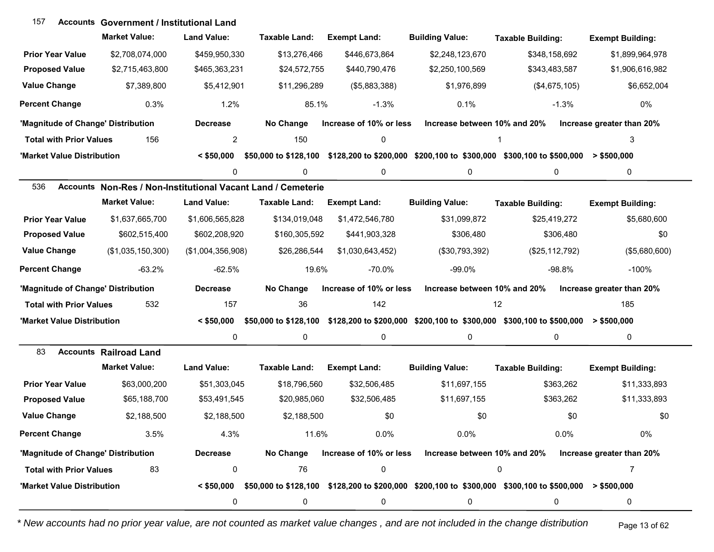| 157                                | <b>Accounts Government / Institutional Land</b>              |                    |                       |                         |                              |                                                                                                                             |                           |
|------------------------------------|--------------------------------------------------------------|--------------------|-----------------------|-------------------------|------------------------------|-----------------------------------------------------------------------------------------------------------------------------|---------------------------|
|                                    | <b>Market Value:</b>                                         | <b>Land Value:</b> | Taxable Land:         | <b>Exempt Land:</b>     | <b>Building Value:</b>       | <b>Taxable Building:</b>                                                                                                    | <b>Exempt Building:</b>   |
| <b>Prior Year Value</b>            | \$2,708,074,000                                              | \$459,950,330      | \$13,276,466          | \$446,673,864           | \$2,248,123,670              | \$348,158,692                                                                                                               | \$1,899,964,978           |
| <b>Proposed Value</b>              | \$2,715,463,800                                              | \$465,363,231      | \$24,572,755          | \$440,790,476           | \$2,250,100,569              | \$343,483,587                                                                                                               | \$1,906,616,982           |
| <b>Value Change</b>                | \$7,389,800                                                  | \$5,412,901        | \$11,296,289          | (\$5,883,388)           | \$1,976,899                  | (\$4,675,105)                                                                                                               | \$6,652,004               |
| <b>Percent Change</b>              | 0.3%                                                         | 1.2%               | 85.1%                 | $-1.3%$                 | 0.1%                         | $-1.3%$                                                                                                                     | 0%                        |
| 'Magnitude of Change' Distribution |                                                              | <b>Decrease</b>    | No Change             | Increase of 10% or less | Increase between 10% and 20% |                                                                                                                             | Increase greater than 20% |
| <b>Total with Prior Values</b>     | 156                                                          | $\overline{c}$     | 150                   | 0                       |                              |                                                                                                                             | 3                         |
| 'Market Value Distribution         |                                                              | $<$ \$50,000       | \$50,000 to \$128,100 |                         |                              | $$128,200$ to $$200,000$ $$200,100$ to $$300,000$ $$300,100$ to $$500,000$ > $$500,000$                                     |                           |
|                                    |                                                              | 0                  | 0                     | 0                       | 0                            | 0                                                                                                                           | 0                         |
| 536                                | Accounts Non-Res / Non-Institutional Vacant Land / Cemeterie |                    |                       |                         |                              |                                                                                                                             |                           |
|                                    | <b>Market Value:</b>                                         | <b>Land Value:</b> | <b>Taxable Land:</b>  | <b>Exempt Land:</b>     | <b>Building Value:</b>       | <b>Taxable Building:</b>                                                                                                    | <b>Exempt Building:</b>   |
| <b>Prior Year Value</b>            | \$1,637,665,700                                              | \$1,606,565,828    | \$134,019,048         | \$1,472,546,780         | \$31,099,872                 | \$25,419,272                                                                                                                | \$5,680,600               |
| <b>Proposed Value</b>              | \$602,515,400                                                | \$602,208,920      | \$160,305,592         | \$441,903,328           | \$306,480                    | \$306,480                                                                                                                   | \$0                       |
| <b>Value Change</b>                | (\$1,035,150,300)                                            | (\$1,004,356,908)  | \$26,286,544          | \$1,030,643,452)        | (\$30,793,392)               | (\$25,112,792)                                                                                                              | (\$5,680,600)             |
| <b>Percent Change</b>              | $-63.2%$                                                     | $-62.5%$           | 19.6%                 | $-70.0%$                | $-99.0%$                     | $-98.8%$                                                                                                                    | $-100%$                   |
| 'Magnitude of Change' Distribution |                                                              | <b>Decrease</b>    | No Change             | Increase of 10% or less | Increase between 10% and 20% |                                                                                                                             | Increase greater than 20% |
| <b>Total with Prior Values</b>     | 532                                                          | 157                | 36                    | 142                     |                              | 12                                                                                                                          | 185                       |
| 'Market Value Distribution         |                                                              | $<$ \$50,000       |                       |                         |                              | \$50,000 to \$128,100 \$128,200 to \$200,000 \$200,100 to \$300,000 \$300,100 to \$500,000 > \$500,000                      |                           |
|                                    |                                                              | 0                  | 0                     | 0                       | 0                            | $\mathbf 0$                                                                                                                 | 0                         |
| 83                                 | <b>Accounts Railroad Land</b>                                |                    |                       |                         |                              |                                                                                                                             |                           |
|                                    | <b>Market Value:</b>                                         | <b>Land Value:</b> | <b>Taxable Land:</b>  | <b>Exempt Land:</b>     | <b>Building Value:</b>       | <b>Taxable Building:</b>                                                                                                    | <b>Exempt Building:</b>   |
| <b>Prior Year Value</b>            | \$63,000,200                                                 | \$51,303,045       | \$18,796,560          | \$32,506,485            | \$11,697,155                 | \$363,262                                                                                                                   | \$11,333,893              |
| <b>Proposed Value</b>              | \$65,188,700                                                 | \$53,491,545       | \$20,985,060          | \$32,506,485            | \$11,697,155                 | \$363,262                                                                                                                   | \$11,333,893              |
| <b>Value Change</b>                | \$2,188,500                                                  | \$2,188,500        | \$2,188,500           | \$0                     | \$0                          | \$0                                                                                                                         | \$0                       |
| <b>Percent Change</b>              | 3.5%                                                         | 4.3%               | 11.6%                 | 0.0%                    | 0.0%                         | 0.0%                                                                                                                        | 0%                        |
| 'Magnitude of Change' Distribution |                                                              | <b>Decrease</b>    | No Change             | Increase of 10% or less | Increase between 10% and 20% |                                                                                                                             | Increase greater than 20% |
| <b>Total with Prior Values</b>     | 83                                                           | 0                  | 76                    | 0                       |                              | 0                                                                                                                           | 7                         |
| 'Market Value Distribution         |                                                              |                    |                       |                         |                              | $< $50,000$ $$50,000$ to $$128,100$ $$128,200$ to $$200,000$ $$200,100$ to $$300,000$ $$300,100$ to $$500,000$ $> $500,000$ |                           |
|                                    |                                                              | 0                  | 0                     | 0                       | 0                            | 0                                                                                                                           | 0                         |

*\* New accounts had no prior year value, are not counted as market value changes , and are not included in the change distribution* Page 13 of 62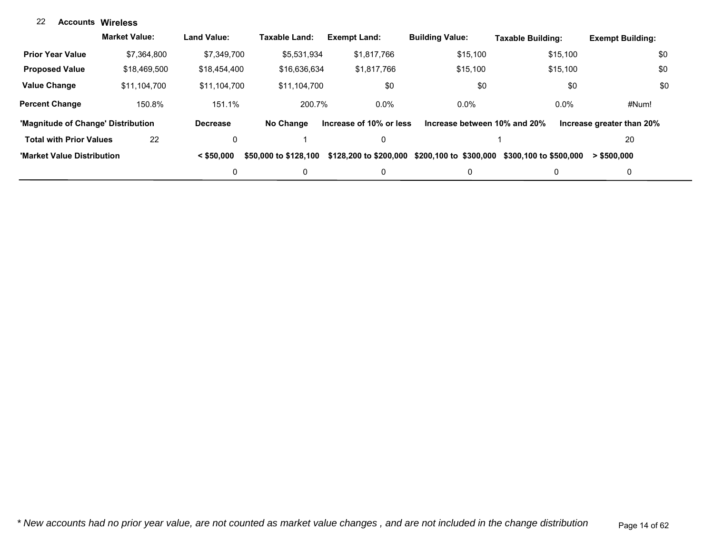### **Accounts** 22 **Wireless**

|                                    | <b>Market Value:</b> | <b>Land Value:</b> | Taxable Land:         | <b>Exempt Land:</b>     | <b>Building Value:</b>       | Taxable Building:      | <b>Exempt Building:</b>   |
|------------------------------------|----------------------|--------------------|-----------------------|-------------------------|------------------------------|------------------------|---------------------------|
| <b>Prior Year Value</b>            | \$7.364.800          | \$7.349.700        | \$5,531,934           | \$1,817,766             | \$15,100                     | \$15,100               | \$0                       |
| <b>Proposed Value</b>              | \$18,469,500         | \$18,454,400       | \$16,636,634          | \$1.817.766             | \$15,100                     | \$15,100               | \$0                       |
| <b>Value Change</b>                | \$11.104.700         | \$11.104.700       | \$11.104.700          | \$0                     | \$0                          | \$0                    | \$0                       |
| <b>Percent Change</b>              | 150.8%               | 151.1%             | 200.7%                | $0.0\%$                 | $0.0\%$                      | $0.0\%$                | #Num!                     |
| 'Magnitude of Change' Distribution |                      | <b>Decrease</b>    | No Change             | Increase of 10% or less | Increase between 10% and 20% |                        | Increase greater than 20% |
| <b>Total with Prior Values</b>     | 22                   | 0                  |                       |                         |                              |                        | 20                        |
| 'Market Value Distribution         |                      | $<$ \$50,000       | \$50,000 to \$128,100 | \$128,200 to \$200,000  | \$200,100 to \$300,000       | \$300,100 to \$500,000 | $>$ \$500,000             |
|                                    |                      | 0                  | 0                     |                         | $\mathbf{0}$                 | 0                      | 0                         |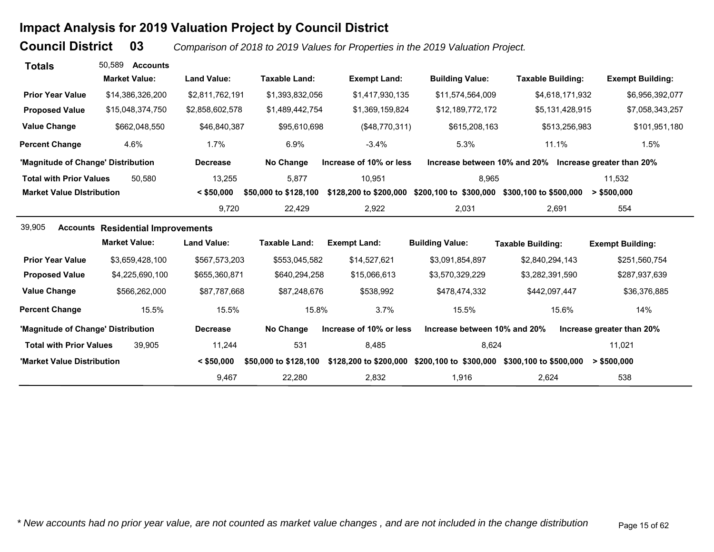# **Impact Analysis for 2019 Valuation Project by Council District**

**Council District**

 **03***Comparison of 2018 to 2019 Values for Properties in the 2019 Valuation Project.* 

| <b>Totals</b>                      | 50.589<br><b>Accounts</b>                |                    |                       |                         |                              |                                                        |                           |
|------------------------------------|------------------------------------------|--------------------|-----------------------|-------------------------|------------------------------|--------------------------------------------------------|---------------------------|
|                                    | <b>Market Value:</b>                     | <b>Land Value:</b> | <b>Taxable Land:</b>  | <b>Exempt Land:</b>     | <b>Building Value:</b>       | <b>Taxable Building:</b>                               | <b>Exempt Building:</b>   |
| <b>Prior Year Value</b>            | \$14,386,326,200                         | \$2,811,762,191    | \$1,393,832,056       | \$1,417,930,135         | \$11,574,564,009             | \$4,618,171,932                                        | \$6,956,392,077           |
| <b>Proposed Value</b>              | \$15,048,374,750                         | \$2,858,602,578    | \$1,489,442,754       | \$1,369,159,824         | \$12,189,772,172             | \$5,131,428,915                                        | \$7,058,343,257           |
| <b>Value Change</b>                | \$662,048,550                            | \$46,840,387       | \$95,610,698          | (\$48,770,311)          | \$615,208,163                | \$513,256,983                                          | \$101,951,180             |
| <b>Percent Change</b>              | 4.6%                                     | $1.7\%$            | 6.9%                  | $-3.4%$                 | 5.3%                         | 11.1%                                                  | 1.5%                      |
| 'Magnitude of Change' Distribution |                                          | <b>Decrease</b>    | No Change             | Increase of 10% or less |                              | Increase between 10% and 20% Increase greater than 20% |                           |
| <b>Total with Prior Values</b>     | 50.580                                   | 13,255             | 5,877                 | 10,951                  | 8,965                        |                                                        | 11,532                    |
| <b>Market Value Distribution</b>   |                                          | $<$ \$50,000       | \$50,000 to \$128,100 | \$128,200 to \$200,000  | \$200,100 to \$300,000       | \$300,100 to \$500,000                                 | > \$500,000               |
|                                    |                                          | 9,720              | 22,429                | 2,922                   | 2,031                        | 2,691                                                  | 554                       |
| 39,905                             | <b>Accounts Residential Improvements</b> |                    |                       |                         |                              |                                                        |                           |
|                                    | <b>Market Value:</b>                     | <b>Land Value:</b> | <b>Taxable Land:</b>  | <b>Exempt Land:</b>     | <b>Building Value:</b>       | <b>Taxable Building:</b>                               | <b>Exempt Building:</b>   |
| <b>Prior Year Value</b>            | \$3,659,428,100                          | \$567,573,203      | \$553,045,582         | \$14,527,621            | \$3,091,854,897              | \$2,840,294,143                                        | \$251,560,754             |
| <b>Proposed Value</b>              | \$4,225,690,100                          | \$655,360,871      | \$640,294,258         | \$15,066,613            | \$3,570,329,229              | \$3,282,391,590                                        | \$287,937,639             |
| <b>Value Change</b>                | \$566,262,000                            | \$87,787,668       | \$87,248,676          | \$538,992               | \$478,474,332                | \$442,097,447                                          | \$36,376,885              |
| <b>Percent Change</b>              | 15.5%                                    | 15.5%              | 15.8%                 | 3.7%                    | 15.5%                        | 15.6%                                                  | 14%                       |
| 'Magnitude of Change' Distribution |                                          | <b>Decrease</b>    | No Change             | Increase of 10% or less | Increase between 10% and 20% |                                                        | Increase greater than 20% |
| <b>Total with Prior Values</b>     | 39.905                                   | 11,244             | 531                   | 8,485                   | 8,624                        |                                                        | 11,021                    |
| 'Market Value Distribution         |                                          | $<$ \$50,000       | \$50,000 to \$128,100 | \$128,200 to \$200,000  | \$200,100 to \$300,000       | \$300,100 to \$500,000                                 | $>$ \$500,000             |
|                                    |                                          | 9,467              | 22,280                | 2,832                   | 1,916                        | 2,624                                                  | 538                       |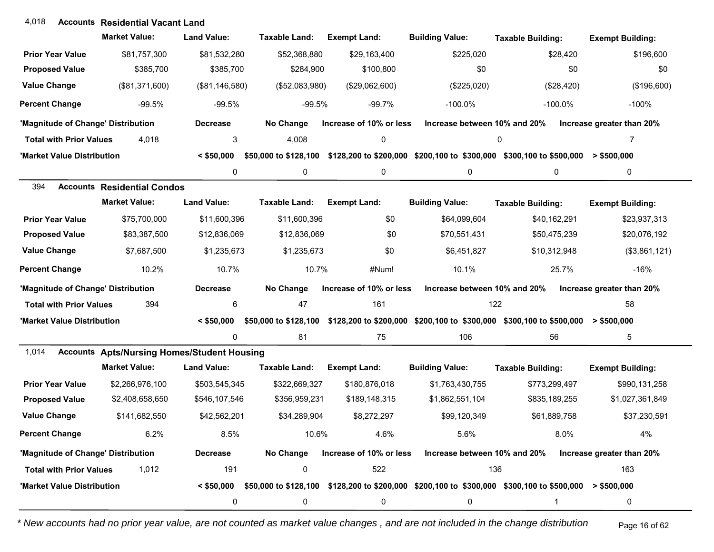## **Accounts** 4,018 **Residential Vacant Land**

|                                    | <b>Market Value:</b>                               | <b>Land Value:</b> | Taxable Land:         | <b>Exempt Land:</b>     | <b>Building Value:</b>                                                                                                 | <b>Taxable Building:</b> | <b>Exempt Building:</b>   |
|------------------------------------|----------------------------------------------------|--------------------|-----------------------|-------------------------|------------------------------------------------------------------------------------------------------------------------|--------------------------|---------------------------|
| <b>Prior Year Value</b>            | \$81,757,300                                       | \$81,532,280       | \$52,368,880          | \$29,163,400            | \$225,020                                                                                                              | \$28,420                 | \$196,600                 |
| <b>Proposed Value</b>              | \$385,700                                          | \$385,700          | \$284,900             | \$100,800               | \$0                                                                                                                    | \$0                      | \$0                       |
| <b>Value Change</b>                | (\$81,371,600)                                     | (\$81,146,580)     | (\$52,083,980)        | (\$29,062,600)          | (\$225,020)                                                                                                            | (\$28,420)               | (\$196,600)               |
| <b>Percent Change</b>              | $-99.5%$                                           | $-99.5%$           | $-99.5%$              | $-99.7%$                | $-100.0\%$                                                                                                             | $-100.0\%$               | $-100%$                   |
| 'Magnitude of Change' Distribution |                                                    | <b>Decrease</b>    | No Change             | Increase of 10% or less | Increase between 10% and 20%                                                                                           |                          | Increase greater than 20% |
| <b>Total with Prior Values</b>     | 4,018                                              | 3                  | 4,008                 | 0                       |                                                                                                                        | 0                        | 7                         |
| 'Market Value Distribution         |                                                    | $<$ \$50,000       | \$50,000 to \$128,100 |                         | $$128,200$ to $$200,000$ $$200,100$ to $$300,000$ $$300,100$ to $$500,000$ > $$500,000$                                |                          |                           |
|                                    |                                                    | 0                  | 0                     | 0                       | 0                                                                                                                      | 0                        | 0                         |
| 394                                | <b>Accounts Residential Condos</b>                 |                    |                       |                         |                                                                                                                        |                          |                           |
|                                    | <b>Market Value:</b>                               | <b>Land Value:</b> | <b>Taxable Land:</b>  | <b>Exempt Land:</b>     | <b>Building Value:</b>                                                                                                 | <b>Taxable Building:</b> | <b>Exempt Building:</b>   |
| <b>Prior Year Value</b>            | \$75,700,000                                       | \$11,600,396       | \$11,600,396          | \$0                     | \$64,099,604                                                                                                           | \$40,162,291             | \$23,937,313              |
| <b>Proposed Value</b>              | \$83,387,500                                       | \$12,836,069       | \$12,836,069          | \$0                     | \$70,551,431                                                                                                           | \$50,475,239             | \$20,076,192              |
| <b>Value Change</b>                | \$7,687,500                                        | \$1,235,673        | \$1,235,673           | \$0                     | \$6,451,827                                                                                                            | \$10,312,948             | (\$3,861,121)             |
| <b>Percent Change</b>              | 10.2%                                              | 10.7%              | 10.7%                 | #Num!                   | 10.1%                                                                                                                  | 25.7%                    | $-16%$                    |
| 'Magnitude of Change' Distribution |                                                    | <b>Decrease</b>    | No Change             | Increase of 10% or less | Increase between 10% and 20%                                                                                           |                          | Increase greater than 20% |
| <b>Total with Prior Values</b>     | 394                                                | 6                  | 47                    | 161                     | 122                                                                                                                    |                          | 58                        |
| 'Market Value Distribution         |                                                    | $<$ \$50,000       |                       |                         | \$50,000 to \$128,100 \$128,200 to \$200,000 \$200,100 to \$300,000 \$300,100 to \$500,000 > \$500,000                 |                          |                           |
|                                    |                                                    | 0                  | 81                    | 75                      | 106                                                                                                                    | 56                       | 5                         |
| 1,014                              | <b>Accounts Apts/Nursing Homes/Student Housing</b> |                    |                       |                         |                                                                                                                        |                          |                           |
|                                    | <b>Market Value:</b>                               | <b>Land Value:</b> | <b>Taxable Land:</b>  | <b>Exempt Land:</b>     | <b>Building Value:</b>                                                                                                 | <b>Taxable Building:</b> | <b>Exempt Building:</b>   |
| <b>Prior Year Value</b>            | \$2,266,976,100                                    | \$503,545,345      | \$322,669,327         | \$180,876,018           | \$1,763,430,755                                                                                                        | \$773,299,497            | \$990,131,258             |
| <b>Proposed Value</b>              | \$2,408,658,650                                    | \$546,107,546      | \$356,959,231         | \$189,148,315           | \$1,862,551,104                                                                                                        | \$835,189,255            | \$1,027,361,849           |
| <b>Value Change</b>                | \$141,682,550                                      | \$42,562,201       | \$34,289,904          | \$8,272,297             | \$99,120,349                                                                                                           | \$61,889,758             | \$37,230,591              |
| <b>Percent Change</b>              | 6.2%                                               | 8.5%               | 10.6%                 | 4.6%                    | 5.6%                                                                                                                   | 8.0%                     | 4%                        |
| 'Magnitude of Change' Distribution |                                                    | <b>Decrease</b>    | No Change             | Increase of 10% or less | Increase between 10% and 20%                                                                                           |                          | Increase greater than 20% |
| <b>Total with Prior Values</b>     | 1,012                                              | 191                | 0                     | 522                     | 136                                                                                                                    |                          | 163                       |
| 'Market Value Distribution         |                                                    |                    |                       |                         | $\leq$ \$50,000 \$50,000 to \$128,100 \$128,200 to \$200,000 \$200,100 to \$300,000 \$300,100 to \$500,000 > \$500,000 |                          |                           |
|                                    |                                                    | 0                  | 0                     | 0                       | 0                                                                                                                      |                          | 0                         |

*\* New accounts had no prior year value, are not counted as market value changes , and are not included in the change distribution* Page 16 of 62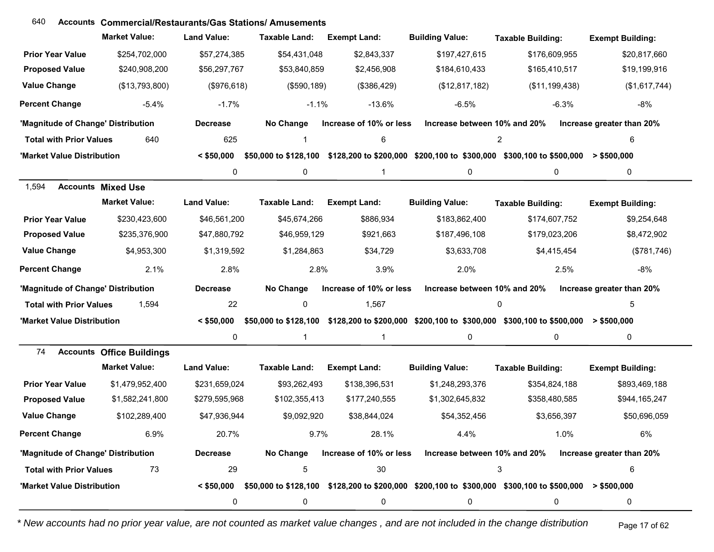| 640                                | <b>Accounts Commercial/Restaurants/Gas Stations/Amusements</b> |                    |                       |                         |                              |                                                                                                                        |                           |
|------------------------------------|----------------------------------------------------------------|--------------------|-----------------------|-------------------------|------------------------------|------------------------------------------------------------------------------------------------------------------------|---------------------------|
|                                    | <b>Market Value:</b>                                           | <b>Land Value:</b> | <b>Taxable Land:</b>  | <b>Exempt Land:</b>     | <b>Building Value:</b>       | <b>Taxable Building:</b>                                                                                               | <b>Exempt Building:</b>   |
| <b>Prior Year Value</b>            | \$254,702,000                                                  | \$57,274,385       | \$54,431,048          | \$2,843,337             | \$197,427,615                | \$176,609,955                                                                                                          | \$20,817,660              |
| <b>Proposed Value</b>              | \$240,908,200                                                  | \$56,297,767       | \$53,840,859          | \$2,456,908             | \$184,610,433                | \$165,410,517                                                                                                          | \$19,199,916              |
| <b>Value Change</b>                | (\$13,793,800)                                                 | (\$976,618)        | (\$590, 189)          | (\$386,429)             | (\$12,817,182)               | (\$11,199,438)                                                                                                         | (\$1,617,744)             |
| <b>Percent Change</b>              | $-5.4%$                                                        | $-1.7%$            | $-1.1%$               | $-13.6%$                | $-6.5%$                      | $-6.3%$                                                                                                                | $-8%$                     |
| 'Magnitude of Change' Distribution |                                                                | <b>Decrease</b>    | No Change             | Increase of 10% or less | Increase between 10% and 20% |                                                                                                                        | Increase greater than 20% |
| <b>Total with Prior Values</b>     | 640                                                            | 625                | 1                     | 6                       |                              | 2                                                                                                                      | 6                         |
| 'Market Value Distribution         |                                                                | $<$ \$50,000       | \$50,000 to \$128,100 |                         |                              | $$128,200$ to $$200,000$ $$200,100$ to $$300,000$ $$300,100$ to $$500,000$ > $$500,000$                                |                           |
|                                    |                                                                | 0                  | 0                     | 1                       | 0                            | 0                                                                                                                      | 0                         |
| 1,594                              | <b>Accounts Mixed Use</b>                                      |                    |                       |                         |                              |                                                                                                                        |                           |
|                                    | <b>Market Value:</b>                                           | <b>Land Value:</b> | <b>Taxable Land:</b>  | <b>Exempt Land:</b>     | <b>Building Value:</b>       | <b>Taxable Building:</b>                                                                                               | <b>Exempt Building:</b>   |
| <b>Prior Year Value</b>            | \$230,423,600                                                  | \$46,561,200       | \$45,674,266          | \$886,934               | \$183,862,400                | \$174,607,752                                                                                                          | \$9,254,648               |
| <b>Proposed Value</b>              | \$235,376,900                                                  | \$47,880,792       | \$46,959,129          | \$921,663               | \$187,496,108                | \$179,023,206                                                                                                          | \$8,472,902               |
| <b>Value Change</b>                | \$4,953,300                                                    | \$1,319,592        | \$1,284,863           | \$34,729                | \$3,633,708                  | \$4,415,454                                                                                                            | (\$781,746)               |
| <b>Percent Change</b>              | 2.1%                                                           | 2.8%               | 2.8%                  | 3.9%                    | 2.0%                         | 2.5%                                                                                                                   | -8%                       |
| 'Magnitude of Change' Distribution |                                                                | <b>Decrease</b>    | No Change             | Increase of 10% or less | Increase between 10% and 20% |                                                                                                                        | Increase greater than 20% |
| <b>Total with Prior Values</b>     | 1,594                                                          | 22                 | 0                     | 1,567                   |                              | $\Omega$                                                                                                               | 5                         |
| 'Market Value Distribution         |                                                                | $<$ \$50.000       |                       |                         |                              | \$50,000 to \$128,100 \$128,200 to \$200,000 \$200,100 to \$300,000 \$300,100 to \$500,000 > \$500,000                 |                           |
|                                    |                                                                | 0                  | 1                     | $\mathbf{1}$            | 0                            | 0                                                                                                                      | $\pmb{0}$                 |
| 74                                 | <b>Accounts Office Buildings</b>                               |                    |                       |                         |                              |                                                                                                                        |                           |
|                                    | <b>Market Value:</b>                                           | <b>Land Value:</b> | <b>Taxable Land:</b>  | <b>Exempt Land:</b>     | <b>Building Value:</b>       | <b>Taxable Building:</b>                                                                                               | <b>Exempt Building:</b>   |
| <b>Prior Year Value</b>            | \$1,479,952,400                                                | \$231,659,024      | \$93,262,493          | \$138,396,531           | \$1,248,293,376              | \$354,824,188                                                                                                          | \$893,469,188             |
| <b>Proposed Value</b>              | \$1,582,241,800                                                | \$279,595,968      | \$102,355,413         | \$177,240,555           | \$1,302,645,832              | \$358,480,585                                                                                                          | \$944,165,247             |
| <b>Value Change</b>                | \$102,289,400                                                  | \$47,936,944       | \$9,092,920           | \$38,844,024            | \$54,352,456                 | \$3,656,397                                                                                                            | \$50,696,059              |
| <b>Percent Change</b>              | 6.9%                                                           | 20.7%              | 9.7%                  | 28.1%                   | 4.4%                         | 1.0%                                                                                                                   | 6%                        |
| 'Magnitude of Change' Distribution |                                                                | <b>Decrease</b>    | No Change             | Increase of 10% or less | Increase between 10% and 20% |                                                                                                                        | Increase greater than 20% |
| <b>Total with Prior Values</b>     | 73                                                             | 29                 | 5                     | 30                      |                              | 3                                                                                                                      | 6                         |
| 'Market Value Distribution         |                                                                |                    |                       |                         |                              | $\leq$ \$50,000 \$50,000 to \$128,100 \$128,200 to \$200,000 \$200,100 to \$300,000 \$300,100 to \$500,000 > \$500,000 |                           |
|                                    |                                                                | 0                  | 0                     | 0                       | 0                            | 0                                                                                                                      | 0                         |

*\* New accounts had no prior year value, are not counted as market value changes , and are not included in the change distribution* Page 17 of 62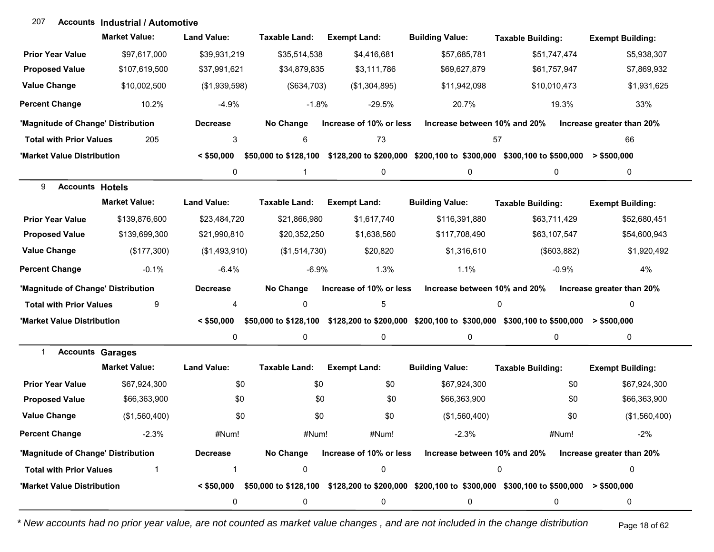#### **Accounts Industrial / Automotive**207

|                                    | <b>Market Value:</b>    | <b>Land Value:</b> | <b>Taxable Land:</b>  | <b>Exempt Land:</b>     | <b>Building Value:</b>                                                                                                 | <b>Taxable Building:</b> | <b>Exempt Building:</b>   |
|------------------------------------|-------------------------|--------------------|-----------------------|-------------------------|------------------------------------------------------------------------------------------------------------------------|--------------------------|---------------------------|
| <b>Prior Year Value</b>            | \$97,617,000            | \$39,931,219       | \$35,514,538          | \$4,416,681             | \$57,685,781                                                                                                           | \$51,747,474             | \$5,938,307               |
| <b>Proposed Value</b>              | \$107,619,500           | \$37,991,621       | \$34,879,835          | \$3,111,786             | \$69,627,879                                                                                                           | \$61,757,947             | \$7,869,932               |
| <b>Value Change</b>                | \$10,002,500            | (\$1,939,598)      | (\$634,703)           | (\$1,304,895)           | \$11,942,098                                                                                                           | \$10,010,473             | \$1,931,625               |
| <b>Percent Change</b>              | 10.2%                   | $-4.9%$            | $-1.8%$               | $-29.5%$                | 20.7%                                                                                                                  | 19.3%                    | 33%                       |
| 'Magnitude of Change' Distribution |                         | <b>Decrease</b>    | No Change             | Increase of 10% or less | Increase between 10% and 20%                                                                                           |                          | Increase greater than 20% |
| <b>Total with Prior Values</b>     | 205                     | 3                  | 6                     | 73                      | 57                                                                                                                     |                          | 66                        |
| 'Market Value Distribution         |                         | $<$ \$50,000       |                       |                         | \$50,000 to \$128,100 \$128,200 to \$200,000 \$200,100 to \$300,000 \$300,100 to \$500,000 > \$500,000                 |                          |                           |
|                                    |                         | 0                  | $\mathbf{1}$          | 0                       | 0                                                                                                                      | 0                        | 0                         |
| <b>Accounts Hotels</b><br>9        |                         |                    |                       |                         |                                                                                                                        |                          |                           |
|                                    | <b>Market Value:</b>    | <b>Land Value:</b> | <b>Taxable Land:</b>  | <b>Exempt Land:</b>     | <b>Building Value:</b>                                                                                                 | <b>Taxable Building:</b> | <b>Exempt Building:</b>   |
| <b>Prior Year Value</b>            | \$139,876,600           | \$23,484,720       | \$21,866,980          | \$1,617,740             | \$116,391,880                                                                                                          | \$63,711,429             | \$52,680,451              |
| <b>Proposed Value</b>              | \$139,699,300           | \$21,990,810       | \$20,352,250          | \$1,638,560             | \$117,708,490                                                                                                          | \$63,107,547             | \$54,600,943              |
| <b>Value Change</b>                | (\$177,300)             | (\$1,493,910)      | (\$1,514,730)         | \$20,820                | \$1,316,610                                                                                                            | (\$603, 882)             | \$1,920,492               |
| <b>Percent Change</b>              | $-0.1%$                 | $-6.4%$            | $-6.9%$               | 1.3%                    | 1.1%                                                                                                                   | $-0.9%$                  | 4%                        |
| 'Magnitude of Change' Distribution |                         | <b>Decrease</b>    | No Change             | Increase of 10% or less | Increase between 10% and 20%                                                                                           |                          | Increase greater than 20% |
| <b>Total with Prior Values</b>     | 9                       | 4                  | 0                     | 5                       |                                                                                                                        | 0                        | 0                         |
| 'Market Value Distribution         |                         | $<$ \$50,000       | \$50,000 to \$128,100 |                         | \$128,200 to \$200,000 \$200,100 to \$300,000 \$300,100 to \$500,000                                                   |                          | $>$ \$500,000             |
|                                    |                         | 0                  | 0                     | 0                       | 0                                                                                                                      | 0                        | 0                         |
| 1                                  | <b>Accounts Garages</b> |                    |                       |                         |                                                                                                                        |                          |                           |
|                                    | <b>Market Value:</b>    | <b>Land Value:</b> | <b>Taxable Land:</b>  | <b>Exempt Land:</b>     | <b>Building Value:</b>                                                                                                 | <b>Taxable Building:</b> | <b>Exempt Building:</b>   |
| <b>Prior Year Value</b>            | \$67,924,300            | \$0                | \$0                   | \$0                     | \$67,924,300                                                                                                           | \$0                      | \$67,924,300              |
| <b>Proposed Value</b>              | \$66,363,900            | \$0                | \$0                   | \$0                     | \$66,363,900                                                                                                           | \$0                      | \$66,363,900              |
| <b>Value Change</b>                | (\$1,560,400)           | \$0                | \$0                   | \$0                     | (\$1,560,400)                                                                                                          | \$0                      | (\$1,560,400)             |
| <b>Percent Change</b>              | $-2.3%$                 | #Num!              | #Num!                 | #Num!                   | $-2.3%$                                                                                                                | #Num!                    | $-2%$                     |
| 'Magnitude of Change' Distribution |                         | <b>Decrease</b>    | No Change             | Increase of 10% or less | Increase between 10% and 20%                                                                                           |                          | Increase greater than 20% |
| <b>Total with Prior Values</b>     |                         |                    | 0                     | $\pmb{0}$               |                                                                                                                        | 0                        | 0                         |
| 'Market Value Distribution         |                         |                    |                       |                         | $\leq$ \$50,000 \$50,000 to \$128,100 \$128,200 to \$200,000 \$200,100 to \$300,000 \$300,100 to \$500,000 > \$500,000 |                          |                           |
|                                    |                         | 0                  | 0                     | 0                       | 0                                                                                                                      | 0                        | 0                         |

*\* New accounts had no prior year value, are not counted as market value changes , and are not included in the change distribution* Page 18 of 62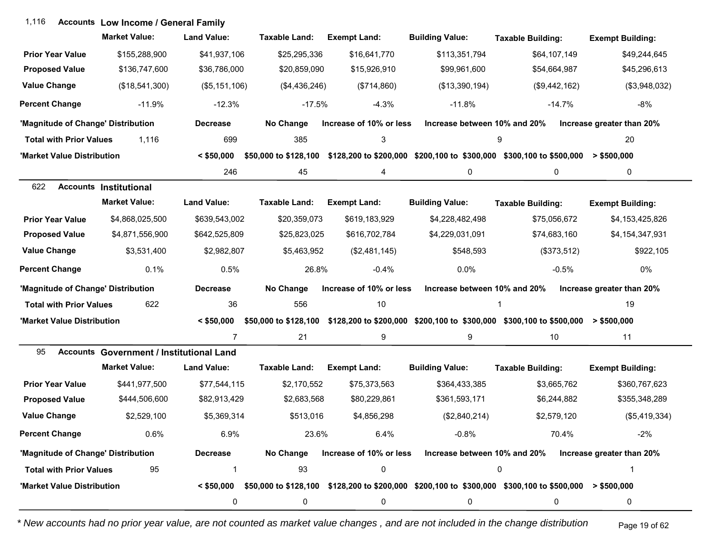| 1,116                              | <b>Accounts Low Income / General Family</b>     |                    |                       |                         |                              |                                                                                                                             |                           |
|------------------------------------|-------------------------------------------------|--------------------|-----------------------|-------------------------|------------------------------|-----------------------------------------------------------------------------------------------------------------------------|---------------------------|
|                                    | <b>Market Value:</b>                            | <b>Land Value:</b> | Taxable Land:         | <b>Exempt Land:</b>     | <b>Building Value:</b>       | <b>Taxable Building:</b>                                                                                                    | <b>Exempt Building:</b>   |
| <b>Prior Year Value</b>            | \$155,288,900                                   | \$41,937,106       | \$25,295,336          | \$16,641,770            | \$113,351,794                | \$64,107,149                                                                                                                | \$49,244,645              |
| <b>Proposed Value</b>              | \$136,747,600                                   | \$36,786,000       | \$20,859,090          | \$15,926,910            | \$99,961,600                 | \$54,664,987                                                                                                                | \$45,296,613              |
| <b>Value Change</b>                | (\$18,541,300)                                  | (\$5, 151, 106)    | (\$4,436,246)         | (\$714,860)             | (\$13,390,194)               | (\$9,442,162)                                                                                                               | (\$3,948,032)             |
| <b>Percent Change</b>              | $-11.9%$                                        | $-12.3%$           | $-17.5%$              | $-4.3%$                 | $-11.8%$                     | $-14.7%$                                                                                                                    | $-8%$                     |
| 'Magnitude of Change' Distribution |                                                 | <b>Decrease</b>    | No Change             | Increase of 10% or less | Increase between 10% and 20% |                                                                                                                             | Increase greater than 20% |
| <b>Total with Prior Values</b>     | 1,116                                           | 699                | 385                   | 3                       |                              | 9                                                                                                                           | 20                        |
| 'Market Value Distribution         |                                                 | $<$ \$50,000       | \$50,000 to \$128,100 |                         |                              | \$128,200 to \$200,000 \$200,100 to \$300,000 \$300,100 to \$500,000                                                        | $>$ \$500,000             |
|                                    |                                                 | 246                | 45                    | 4                       | 0                            | 0                                                                                                                           | 0                         |
| 622                                | <b>Accounts Institutional</b>                   |                    |                       |                         |                              |                                                                                                                             |                           |
|                                    | <b>Market Value:</b>                            | <b>Land Value:</b> | <b>Taxable Land:</b>  | <b>Exempt Land:</b>     | <b>Building Value:</b>       | <b>Taxable Building:</b>                                                                                                    | <b>Exempt Building:</b>   |
| <b>Prior Year Value</b>            | \$4,868,025,500                                 | \$639,543,002      | \$20,359,073          | \$619,183,929           | \$4,228,482,498              | \$75,056,672                                                                                                                | \$4,153,425,826           |
| <b>Proposed Value</b>              | \$4,871,556,900                                 | \$642,525,809      | \$25,823,025          | \$616,702,784           | \$4,229,031,091              | \$74,683,160                                                                                                                | \$4,154,347,931           |
| <b>Value Change</b>                | \$3,531,400                                     | \$2,982,807        | \$5,463,952           | (\$2,481,145)           | \$548,593                    | (\$373,512)                                                                                                                 | \$922,105                 |
| <b>Percent Change</b>              | 0.1%                                            | 0.5%               | 26.8%                 | $-0.4%$                 | 0.0%                         | $-0.5%$                                                                                                                     | 0%                        |
| 'Magnitude of Change' Distribution |                                                 | <b>Decrease</b>    | No Change             | Increase of 10% or less | Increase between 10% and 20% |                                                                                                                             | Increase greater than 20% |
| <b>Total with Prior Values</b>     | 622                                             | 36                 | 556                   | 10                      |                              |                                                                                                                             | 19                        |
| 'Market Value Distribution         |                                                 | $<$ \$50,000       |                       |                         |                              | \$50,000 to \$128,100 \$128,200 to \$200,000 \$200,100 to \$300,000 \$300,100 to \$500,000 > \$500,000                      |                           |
|                                    |                                                 | $\overline{7}$     | 21                    | 9                       | 9                            | 10                                                                                                                          | 11                        |
| 95                                 | <b>Accounts Government / Institutional Land</b> |                    |                       |                         |                              |                                                                                                                             |                           |
|                                    | <b>Market Value:</b>                            | <b>Land Value:</b> | <b>Taxable Land:</b>  | <b>Exempt Land:</b>     | <b>Building Value:</b>       | <b>Taxable Building:</b>                                                                                                    | <b>Exempt Building:</b>   |
| <b>Prior Year Value</b>            | \$441,977,500                                   | \$77,544,115       | \$2,170,552           | \$75,373,563            | \$364,433,385                | \$3,665,762                                                                                                                 | \$360,767,623             |
| <b>Proposed Value</b>              | \$444,506,600                                   | \$82,913,429       | \$2,683,568           | \$80,229,861            | \$361,593,171                | \$6,244,882                                                                                                                 | \$355,348,289             |
| <b>Value Change</b>                | \$2,529,100                                     | \$5,369,314        | \$513,016             | \$4,856,298             | (\$2,840,214)                | \$2,579,120                                                                                                                 | (\$5,419,334)             |
| <b>Percent Change</b>              | 0.6%                                            | 6.9%               | 23.6%                 | 6.4%                    | $-0.8%$                      | 70.4%                                                                                                                       | $-2%$                     |
| 'Magnitude of Change' Distribution |                                                 | <b>Decrease</b>    | No Change             | Increase of 10% or less | Increase between 10% and 20% |                                                                                                                             | Increase greater than 20% |
| <b>Total with Prior Values</b>     | 95                                              | 1                  | 93                    | 0                       |                              | 0                                                                                                                           | 1                         |
| 'Market Value Distribution         |                                                 |                    |                       |                         |                              | $\leq$ \$50,000 \$50,000 to \$128,100 \$128,200 to \$200,000 \$200,100 to \$300,000 \$300,100 to \$500,000 $\geq$ \$500,000 |                           |
|                                    |                                                 | 0                  | 0                     | 0                       | 0                            | 0                                                                                                                           | 0                         |

*\* New accounts had no prior year value, are not counted as market value changes , and are not included in the change distribution* Page 19 of 62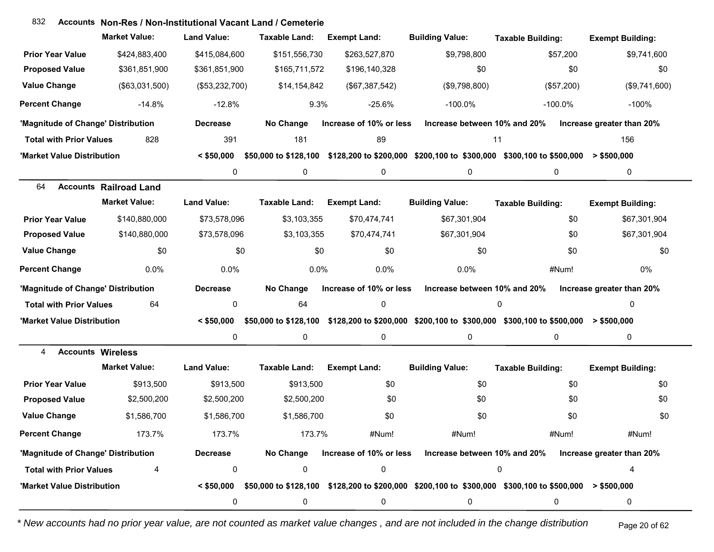## **Accounts** 832 **Non-Res / Non-Institutional Vacant Land / Cemeterie**

|                                    | <b>Market Value:</b>          | <b>Land Value:</b> | <b>Taxable Land:</b>  | <b>Exempt Land:</b>     | <b>Building Value:</b>                                                                                                 | <b>Taxable Building:</b> | <b>Exempt Building:</b>   |
|------------------------------------|-------------------------------|--------------------|-----------------------|-------------------------|------------------------------------------------------------------------------------------------------------------------|--------------------------|---------------------------|
| <b>Prior Year Value</b>            | \$424,883,400                 | \$415,084,600      | \$151,556,730         | \$263,527,870           | \$9,798,800                                                                                                            | \$57,200                 | \$9,741,600               |
| <b>Proposed Value</b>              | \$361,851,900                 | \$361,851,900      | \$165,711,572         | \$196,140,328           | \$0                                                                                                                    | \$0                      | \$0                       |
| <b>Value Change</b>                | (\$63,031,500)                | (\$53,232,700)     | \$14,154,842          | (\$67,387,542)          | (\$9,798,800)                                                                                                          | (\$57,200)               | (\$9,741,600)             |
| <b>Percent Change</b>              | $-14.8%$                      | $-12.8%$           | 9.3%                  | $-25.6%$                | $-100.0\%$                                                                                                             | $-100.0\%$               | $-100%$                   |
| 'Magnitude of Change' Distribution |                               | <b>Decrease</b>    | No Change             | Increase of 10% or less | Increase between 10% and 20%                                                                                           |                          | Increase greater than 20% |
| <b>Total with Prior Values</b>     | 828                           | 391                | 181                   | 89                      | 11                                                                                                                     |                          | 156                       |
| 'Market Value Distribution         |                               | $<$ \$50,000       | \$50,000 to \$128,100 |                         | \$128,200 to \$200,000 \$200,100 to \$300,000 \$300,100 to \$500,000                                                   |                          | > \$500,000               |
|                                    |                               | $\pmb{0}$          | 0                     | 0                       | 0                                                                                                                      | 0                        | 0                         |
| 64                                 | <b>Accounts Railroad Land</b> |                    |                       |                         |                                                                                                                        |                          |                           |
|                                    | <b>Market Value:</b>          | <b>Land Value:</b> | <b>Taxable Land:</b>  | <b>Exempt Land:</b>     | <b>Building Value:</b>                                                                                                 | <b>Taxable Building:</b> | <b>Exempt Building:</b>   |
| <b>Prior Year Value</b>            | \$140,880,000                 | \$73,578,096       | \$3,103,355           | \$70,474,741            | \$67,301,904                                                                                                           | \$0                      | \$67,301,904              |
| <b>Proposed Value</b>              | \$140,880,000                 | \$73,578,096       | \$3,103,355           | \$70,474,741            | \$67,301,904                                                                                                           | \$0                      | \$67,301,904              |
| <b>Value Change</b>                | \$0                           | \$0                | \$0                   | \$0                     | \$0                                                                                                                    | \$0                      | \$0                       |
| <b>Percent Change</b>              | 0.0%                          | 0.0%               | 0.0%                  | 0.0%                    | 0.0%                                                                                                                   | #Num!                    | 0%                        |
| 'Magnitude of Change' Distribution |                               | <b>Decrease</b>    | No Change             | Increase of 10% or less | Increase between 10% and 20%                                                                                           |                          | Increase greater than 20% |
| <b>Total with Prior Values</b>     | 64                            | 0                  | 64                    | $\mathbf 0$             |                                                                                                                        | $\mathbf 0$              | 0                         |
| 'Market Value Distribution         |                               | $<$ \$50.000       | \$50,000 to \$128,100 |                         | \$128,200 to \$200,000 \$200,100 to \$300,000 \$300,100 to \$500,000                                                   |                          | $>$ \$500,000             |
|                                    |                               | 0                  | 0                     | 0                       | 0                                                                                                                      | $\mathbf 0$              | 0                         |
| <b>Accounts Wireless</b><br>4      |                               |                    |                       |                         |                                                                                                                        |                          |                           |
|                                    | <b>Market Value:</b>          | <b>Land Value:</b> | <b>Taxable Land:</b>  | <b>Exempt Land:</b>     | <b>Building Value:</b>                                                                                                 | <b>Taxable Building:</b> | <b>Exempt Building:</b>   |
| <b>Prior Year Value</b>            | \$913,500                     | \$913,500          | \$913,500             | \$0                     | \$0                                                                                                                    | \$0                      | \$0                       |
| <b>Proposed Value</b>              | \$2,500,200                   | \$2,500,200        | \$2,500,200           | \$0                     | \$0                                                                                                                    | \$0                      | \$0                       |
| <b>Value Change</b>                | \$1,586,700                   | \$1,586,700        | \$1,586,700           | \$0                     | \$0                                                                                                                    | \$0                      | \$0                       |
| <b>Percent Change</b>              | 173.7%                        | 173.7%             | 173.7%                | #Num!                   | #Num!                                                                                                                  | #Num!                    | #Num!                     |
| 'Magnitude of Change' Distribution |                               | <b>Decrease</b>    |                       |                         | No Change Increase of 10% or less Increase between 10% and 20% Increase greater than 20%                               |                          |                           |
| <b>Total with Prior Values</b>     | 4                             | 0                  | 0                     | 0                       |                                                                                                                        | 0                        |                           |
| 'Market Value Distribution         |                               |                    |                       |                         | $\leq$ \$50,000 \$50,000 to \$128,100 \$128,200 to \$200,000 \$200,100 to \$300,000 \$300,100 to \$500,000 > \$500,000 |                          |                           |
|                                    |                               | 0                  | 0                     | 0                       | 0                                                                                                                      | 0                        | 0                         |

*\* New accounts had no prior year value, are not counted as market value changes , and are not included in the change distribution* Page 20 of 62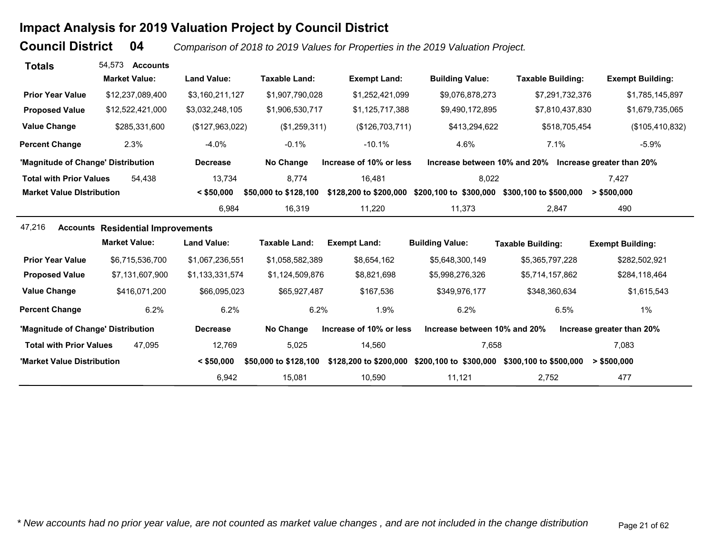# **Impact Analysis for 2019 Valuation Project by Council District**

**Council District**

 **04***Comparison of 2018 to 2019 Values for Properties in the 2019 Valuation Project.* 

| <b>Totals</b>                      | 54.573<br><b>Accounts</b>                |                    |                       |                         |                              |                                                        |                           |
|------------------------------------|------------------------------------------|--------------------|-----------------------|-------------------------|------------------------------|--------------------------------------------------------|---------------------------|
|                                    | <b>Market Value:</b>                     | <b>Land Value:</b> | <b>Taxable Land:</b>  | <b>Exempt Land:</b>     | <b>Building Value:</b>       | <b>Taxable Building:</b>                               | <b>Exempt Building:</b>   |
| <b>Prior Year Value</b>            | \$12,237,089,400                         | \$3,160,211,127    | \$1,907,790,028       | \$1,252,421,099         | \$9,076,878,273              | \$7,291,732,376                                        | \$1,785,145,897           |
| <b>Proposed Value</b>              | \$12,522,421,000                         | \$3,032,248,105    | \$1,906,530,717       | \$1,125,717,388         | \$9,490,172,895              | \$7,810,437,830                                        | \$1,679,735,065           |
| <b>Value Change</b>                | \$285,331,600                            | (\$127,963,022)    | (\$1,259,311)         | (\$126,703,711)         | \$413,294,622                | \$518,705,454                                          | (\$105,410,832)           |
| <b>Percent Change</b>              | 2.3%                                     | $-4.0%$            | $-0.1%$               | $-10.1%$                | 4.6%                         | 7.1%                                                   | $-5.9%$                   |
| 'Magnitude of Change' Distribution |                                          | <b>Decrease</b>    | No Change             | Increase of 10% or less |                              | Increase between 10% and 20% Increase greater than 20% |                           |
| <b>Total with Prior Values</b>     | 54.438                                   | 13,734             | 8,774                 | 16,481                  | 8,022                        |                                                        | 7.427                     |
| <b>Market Value Distribution</b>   |                                          | $<$ \$50,000       | \$50,000 to \$128,100 | \$128,200 to \$200,000  | \$200,100 to \$300,000       | \$300,100 to \$500,000                                 | > \$500,000               |
|                                    |                                          | 6,984              | 16,319                | 11,220                  | 11,373                       | 2,847                                                  | 490                       |
| 47,216                             | <b>Accounts Residential Improvements</b> |                    |                       |                         |                              |                                                        |                           |
|                                    | <b>Market Value:</b>                     | <b>Land Value:</b> | <b>Taxable Land:</b>  | <b>Exempt Land:</b>     | <b>Building Value:</b>       | <b>Taxable Building:</b>                               | <b>Exempt Building:</b>   |
| <b>Prior Year Value</b>            | \$6,715,536,700                          | \$1,067,236,551    | \$1,058,582,389       | \$8,654,162             | \$5,648,300,149              | \$5,365,797,228                                        | \$282,502,921             |
| <b>Proposed Value</b>              | \$7,131,607,900                          | \$1,133,331,574    | \$1,124,509,876       | \$8,821,698             | \$5,998,276,326              | \$5,714,157,862                                        | \$284,118,464             |
| <b>Value Change</b>                | \$416,071,200                            | \$66,095,023       | \$65,927,487          | \$167,536               | \$349,976,177                | \$348,360,634                                          | \$1,615,543               |
| <b>Percent Change</b>              | 6.2%                                     | 6.2%               | 6.2%                  | 1.9%                    | 6.2%                         | 6.5%                                                   | 1%                        |
| 'Magnitude of Change' Distribution |                                          | <b>Decrease</b>    | No Change             | Increase of 10% or less | Increase between 10% and 20% |                                                        | Increase greater than 20% |
| <b>Total with Prior Values</b>     | 47.095                                   | 12,769             | 5,025                 | 14,560                  | 7,658                        |                                                        | 7,083                     |
| 'Market Value Distribution         |                                          | $<$ \$50,000       | \$50,000 to \$128,100 | \$128,200 to \$200,000  | \$200,100 to \$300,000       | \$300,100 to \$500,000                                 | > \$500,000               |
|                                    |                                          | 6,942              | 15,081                | 10,590                  | 11,121                       | 2,752                                                  | 477                       |

*\* New accounts had no prior year value, are not counted as market value changes , and are not included in the change distribution* Page 21 of 62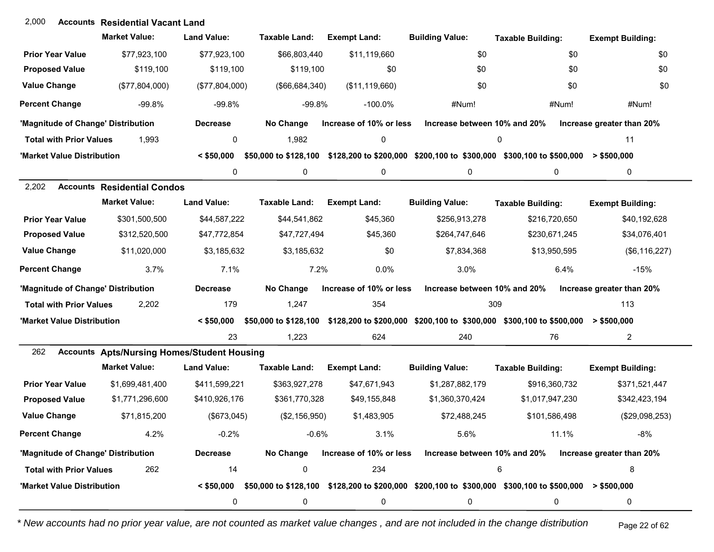## **Accounts** 2,000 **Residential Vacant Land**

|                                    | <b>Market Value:</b>                               | <b>Land Value:</b> | Taxable Land:         | <b>Exempt Land:</b>     | <b>Building Value:</b>                                                                                                      | <b>Taxable Building:</b> | <b>Exempt Building:</b>   |
|------------------------------------|----------------------------------------------------|--------------------|-----------------------|-------------------------|-----------------------------------------------------------------------------------------------------------------------------|--------------------------|---------------------------|
| <b>Prior Year Value</b>            | \$77,923,100                                       | \$77,923,100       | \$66,803,440          | \$11,119,660            | \$0                                                                                                                         | \$0                      | \$0                       |
| <b>Proposed Value</b>              | \$119,100                                          | \$119,100          | \$119,100             | \$0                     | \$0                                                                                                                         | \$0                      | \$0                       |
| <b>Value Change</b>                | (\$77,804,000)                                     | (\$77,804,000)     | (\$66,684,340)        | (\$11,119,660)          | \$0                                                                                                                         | \$0                      | \$0                       |
| <b>Percent Change</b>              | $-99.8%$                                           | $-99.8%$           | $-99.8%$              | $-100.0\%$              | #Num!                                                                                                                       | #Num!                    | #Num!                     |
| 'Magnitude of Change' Distribution |                                                    | <b>Decrease</b>    | No Change             | Increase of 10% or less | Increase between 10% and 20%                                                                                                |                          | Increase greater than 20% |
| <b>Total with Prior Values</b>     | 1,993                                              | 0                  | 1,982                 | 0                       |                                                                                                                             | 0                        | 11                        |
| 'Market Value Distribution         |                                                    | $<$ \$50,000       | \$50,000 to \$128,100 |                         | \$128,200 to \$200,000 \$200,100 to \$300,000 \$300,100 to \$500,000                                                        |                          | $>$ \$500,000             |
|                                    |                                                    | 0                  | 0                     | 0                       | 0                                                                                                                           | 0                        | 0                         |
| 2,202                              | <b>Accounts Residential Condos</b>                 |                    |                       |                         |                                                                                                                             |                          |                           |
|                                    | <b>Market Value:</b>                               | <b>Land Value:</b> | Taxable Land:         | <b>Exempt Land:</b>     | <b>Building Value:</b>                                                                                                      | <b>Taxable Building:</b> | <b>Exempt Building:</b>   |
| <b>Prior Year Value</b>            | \$301,500,500                                      | \$44,587,222       | \$44,541,862          | \$45,360                | \$256,913,278                                                                                                               | \$216,720,650            | \$40,192,628              |
| <b>Proposed Value</b>              | \$312,520,500                                      | \$47,772,854       | \$47,727,494          | \$45,360                | \$264,747,646                                                                                                               | \$230,671,245            | \$34,076,401              |
| <b>Value Change</b>                | \$11,020,000                                       | \$3,185,632        | \$3,185,632           | \$0                     | \$7,834,368                                                                                                                 | \$13,950,595             | (\$6,116,227)             |
| <b>Percent Change</b>              | 3.7%                                               | 7.1%               | 7.2%                  | 0.0%                    | 3.0%                                                                                                                        | 6.4%                     | $-15%$                    |
| 'Magnitude of Change' Distribution |                                                    | <b>Decrease</b>    | No Change             | Increase of 10% or less | Increase between 10% and 20%                                                                                                |                          | Increase greater than 20% |
| <b>Total with Prior Values</b>     | 2,202                                              | 179                | 1,247                 | 354                     | 309                                                                                                                         |                          | 113                       |
| 'Market Value Distribution         |                                                    | $<$ \$50,000       |                       |                         | \$50,000 to \$128,100 \$128,200 to \$200,000 \$200,100 to \$300,000 \$300,100 to \$500,000 > \$500,000                      |                          |                           |
|                                    |                                                    | 23                 | 1,223                 | 624                     | 240                                                                                                                         | 76                       | $\overline{a}$            |
| 262                                | <b>Accounts Apts/Nursing Homes/Student Housing</b> |                    |                       |                         |                                                                                                                             |                          |                           |
|                                    | <b>Market Value:</b>                               | <b>Land Value:</b> | <b>Taxable Land:</b>  | <b>Exempt Land:</b>     | <b>Building Value:</b>                                                                                                      | <b>Taxable Building:</b> | <b>Exempt Building:</b>   |
| <b>Prior Year Value</b>            | \$1,699,481,400                                    | \$411,599,221      | \$363,927,278         | \$47,671,943            | \$1,287,882,179                                                                                                             | \$916,360,732            | \$371,521,447             |
| <b>Proposed Value</b>              | \$1,771,296,600                                    | \$410,926,176      | \$361,770,328         | \$49,155,848            | \$1,360,370,424                                                                                                             | \$1,017,947,230          | \$342,423,194             |
| <b>Value Change</b>                | \$71,815,200                                       | (\$673,045)        | (\$2,156,950)         | \$1,483,905             | \$72,488,245                                                                                                                | \$101,586,498            | (\$29,098,253)            |
| <b>Percent Change</b>              | 4.2%                                               | $-0.2%$            | $-0.6%$               | 3.1%                    | 5.6%                                                                                                                        | 11.1%                    | $-8%$                     |
| 'Magnitude of Change' Distribution |                                                    | <b>Decrease</b>    | No Change             |                         | Increase of 10% or less Increase between 10% and 20%                                                                        |                          | Increase greater than 20% |
| <b>Total with Prior Values</b>     | 262                                                | 14                 | 0                     | 234                     |                                                                                                                             | 6                        | 8                         |
| 'Market Value Distribution         |                                                    |                    |                       |                         | $\leq$ \$50,000 \$50,000 to \$128,100 \$128,200 to \$200,000 \$200,100 to \$300,000 \$300,100 to \$500,000 $\geq$ \$500,000 |                          |                           |
|                                    |                                                    | 0                  | 0                     | 0                       | 0                                                                                                                           | 0                        | 0                         |

*\* New accounts had no prior year value, are not counted as market value changes , and are not included in the change distribution* Page 22 of 62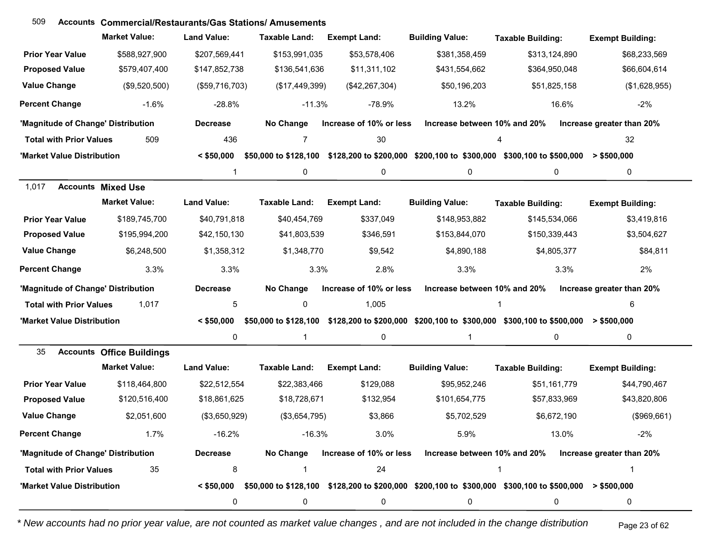| 509                                | <b>Accounts Commercial/Restaurants/Gas Stations/ Amusements</b> |                    |                       |                         |                              |                                                                                                                                                      |                           |
|------------------------------------|-----------------------------------------------------------------|--------------------|-----------------------|-------------------------|------------------------------|------------------------------------------------------------------------------------------------------------------------------------------------------|---------------------------|
|                                    | <b>Market Value:</b>                                            | <b>Land Value:</b> | Taxable Land:         | <b>Exempt Land:</b>     | <b>Building Value:</b>       | <b>Taxable Building:</b>                                                                                                                             | <b>Exempt Building:</b>   |
| <b>Prior Year Value</b>            | \$588,927,900                                                   | \$207,569,441      | \$153,991,035         | \$53,578,406            | \$381,358,459                | \$313,124,890                                                                                                                                        | \$68,233,569              |
| <b>Proposed Value</b>              | \$579,407,400                                                   | \$147,852,738      | \$136,541,636         | \$11,311,102            | \$431,554,662                | \$364,950,048                                                                                                                                        | \$66,604,614              |
| <b>Value Change</b>                | (\$9,520,500)                                                   | (\$59,716,703)     | (\$17,449,399)        | (\$42, 267, 304)        | \$50,196,203                 | \$51,825,158                                                                                                                                         | (\$1,628,955)             |
| <b>Percent Change</b>              | $-1.6%$                                                         | $-28.8%$           | $-11.3%$              | $-78.9%$                | 13.2%                        | 16.6%                                                                                                                                                | $-2%$                     |
| 'Magnitude of Change' Distribution |                                                                 | <b>Decrease</b>    | No Change             | Increase of 10% or less | Increase between 10% and 20% |                                                                                                                                                      | Increase greater than 20% |
| <b>Total with Prior Values</b>     | 509                                                             | 436                | $\overline{7}$        | 30                      |                              | 4                                                                                                                                                    | 32                        |
| 'Market Value Distribution         |                                                                 | $<$ \$50,000       |                       |                         |                              | \$50,000 to \$128,100 \$128,200 to \$200,000 \$200,100 to \$300,000 \$300,100 to \$500,000                                                           | $>$ \$500,000             |
|                                    |                                                                 | 1                  | 0                     | 0                       | 0                            | 0                                                                                                                                                    | 0                         |
| 1,017                              | <b>Accounts Mixed Use</b>                                       |                    |                       |                         |                              |                                                                                                                                                      |                           |
|                                    | <b>Market Value:</b>                                            | <b>Land Value:</b> | <b>Taxable Land:</b>  | <b>Exempt Land:</b>     | <b>Building Value:</b>       | <b>Taxable Building:</b>                                                                                                                             | <b>Exempt Building:</b>   |
| <b>Prior Year Value</b>            | \$189,745,700                                                   | \$40,791,818       | \$40,454,769          | \$337,049               | \$148,953,882                | \$145,534,066                                                                                                                                        | \$3,419,816               |
| <b>Proposed Value</b>              | \$195,994,200                                                   | \$42,150,130       | \$41,803,539          | \$346,591               | \$153,844,070                | \$150,339,443                                                                                                                                        | \$3,504,627               |
| <b>Value Change</b>                | \$6,248,500                                                     | \$1,358,312        | \$1,348,770           | \$9,542                 | \$4,890,188                  | \$4,805,377                                                                                                                                          | \$84,811                  |
| <b>Percent Change</b>              | 3.3%                                                            | 3.3%               | 3.3%                  | 2.8%                    | 3.3%                         | 3.3%                                                                                                                                                 | 2%                        |
| 'Magnitude of Change' Distribution |                                                                 | <b>Decrease</b>    | No Change             | Increase of 10% or less | Increase between 10% and 20% |                                                                                                                                                      | Increase greater than 20% |
| <b>Total with Prior Values</b>     | 1,017                                                           | 5                  | 0                     | 1,005                   |                              |                                                                                                                                                      | 6                         |
| 'Market Value Distribution         |                                                                 | $<$ \$50,000       | \$50,000 to \$128,100 |                         |                              | \$128,200 to \$200,000 \$200,100 to \$300,000 \$300,100 to \$500,000                                                                                 | > \$500,000               |
|                                    |                                                                 | 0                  | $\overline{1}$        | 0                       | 1                            | 0                                                                                                                                                    | 0                         |
| 35<br><b>Accounts</b>              | <b>Office Buildings</b>                                         |                    |                       |                         |                              |                                                                                                                                                      |                           |
|                                    | <b>Market Value:</b>                                            | <b>Land Value:</b> | Taxable Land:         | <b>Exempt Land:</b>     | <b>Building Value:</b>       | <b>Taxable Building:</b>                                                                                                                             | <b>Exempt Building:</b>   |
| <b>Prior Year Value</b>            | \$118,464,800                                                   | \$22,512,554       | \$22,383,466          | \$129,088               | \$95,952,246                 | \$51,161,779                                                                                                                                         | \$44,790,467              |
| <b>Proposed Value</b>              | \$120,516,400                                                   | \$18,861,625       | \$18,728,671          | \$132,954               | \$101,654,775                | \$57,833,969                                                                                                                                         | \$43,820,806              |
| <b>Value Change</b>                | \$2,051,600                                                     | (\$3,650,929)      | (\$3,654,795)         | \$3,866                 | \$5,702,529                  | \$6,672,190                                                                                                                                          | (\$969,661)               |
| <b>Percent Change</b>              | 1.7%                                                            | $-16.2%$           | $-16.3%$              | 3.0%                    | 5.9%                         | 13.0%                                                                                                                                                | $-2%$                     |
| 'Magnitude of Change' Distribution |                                                                 | <b>Decrease</b>    | No Change             | Increase of 10% or less | Increase between 10% and 20% |                                                                                                                                                      | Increase greater than 20% |
| <b>Total with Prior Values</b>     | 35                                                              | 8                  | $\overline{1}$        | 24                      |                              | 1                                                                                                                                                    | -1                        |
| 'Market Value Distribution         |                                                                 |                    |                       |                         |                              | $\leq$ \$50,000 $\,$ \$50,000 to \$128,100 $\,$ \$128,200 to \$200,000 $\,$ \$200,100 to \$300,000 $\,$ \$300,100 to \$500,000 $\,$ > \$500,000 $\,$ |                           |
|                                    |                                                                 | 0                  | 0                     | 0                       | 0                            | 0                                                                                                                                                    | 0                         |

*\* New accounts had no prior year value, are not counted as market value changes , and are not included in the change distribution* Page 23 of 62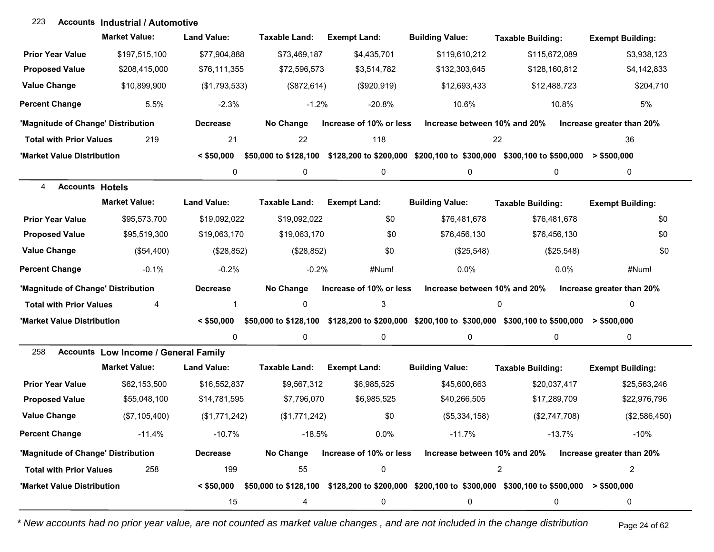### **Accounts Industrial / Automotive**223

|                                    | <b>Market Value:</b>                        | <b>Land Value:</b> | Taxable Land:        | <b>Exempt Land:</b>     | <b>Building Value:</b>       | <b>Taxable Building:</b>                                                                                               | <b>Exempt Building:</b>   |
|------------------------------------|---------------------------------------------|--------------------|----------------------|-------------------------|------------------------------|------------------------------------------------------------------------------------------------------------------------|---------------------------|
| <b>Prior Year Value</b>            | \$197,515,100                               | \$77,904,888       | \$73,469,187         | \$4,435,701             | \$119,610,212                | \$115,672,089                                                                                                          | \$3,938,123               |
| <b>Proposed Value</b>              | \$208,415,000                               | \$76,111,355       | \$72,596,573         | \$3,514,782             | \$132,303,645                | \$128,160,812                                                                                                          | \$4,142,833               |
| <b>Value Change</b>                | \$10,899,900                                | (\$1,793,533)      | (\$872, 614)         | (\$920,919)             | \$12,693,433                 | \$12,488,723                                                                                                           | \$204,710                 |
| <b>Percent Change</b>              | 5.5%                                        | $-2.3%$            | $-1.2%$              | $-20.8%$                | 10.6%                        | 10.8%                                                                                                                  | 5%                        |
| 'Magnitude of Change' Distribution |                                             | <b>Decrease</b>    | No Change            | Increase of 10% or less | Increase between 10% and 20% |                                                                                                                        | Increase greater than 20% |
| <b>Total with Prior Values</b>     | 219                                         | 21                 | 22                   | 118                     | 22                           |                                                                                                                        | 36                        |
| 'Market Value Distribution         |                                             | $<$ \$50,000       |                      |                         |                              | \$50,000 to \$128,100 \$128,200 to \$200,000 \$200,100 to \$300,000 \$300,100 to \$500,000 > \$500,000                 |                           |
|                                    |                                             | 0                  | 0                    | 0                       | 0                            | $\mathbf 0$                                                                                                            | 0                         |
| 4<br><b>Accounts Hotels</b>        |                                             |                    |                      |                         |                              |                                                                                                                        |                           |
|                                    | <b>Market Value:</b>                        | <b>Land Value:</b> | <b>Taxable Land:</b> | <b>Exempt Land:</b>     | <b>Building Value:</b>       | <b>Taxable Building:</b>                                                                                               | <b>Exempt Building:</b>   |
| <b>Prior Year Value</b>            | \$95,573,700                                | \$19,092,022       | \$19,092,022         | \$0                     | \$76,481,678                 | \$76,481,678                                                                                                           | \$0                       |
| <b>Proposed Value</b>              | \$95,519,300                                | \$19,063,170       | \$19,063,170         | \$0                     | \$76,456,130                 | \$76,456,130                                                                                                           | \$0                       |
| <b>Value Change</b>                | (\$54,400)                                  | (\$28,852)         | (\$28,852)           | \$0                     | (\$25,548)                   | (\$25,548)                                                                                                             | \$0                       |
| <b>Percent Change</b>              | $-0.1%$                                     | $-0.2%$            | $-0.2%$              | #Num!                   | 0.0%                         | 0.0%                                                                                                                   | #Num!                     |
| 'Magnitude of Change' Distribution |                                             | <b>Decrease</b>    | No Change            | Increase of 10% or less | Increase between 10% and 20% |                                                                                                                        | Increase greater than 20% |
| <b>Total with Prior Values</b>     | 4                                           | 1                  | 0                    | 3                       |                              | 0                                                                                                                      | 0                         |
| 'Market Value Distribution         |                                             | $<$ \$50,000       |                      |                         |                              | \$50,000 to \$128,100 \$128,200 to \$200,000 \$200,100 to \$300,000 \$300,100 to \$500,000 > \$500,000                 |                           |
|                                    |                                             | 0                  | 0                    | 0                       | 0                            | 0                                                                                                                      | 0                         |
| 258                                | <b>Accounts Low Income / General Family</b> |                    |                      |                         |                              |                                                                                                                        |                           |
|                                    | <b>Market Value:</b>                        | <b>Land Value:</b> | <b>Taxable Land:</b> | <b>Exempt Land:</b>     | <b>Building Value:</b>       | <b>Taxable Building:</b>                                                                                               | <b>Exempt Building:</b>   |
| <b>Prior Year Value</b>            | \$62,153,500                                | \$16,552,837       | \$9,567,312          | \$6,985,525             | \$45,600,663                 | \$20,037,417                                                                                                           | \$25,563,246              |
| <b>Proposed Value</b>              | \$55,048,100                                | \$14,781,595       | \$7,796,070          | \$6,985,525             | \$40,266,505                 | \$17,289,709                                                                                                           | \$22,976,796              |
| <b>Value Change</b>                | (\$7,105,400)                               | (\$1,771,242)      | (\$1,771,242)        | \$0                     | (\$5,334,158)                | (\$2,747,708)                                                                                                          | (\$2,586,450)             |
| <b>Percent Change</b>              | $-11.4%$                                    | $-10.7\%$          | $-18.5%$             | 0.0%                    | $-11.7\%$                    | $-13.7%$                                                                                                               | -10%                      |
| 'Magnitude of Change' Distribution |                                             | <b>Decrease</b>    | No Change            | Increase of 10% or less | Increase between 10% and 20% |                                                                                                                        | Increase greater than 20% |
| <b>Total with Prior Values</b>     | 258                                         | 199                | 55                   | 0                       |                              | $\overline{2}$                                                                                                         | $\overline{c}$            |
| 'Market Value Distribution         |                                             |                    |                      |                         |                              | $\leq$ \$50,000 \$50,000 to \$128,100 \$128,200 to \$200,000 \$200,100 to \$300,000 \$300,100 to \$500,000 > \$500,000 |                           |
|                                    |                                             | 15                 | 4                    | 0                       | 0                            | 0                                                                                                                      | 0                         |

*\* New accounts had no prior year value, are not counted as market value changes , and are not included in the change distribution* Page 24 of 62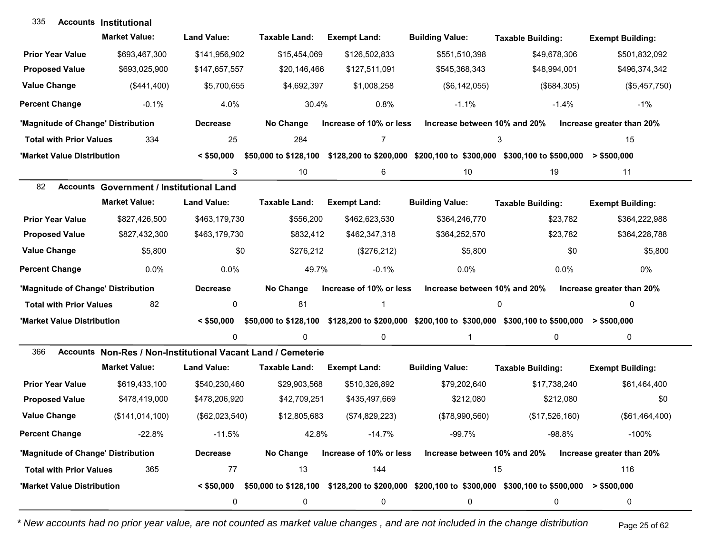| 335                                | <b>Accounts Institutional</b>                                |                    |                       |                         |                              |                                                                                                                        |                           |
|------------------------------------|--------------------------------------------------------------|--------------------|-----------------------|-------------------------|------------------------------|------------------------------------------------------------------------------------------------------------------------|---------------------------|
|                                    | <b>Market Value:</b>                                         | <b>Land Value:</b> | Taxable Land:         | <b>Exempt Land:</b>     | <b>Building Value:</b>       | <b>Taxable Building:</b>                                                                                               | <b>Exempt Building:</b>   |
| <b>Prior Year Value</b>            | \$693,467,300                                                | \$141,956,902      | \$15,454,069          | \$126,502,833           | \$551,510,398                | \$49,678,306                                                                                                           | \$501,832,092             |
| <b>Proposed Value</b>              | \$693,025,900                                                | \$147,657,557      | \$20,146,466          | \$127,511,091           | \$545,368,343                | \$48,994,001                                                                                                           | \$496,374,342             |
| <b>Value Change</b>                | (\$441,400)                                                  | \$5,700,655        | \$4,692,397           | \$1,008,258             | (\$6, 142, 055)              | (\$684,305)                                                                                                            | (\$5,457,750)             |
| <b>Percent Change</b>              | $-0.1%$                                                      | 4.0%               | 30.4%                 | 0.8%                    | $-1.1%$                      | $-1.4%$                                                                                                                | $-1\%$                    |
| 'Magnitude of Change' Distribution |                                                              | <b>Decrease</b>    | No Change             | Increase of 10% or less | Increase between 10% and 20% |                                                                                                                        | Increase greater than 20% |
| <b>Total with Prior Values</b>     | 334                                                          | 25                 | 284                   | 7                       |                              | 3                                                                                                                      | 15                        |
| 'Market Value Distribution         |                                                              | $<$ \$50,000       | \$50,000 to \$128,100 |                         |                              | \$128,200 to \$200,000 \$200,100 to \$300,000 \$300,100 to \$500,000                                                   | $>$ \$500,000             |
|                                    |                                                              | 3                  | 10                    | 6                       | 10                           | 19                                                                                                                     | 11                        |
| 82                                 | <b>Accounts Government / Institutional Land</b>              |                    |                       |                         |                              |                                                                                                                        |                           |
|                                    | <b>Market Value:</b>                                         | <b>Land Value:</b> | <b>Taxable Land:</b>  | <b>Exempt Land:</b>     | <b>Building Value:</b>       | <b>Taxable Building:</b>                                                                                               | <b>Exempt Building:</b>   |
| <b>Prior Year Value</b>            | \$827,426,500                                                | \$463,179,730      | \$556,200             | \$462,623,530           | \$364,246,770                | \$23,782                                                                                                               | \$364,222,988             |
| <b>Proposed Value</b>              | \$827,432,300                                                | \$463,179,730      | \$832,412             | \$462,347,318           | \$364,252,570                | \$23,782                                                                                                               | \$364,228,788             |
| <b>Value Change</b>                | \$5,800                                                      | \$0                | \$276,212             | (\$276,212)             | \$5,800                      | \$0                                                                                                                    | \$5,800                   |
| <b>Percent Change</b>              | 0.0%                                                         | 0.0%               | 49.7%                 | $-0.1%$                 | $0.0\%$                      | 0.0%                                                                                                                   | 0%                        |
| 'Magnitude of Change' Distribution |                                                              | <b>Decrease</b>    | No Change             | Increase of 10% or less | Increase between 10% and 20% |                                                                                                                        | Increase greater than 20% |
| <b>Total with Prior Values</b>     | 82                                                           | 0                  | 81                    |                         |                              | 0                                                                                                                      | 0                         |
| 'Market Value Distribution         |                                                              | $<$ \$50.000       |                       |                         |                              | \$50,000 to \$128,100 \$128,200 to \$200,000 \$200,100 to \$300,000 \$300,100 to \$500,000 > \$500,000                 |                           |
|                                    |                                                              | $\mathbf{0}$       | 0                     | 0                       | $\mathbf{1}$                 | 0                                                                                                                      | $\mathbf 0$               |
| 366                                | Accounts Non-Res / Non-Institutional Vacant Land / Cemeterie |                    |                       |                         |                              |                                                                                                                        |                           |
|                                    | <b>Market Value:</b>                                         | <b>Land Value:</b> | <b>Taxable Land:</b>  | <b>Exempt Land:</b>     | <b>Building Value:</b>       | <b>Taxable Building:</b>                                                                                               | <b>Exempt Building:</b>   |
| <b>Prior Year Value</b>            | \$619,433,100                                                | \$540,230,460      | \$29,903,568          | \$510,326,892           | \$79,202,640                 | \$17,738,240                                                                                                           | \$61,464,400              |
| <b>Proposed Value</b>              | \$478,419,000                                                | \$478,206,920      | \$42,709,251          | \$435,497,669           | \$212,080                    | \$212,080                                                                                                              | \$0                       |
| <b>Value Change</b>                | (\$141,014,100)                                              | (\$62,023,540)     | \$12,805,683          | (\$74,829,223)          | (\$78,990,560)               | (\$17,526,160)                                                                                                         | (\$61,464,400)            |
| <b>Percent Change</b>              | $-22.8%$                                                     | $-11.5%$           | 42.8%                 | $-14.7%$                | $-99.7%$                     | $-98.8%$                                                                                                               | $-100%$                   |
| 'Magnitude of Change' Distribution |                                                              | <b>Decrease</b>    | No Change             | Increase of 10% or less | Increase between 10% and 20% |                                                                                                                        | Increase greater than 20% |
| <b>Total with Prior Values</b>     | 365                                                          | 77                 | 13                    | 144                     |                              | 15                                                                                                                     | 116                       |
| 'Market Value Distribution         |                                                              |                    |                       |                         |                              | $\leq$ \$50,000 \$50,000 to \$128,100 \$128,200 to \$200,000 \$200,100 to \$300,000 \$300,100 to \$500,000 > \$500,000 |                           |
|                                    |                                                              | 0                  | 0                     | 0                       | 0                            | 0                                                                                                                      | 0                         |

*\* New accounts had no prior year value, are not counted as market value changes , and are not included in the change distribution* Page 25 of 62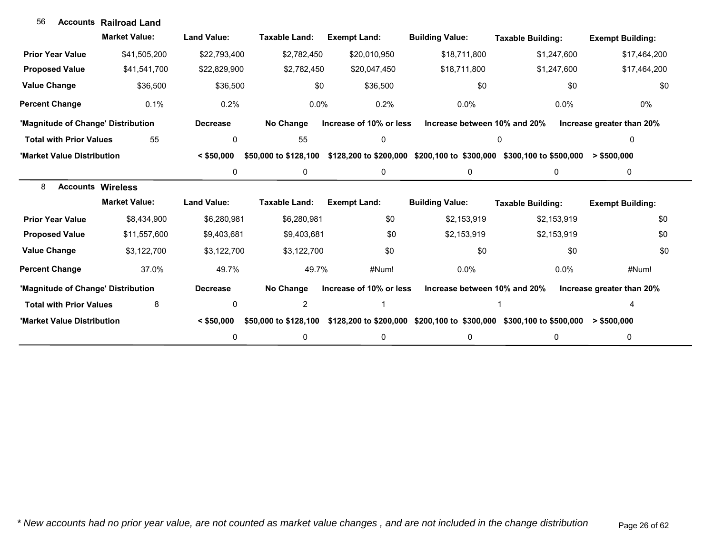| 56                                 | <b>Accounts Railroad Land</b> |                    |                       |                                               |                              |                                                                      |                           |
|------------------------------------|-------------------------------|--------------------|-----------------------|-----------------------------------------------|------------------------------|----------------------------------------------------------------------|---------------------------|
|                                    | <b>Market Value:</b>          | <b>Land Value:</b> | <b>Taxable Land:</b>  | <b>Exempt Land:</b>                           | <b>Building Value:</b>       | <b>Taxable Building:</b>                                             | <b>Exempt Building:</b>   |
| <b>Prior Year Value</b>            | \$41,505,200                  | \$22,793,400       | \$2,782,450           | \$20,010,950                                  | \$18,711,800                 | \$1,247,600                                                          | \$17,464,200              |
| <b>Proposed Value</b>              | \$41,541,700                  | \$22,829,900       | \$2,782,450           | \$20,047,450                                  | \$18,711,800                 | \$1,247,600                                                          | \$17,464,200              |
| <b>Value Change</b>                | \$36,500                      | \$36,500           | \$0                   | \$36,500                                      | \$0                          | \$0                                                                  | \$0                       |
| <b>Percent Change</b>              | 0.1%                          | 0.2%               | $0.0\%$               | 0.2%                                          | $0.0\%$                      | $0.0\%$                                                              | 0%                        |
| 'Magnitude of Change' Distribution |                               | <b>Decrease</b>    | No Change             | Increase of 10% or less                       | Increase between 10% and 20% |                                                                      | Increase greater than 20% |
| <b>Total with Prior Values</b>     | 55                            | 0                  | 55                    | 0                                             |                              | 0                                                                    | 0                         |
| 'Market Value Distribution         |                               | $<$ \$50,000       | \$50,000 to \$128,100 | \$128,200 to \$200,000 \$200,100 to \$300,000 |                              | \$300,100 to \$500,000                                               | > \$500,000               |
|                                    |                               | 0                  | 0                     | 0                                             | 0                            | $\mathbf{0}$                                                         | $\mathbf 0$               |
| 8<br><b>Accounts Wireless</b>      |                               |                    |                       |                                               |                              |                                                                      |                           |
|                                    | <b>Market Value:</b>          | <b>Land Value:</b> | Taxable Land:         | <b>Exempt Land:</b>                           | <b>Building Value:</b>       | <b>Taxable Building:</b>                                             | <b>Exempt Building:</b>   |
| <b>Prior Year Value</b>            | \$8,434,900                   | \$6,280,981        | \$6,280,981           | \$0                                           | \$2,153,919                  | \$2,153,919                                                          | \$0                       |
| <b>Proposed Value</b>              | \$11,557,600                  | \$9,403,681        | \$9,403,681           | \$0                                           | \$2,153,919                  | \$2,153,919                                                          | \$0                       |
| <b>Value Change</b>                | \$3,122,700                   | \$3,122,700        | \$3,122,700           | \$0                                           | \$0                          | \$0                                                                  | \$0                       |
| <b>Percent Change</b>              | 37.0%                         | 49.7%              | 49.7%                 | #Num!                                         | $0.0\%$                      | $0.0\%$                                                              | #Num!                     |
| 'Magnitude of Change' Distribution |                               | <b>Decrease</b>    | No Change             | Increase of 10% or less                       | Increase between 10% and 20% |                                                                      | Increase greater than 20% |
| <b>Total with Prior Values</b>     | 8                             | 0                  | $\overline{2}$        |                                               |                              |                                                                      |                           |
| 'Market Value Distribution         |                               | $<$ \$50,000       | \$50,000 to \$128,100 |                                               |                              | \$128,200 to \$200,000 \$200,100 to \$300,000 \$300,100 to \$500,000 | > \$500,000               |
|                                    |                               | 0                  | 0                     | 0                                             | 0                            | 0                                                                    | 0                         |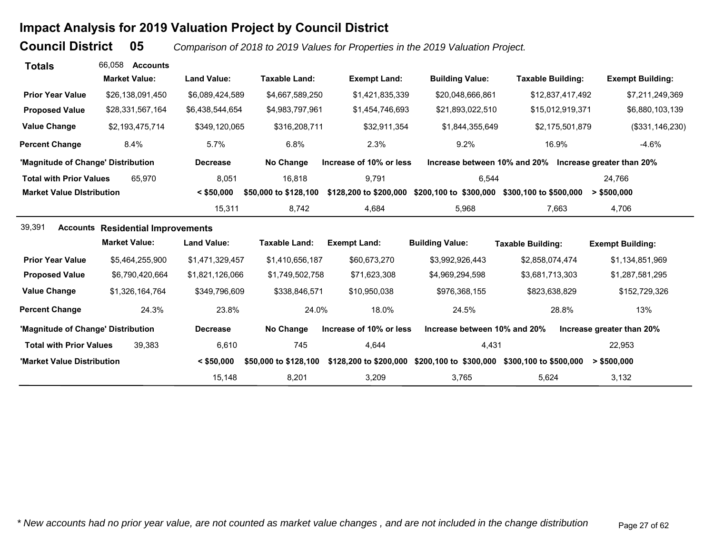# **Impact Analysis for 2019 Valuation Project by Council District**

**Council District**

 **05***Comparison of 2018 to 2019 Values for Properties in the 2019 Valuation Project.* 

| <b>Totals</b>                      | 66.058<br><b>Accounts</b>                |                    |                       |                         |                              |                                                        |                           |
|------------------------------------|------------------------------------------|--------------------|-----------------------|-------------------------|------------------------------|--------------------------------------------------------|---------------------------|
|                                    | <b>Market Value:</b>                     | <b>Land Value:</b> | <b>Taxable Land:</b>  | <b>Exempt Land:</b>     | <b>Building Value:</b>       | <b>Taxable Building:</b>                               | <b>Exempt Building:</b>   |
| <b>Prior Year Value</b>            | \$26,138,091,450                         | \$6,089,424,589    | \$4,667,589,250       | \$1,421,835,339         | \$20,048,666,861             | \$12,837,417,492                                       | \$7,211,249,369           |
| <b>Proposed Value</b>              | \$28,331,567,164                         | \$6,438,544,654    | \$4,983,797,961       | \$1,454,746,693         | \$21,893,022,510             | \$15,012,919,371                                       | \$6,880,103,139           |
| <b>Value Change</b>                | \$2,193,475,714                          | \$349,120,065      | \$316,208,711         | \$32,911,354            | \$1,844,355,649              | \$2,175,501,879                                        | (\$331,146,230)           |
| <b>Percent Change</b>              | 8.4%                                     | 5.7%               | 6.8%                  | 2.3%                    | 9.2%                         | 16.9%                                                  | $-4.6%$                   |
| 'Magnitude of Change' Distribution |                                          | <b>Decrease</b>    | No Change             | Increase of 10% or less |                              | Increase between 10% and 20% Increase greater than 20% |                           |
| <b>Total with Prior Values</b>     | 65.970                                   | 8,051              | 16,818                | 9,791                   | 6,544                        |                                                        | 24,766                    |
| <b>Market Value Distribution</b>   |                                          | $<$ \$50,000       | \$50,000 to \$128,100 | \$128,200 to \$200,000  | \$200,100 to \$300,000       | \$300,100 to \$500,000                                 | > \$500,000               |
|                                    |                                          | 15,311             | 8,742                 | 4,684                   | 5,968                        | 7,663                                                  | 4,706                     |
| 39,391                             | <b>Accounts Residential Improvements</b> |                    |                       |                         |                              |                                                        |                           |
|                                    | <b>Market Value:</b>                     | <b>Land Value:</b> | <b>Taxable Land:</b>  | <b>Exempt Land:</b>     | <b>Building Value:</b>       | <b>Taxable Building:</b>                               | <b>Exempt Building:</b>   |
| <b>Prior Year Value</b>            | \$5,464,255,900                          | \$1,471,329,457    | \$1,410,656,187       | \$60,673,270            | \$3,992,926,443              | \$2,858,074,474                                        | \$1,134,851,969           |
| <b>Proposed Value</b>              | \$6,790,420,664                          | \$1,821,126,066    | \$1,749,502,758       | \$71,623,308            | \$4,969,294,598              | \$3,681,713,303                                        | \$1,287,581,295           |
| <b>Value Change</b>                | \$1,326,164,764                          | \$349,796,609      | \$338,846,571         | \$10,950,038            | \$976,368,155                | \$823,638,829                                          | \$152,729,326             |
| <b>Percent Change</b>              | 24.3%                                    | 23.8%              | 24.0%                 | 18.0%                   | 24.5%                        | 28.8%                                                  | 13%                       |
| 'Magnitude of Change' Distribution |                                          | <b>Decrease</b>    | No Change             | Increase of 10% or less | Increase between 10% and 20% |                                                        | Increase greater than 20% |
| <b>Total with Prior Values</b>     | 39.383                                   | 6,610              | 745                   | 4,644                   | 4,431                        |                                                        | 22,953                    |
| 'Market Value Distribution         |                                          | $<$ \$50,000       | \$50,000 to \$128,100 | \$128,200 to \$200,000  |                              | \$200,100 to \$300,000 \$300,100 to \$500,000          | $>$ \$500,000             |
|                                    |                                          | 15,148             | 8,201                 | 3,209                   | 3,765                        | 5,624                                                  | 3,132                     |

*\* New accounts had no prior year value, are not counted as market value changes , and are not included in the change distribution* Page 27 of 62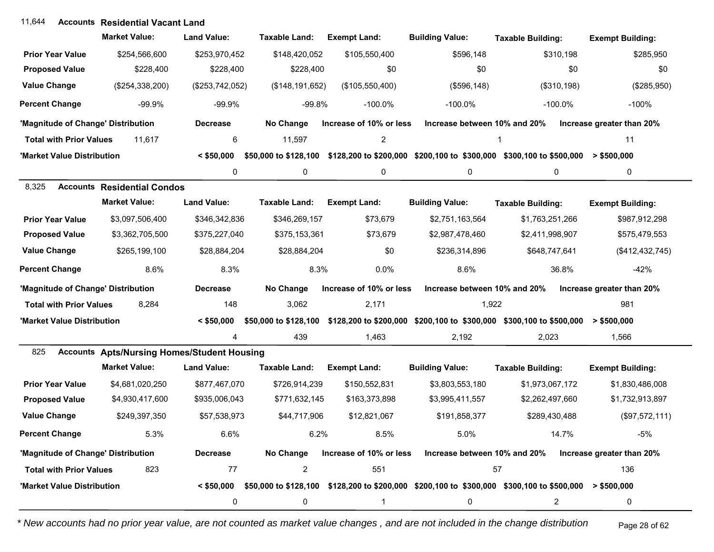## **Accounts** 11,644 **Residential Vacant Land**

|                                    | <b>Market Value:</b>                               | <b>Land Value:</b> | <b>Taxable Land:</b> | <b>Exempt Land:</b>     | <b>Building Value:</b>       | <b>Taxable Building:</b>                                                                                                    | <b>Exempt Building:</b>   |
|------------------------------------|----------------------------------------------------|--------------------|----------------------|-------------------------|------------------------------|-----------------------------------------------------------------------------------------------------------------------------|---------------------------|
| <b>Prior Year Value</b>            | \$254,566,600                                      | \$253,970,452      | \$148,420,052        | \$105,550,400           | \$596,148                    | \$310,198                                                                                                                   | \$285,950                 |
| <b>Proposed Value</b>              | \$228,400                                          | \$228,400          | \$228,400            | \$0                     | \$0                          | \$0                                                                                                                         | \$0                       |
| <b>Value Change</b>                | (\$254,338,200)                                    | (\$253,742,052)    | (\$148, 191, 652)    | (\$105,550,400)         | (\$596, 148)                 | (\$310, 198)                                                                                                                | (\$285,950)               |
| <b>Percent Change</b>              | $-99.9%$                                           | $-99.9%$           | $-99.8%$             | $-100.0\%$              | $-100.0\%$                   | $-100.0\%$                                                                                                                  | $-100%$                   |
| 'Magnitude of Change' Distribution |                                                    | <b>Decrease</b>    | No Change            | Increase of 10% or less | Increase between 10% and 20% |                                                                                                                             | Increase greater than 20% |
| <b>Total with Prior Values</b>     | 11,617                                             | 6                  | 11,597               | 2                       |                              | 1                                                                                                                           | 11                        |
| 'Market Value Distribution         |                                                    | $<$ \$50,000       |                      |                         |                              | \$50,000 to \$128,100 \$128,200 to \$200,000 \$200,100 to \$300,000 \$300,100 to \$500,000 > \$500,000                      |                           |
|                                    |                                                    | 0                  | 0                    | 0                       | 0                            | 0                                                                                                                           | 0                         |
| 8,325                              | <b>Accounts Residential Condos</b>                 |                    |                      |                         |                              |                                                                                                                             |                           |
|                                    | <b>Market Value:</b>                               | <b>Land Value:</b> | <b>Taxable Land:</b> | <b>Exempt Land:</b>     | <b>Building Value:</b>       | <b>Taxable Building:</b>                                                                                                    | <b>Exempt Building:</b>   |
| <b>Prior Year Value</b>            | \$3,097,506,400                                    | \$346,342,836      | \$346,269,157        | \$73,679                | \$2,751,163,564              | \$1,763,251,266                                                                                                             | \$987,912,298             |
| <b>Proposed Value</b>              | \$3,362,705,500                                    | \$375,227,040      | \$375,153,361        | \$73,679                | \$2,987,478,460              | \$2,411,998,907                                                                                                             | \$575,479,553             |
| <b>Value Change</b>                | \$265,199,100                                      | \$28,884,204       | \$28,884,204         | \$0                     | \$236,314,896                | \$648,747,641                                                                                                               | (\$412,432,745)           |
| <b>Percent Change</b>              | 8.6%                                               | 8.3%               | 8.3%                 | 0.0%                    | 8.6%                         | 36.8%                                                                                                                       | $-42%$                    |
| 'Magnitude of Change' Distribution |                                                    | <b>Decrease</b>    | No Change            | Increase of 10% or less | Increase between 10% and 20% |                                                                                                                             | Increase greater than 20% |
| <b>Total with Prior Values</b>     | 8,284                                              | 148                | 3,062                | 2,171                   | 1,922                        |                                                                                                                             | 981                       |
| 'Market Value Distribution         |                                                    | $<$ \$50,000       |                      |                         |                              | \$50,000 to \$128,100 \$128,200 to \$200,000 \$200,100 to \$300,000 \$300,100 to \$500,000                                  | > \$500,000               |
|                                    |                                                    | 4                  | 439                  | 1,463                   | 2,192                        | 2,023                                                                                                                       | 1,566                     |
| 825                                | <b>Accounts Apts/Nursing Homes/Student Housing</b> |                    |                      |                         |                              |                                                                                                                             |                           |
|                                    | <b>Market Value:</b>                               | <b>Land Value:</b> | <b>Taxable Land:</b> | <b>Exempt Land:</b>     | <b>Building Value:</b>       | <b>Taxable Building:</b>                                                                                                    | <b>Exempt Building:</b>   |
| <b>Prior Year Value</b>            | \$4,681,020,250                                    | \$877,467,070      | \$726,914,239        | \$150,552,831           | \$3,803,553,180              | \$1,973,067,172                                                                                                             | \$1,830,486,008           |
| <b>Proposed Value</b>              | \$4,930,417,600                                    | \$935,006,043      | \$771,632,145        | \$163,373,898           | \$3,995,411,557              | \$2,262,497,660                                                                                                             | \$1,732,913,897           |
| <b>Value Change</b>                | \$249,397,350                                      | \$57,538,973       | \$44,717,906         | \$12,821,067            | \$191,858,377                | \$289,430,488                                                                                                               | (\$97,572,111)            |
| <b>Percent Change</b>              | 5.3%                                               | 6.6%               | 6.2%                 | 8.5%                    | 5.0%                         | 14.7%                                                                                                                       | $-5%$                     |
| 'Magnitude of Change' Distribution |                                                    | <b>Decrease</b>    | No Change            | Increase of 10% or less | Increase between 10% and 20% |                                                                                                                             | Increase greater than 20% |
| <b>Total with Prior Values</b>     | 823                                                | 77                 | $\overline{c}$       | 551                     | 57                           |                                                                                                                             | 136                       |
| 'Market Value Distribution         |                                                    |                    |                      |                         |                              | $\leq$ \$50,000 \$50,000 to \$128,100 \$128,200 to \$200,000 \$200,100 to \$300,000 \$300,100 to \$500,000 $\geq$ \$500,000 |                           |
|                                    |                                                    | 0                  | 0                    | 1                       | 0                            | $\overline{2}$                                                                                                              | 0                         |

*\* New accounts had no prior year value, are not counted as market value changes , and are not included in the change distribution* Page 28 of 62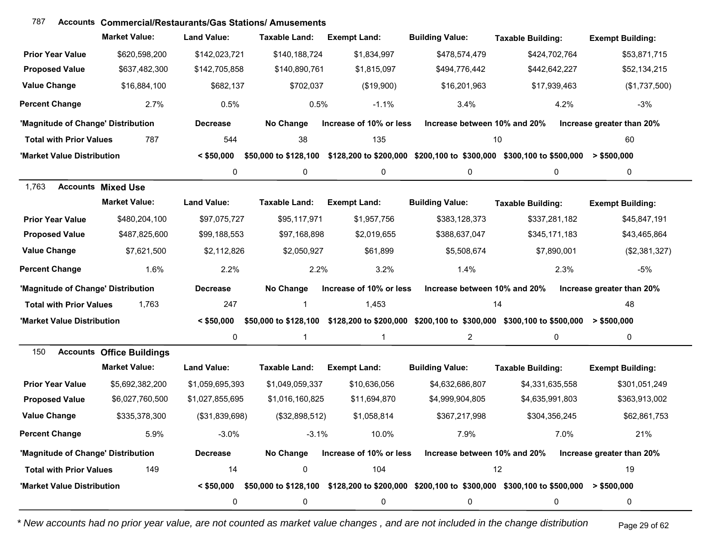| 787                                | <b>Accounts Commercial/Restaurants/Gas Stations/ Amusements</b> |                    |                       |                         |                              |                                                                                                        |                           |
|------------------------------------|-----------------------------------------------------------------|--------------------|-----------------------|-------------------------|------------------------------|--------------------------------------------------------------------------------------------------------|---------------------------|
|                                    | <b>Market Value:</b>                                            | <b>Land Value:</b> | Taxable Land:         | <b>Exempt Land:</b>     | <b>Building Value:</b>       | <b>Taxable Building:</b>                                                                               | <b>Exempt Building:</b>   |
| <b>Prior Year Value</b>            | \$620,598,200                                                   | \$142,023,721      | \$140,188,724         | \$1,834,997             | \$478,574,479                | \$424,702,764                                                                                          | \$53,871,715              |
| <b>Proposed Value</b>              | \$637,482,300                                                   | \$142,705,858      | \$140,890,761         | \$1,815,097             | \$494,776,442                | \$442,642,227                                                                                          | \$52,134,215              |
| <b>Value Change</b>                | \$16,884,100                                                    | \$682,137          | \$702,037             | (\$19,900)              | \$16,201,963                 | \$17,939,463                                                                                           | (\$1,737,500)             |
| <b>Percent Change</b>              | 2.7%                                                            | 0.5%               | 0.5%                  | $-1.1%$                 | 3.4%                         | 4.2%                                                                                                   | $-3%$                     |
| 'Magnitude of Change' Distribution |                                                                 | <b>Decrease</b>    | No Change             | Increase of 10% or less | Increase between 10% and 20% |                                                                                                        | Increase greater than 20% |
| <b>Total with Prior Values</b>     | 787                                                             | 544                | 38                    | 135                     | 10                           |                                                                                                        | 60                        |
| 'Market Value Distribution         |                                                                 | $<$ \$50,000       | \$50,000 to \$128,100 |                         |                              | \$128,200 to \$200,000 \$200,100 to \$300,000 \$300,100 to \$500,000                                   | $>$ \$500,000             |
|                                    |                                                                 | 0                  | 0                     | 0                       | 0                            | 0                                                                                                      | 0                         |
| 1,763                              | <b>Accounts Mixed Use</b>                                       |                    |                       |                         |                              |                                                                                                        |                           |
|                                    | <b>Market Value:</b>                                            | <b>Land Value:</b> | <b>Taxable Land:</b>  | <b>Exempt Land:</b>     | <b>Building Value:</b>       | <b>Taxable Building:</b>                                                                               | <b>Exempt Building:</b>   |
| <b>Prior Year Value</b>            | \$480,204,100                                                   | \$97,075,727       | \$95,117,971          | \$1,957,756             | \$383,128,373                | \$337,281,182                                                                                          | \$45,847,191              |
| <b>Proposed Value</b>              | \$487,825,600                                                   | \$99,188,553       | \$97,168,898          | \$2,019,655             | \$388,637,047                | \$345,171,183                                                                                          | \$43,465,864              |
| <b>Value Change</b>                | \$7,621,500                                                     | \$2,112,826        | \$2,050,927           | \$61,899                | \$5,508,674                  | \$7,890,001                                                                                            | (\$2,381,327)             |
| <b>Percent Change</b>              | 1.6%                                                            | 2.2%               | 2.2%                  | 3.2%                    | 1.4%                         | 2.3%                                                                                                   | $-5%$                     |
| 'Magnitude of Change' Distribution |                                                                 | <b>Decrease</b>    | No Change             | Increase of 10% or less | Increase between 10% and 20% |                                                                                                        | Increase greater than 20% |
| <b>Total with Prior Values</b>     | 1,763                                                           | 247                | -1                    | 1,453                   | 14                           |                                                                                                        | 48                        |
| 'Market Value Distribution         |                                                                 | $<$ \$50,000       | \$50,000 to \$128,100 |                         |                              | \$128,200 to \$200,000 \$200,100 to \$300,000 \$300,100 to \$500,000                                   | $>$ \$500,000             |
|                                    |                                                                 | 0                  | 1                     | -1                      | $\overline{c}$               | 0                                                                                                      | 0                         |
| 150                                | <b>Accounts Office Buildings</b>                                |                    |                       |                         |                              |                                                                                                        |                           |
|                                    | <b>Market Value:</b>                                            | <b>Land Value:</b> | <b>Taxable Land:</b>  | <b>Exempt Land:</b>     | <b>Building Value:</b>       | <b>Taxable Building:</b>                                                                               | <b>Exempt Building:</b>   |
| <b>Prior Year Value</b>            | \$5,692,382,200                                                 | \$1,059,695,393    | \$1,049,059,337       | \$10,636,056            | \$4,632,686,807              | \$4,331,635,558                                                                                        | \$301,051,249             |
| <b>Proposed Value</b>              | \$6,027,760,500                                                 | \$1,027,855,695    | \$1,016,160,825       | \$11,694,870            | \$4,999,904,805              | \$4,635,991,803                                                                                        | \$363,913,002             |
| <b>Value Change</b>                | \$335,378,300                                                   | (\$31,839,698)     | (\$32,898,512)        | \$1,058,814             | \$367,217,998                | \$304,356,245                                                                                          | \$62,861,753              |
| <b>Percent Change</b>              | 5.9%                                                            | $-3.0%$            | $-3.1%$               | 10.0%                   | 7.9%                         | 7.0%                                                                                                   | 21%                       |
| 'Magnitude of Change' Distribution |                                                                 | <b>Decrease</b>    | No Change             | Increase of 10% or less | Increase between 10% and 20% |                                                                                                        | Increase greater than 20% |
| <b>Total with Prior Values</b>     | 149                                                             | 14                 | 0                     | 104                     |                              | 12                                                                                                     | 19                        |
| 'Market Value Distribution         |                                                                 | $<$ \$50,000       |                       |                         |                              | \$50,000 to \$128,100 \$128,200 to \$200,000 \$200,100 to \$300,000 \$300,100 to \$500,000 > \$500,000 |                           |
|                                    |                                                                 | 0                  | 0                     | 0                       | 0                            | 0                                                                                                      | 0                         |

*\* New accounts had no prior year value, are not counted as market value changes , and are not included in the change distribution* Page 29 of 62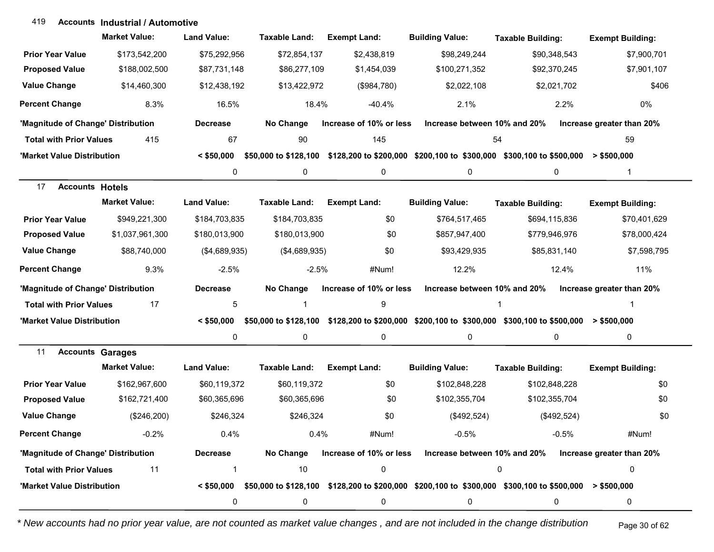#### **Accounts Industrial / Automotive**419

|                                    | <b>Market Value:</b> | <b>Land Value:</b> | <b>Taxable Land:</b>  | <b>Exempt Land:</b>     | <b>Building Value:</b>                                                                                                                              | <b>Taxable Building:</b> | <b>Exempt Building:</b>   |
|------------------------------------|----------------------|--------------------|-----------------------|-------------------------|-----------------------------------------------------------------------------------------------------------------------------------------------------|--------------------------|---------------------------|
| <b>Prior Year Value</b>            | \$173,542,200        | \$75,292,956       | \$72,854,137          | \$2,438,819             | \$98,249,244                                                                                                                                        | \$90,348,543             | \$7,900,701               |
| <b>Proposed Value</b>              | \$188,002,500        | \$87,731,148       | \$86,277,109          | \$1,454,039             | \$100,271,352                                                                                                                                       | \$92,370,245             | \$7,901,107               |
| <b>Value Change</b>                | \$14,460,300         | \$12,438,192       | \$13,422,972          | (\$984,780)             | \$2,022,108                                                                                                                                         | \$2,021,702              | \$406                     |
| <b>Percent Change</b>              | 8.3%                 | 16.5%              | 18.4%                 | $-40.4%$                | 2.1%                                                                                                                                                | 2.2%                     | 0%                        |
| 'Magnitude of Change' Distribution |                      | <b>Decrease</b>    | No Change             | Increase of 10% or less | Increase between 10% and 20%                                                                                                                        |                          | Increase greater than 20% |
| <b>Total with Prior Values</b>     | 415                  | 67                 | 90                    | 145                     | 54                                                                                                                                                  |                          | 59                        |
| 'Market Value Distribution         |                      | $<$ \$50.000       |                       |                         | \$50,000 to \$128,100 \$128,200 to \$200,000 \$200,100 to \$300,000 \$300,100 to \$500,000 > \$500,000                                              |                          |                           |
|                                    |                      | 0                  | 0                     | 0                       | 0                                                                                                                                                   | $\mathbf 0$              | $\mathbf{1}$              |
| 17<br><b>Accounts Hotels</b>       |                      |                    |                       |                         |                                                                                                                                                     |                          |                           |
|                                    | <b>Market Value:</b> | <b>Land Value:</b> | <b>Taxable Land:</b>  | <b>Exempt Land:</b>     | <b>Building Value:</b>                                                                                                                              | <b>Taxable Building:</b> | <b>Exempt Building:</b>   |
| <b>Prior Year Value</b>            | \$949,221,300        | \$184,703,835      | \$184,703,835         | \$0                     | \$764,517,465                                                                                                                                       | \$694,115,836            | \$70,401,629              |
| <b>Proposed Value</b>              | \$1,037,961,300      | \$180,013,900      | \$180,013,900         | \$0                     | \$857,947,400                                                                                                                                       | \$779,946,976            | \$78,000,424              |
| <b>Value Change</b>                | \$88,740,000         | (\$4,689,935)      | (\$4,689,935)         | \$0                     | \$93,429,935                                                                                                                                        | \$85,831,140             | \$7,598,795               |
| <b>Percent Change</b>              | 9.3%                 | $-2.5%$            | $-2.5%$               | #Num!                   | 12.2%                                                                                                                                               | 12.4%                    | 11%                       |
| 'Magnitude of Change' Distribution |                      | <b>Decrease</b>    | No Change             | Increase of 10% or less | Increase between 10% and 20%                                                                                                                        |                          | Increase greater than 20% |
| <b>Total with Prior Values</b>     | 17                   | 5                  |                       | 9                       |                                                                                                                                                     |                          |                           |
| 'Market Value Distribution         |                      | $<$ \$50,000       | \$50,000 to \$128,100 |                         | $$128,200$ to $$200,000$ $$200,100$ to $$300,000$ $$300,100$ to $$500,000$ > $$500,000$                                                             |                          |                           |
|                                    |                      | 0                  | 0                     | 0                       | 0                                                                                                                                                   | 0                        | 0                         |
| 11<br><b>Accounts Garages</b>      |                      |                    |                       |                         |                                                                                                                                                     |                          |                           |
|                                    | <b>Market Value:</b> | <b>Land Value:</b> | <b>Taxable Land:</b>  | <b>Exempt Land:</b>     | <b>Building Value:</b>                                                                                                                              | <b>Taxable Building:</b> | <b>Exempt Building:</b>   |
| <b>Prior Year Value</b>            | \$162,967,600        | \$60,119,372       | \$60,119,372          | \$0                     | \$102,848,228                                                                                                                                       | \$102,848,228            | \$0                       |
| <b>Proposed Value</b>              | \$162,721,400        | \$60,365,696       | \$60,365,696          | \$0                     | \$102,355,704                                                                                                                                       | \$102,355,704            | \$0                       |
| <b>Value Change</b>                | (\$246,200)          | \$246,324          | \$246,324             | \$0                     | (\$492,524)                                                                                                                                         | (\$492,524)              | \$0                       |
| <b>Percent Change</b>              | $-0.2%$              | 0.4%               | 0.4%                  | #Num!                   | $-0.5\%$                                                                                                                                            | $-0.5%$                  | #Num!                     |
| 'Magnitude of Change' Distribution |                      | <b>Decrease</b>    | No Change             | Increase of 10% or less | Increase between 10% and 20%                                                                                                                        |                          | Increase greater than 20% |
| <b>Total with Prior Values</b>     | 11                   | 1                  | 10                    | 0                       |                                                                                                                                                     | 0                        | 0                         |
| 'Market Value Distribution         |                      |                    |                       |                         | $\le$ \$50,000 $\,$ \$50,000 to \$128,100 $\,$ \$128,200 to \$200,000 $\,$ \$200,100 to \$300,000 $\,$ \$300,100 to \$500,000 $\,$ > \$500,000 $\,$ |                          |                           |
|                                    |                      | $\pmb{0}$          | 0                     | 0                       | 0                                                                                                                                                   | 0                        | 0                         |

*\* New accounts had no prior year value, are not counted as market value changes , and are not included in the change distribution* Page 30 of 62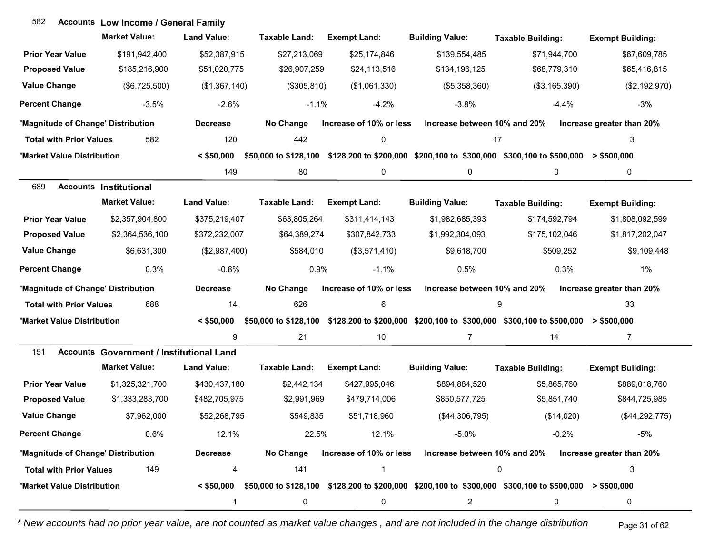| 582                                | <b>Accounts Low Income / General Family</b>     |                    |                       |                         |                              |                                                                                                                             |                           |
|------------------------------------|-------------------------------------------------|--------------------|-----------------------|-------------------------|------------------------------|-----------------------------------------------------------------------------------------------------------------------------|---------------------------|
|                                    | <b>Market Value:</b>                            | <b>Land Value:</b> | Taxable Land:         | <b>Exempt Land:</b>     | <b>Building Value:</b>       | <b>Taxable Building:</b>                                                                                                    | <b>Exempt Building:</b>   |
| <b>Prior Year Value</b>            | \$191,942,400                                   | \$52,387,915       | \$27,213,069          | \$25,174,846            | \$139,554,485                | \$71,944,700                                                                                                                | \$67,609,785              |
| <b>Proposed Value</b>              | \$185,216,900                                   | \$51,020,775       | \$26,907,259          | \$24,113,516            | \$134,196,125                | \$68,779,310                                                                                                                | \$65,416,815              |
| <b>Value Change</b>                | (\$6,725,500)                                   | (\$1,367,140)      | (\$305, 810)          | (\$1,061,330)           | (\$5,358,360)                | (\$3,165,390)                                                                                                               | (\$2,192,970)             |
| <b>Percent Change</b>              | $-3.5%$                                         | $-2.6%$            | $-1.1%$               | $-4.2%$                 | $-3.8%$                      | $-4.4%$                                                                                                                     | $-3%$                     |
| 'Magnitude of Change' Distribution |                                                 | <b>Decrease</b>    | No Change             | Increase of 10% or less | Increase between 10% and 20% |                                                                                                                             | Increase greater than 20% |
| <b>Total with Prior Values</b>     | 582                                             | 120                | 442                   | 0                       |                              | 17                                                                                                                          | 3                         |
| 'Market Value Distribution         |                                                 | $<$ \$50,000       | \$50,000 to \$128,100 |                         |                              | \$128,200 to \$200,000 \$200,100 to \$300,000 \$300,100 to \$500,000                                                        | $>$ \$500,000             |
|                                    |                                                 | 149                | 80                    | 0                       | 0                            | 0                                                                                                                           | 0                         |
| 689                                | <b>Accounts Institutional</b>                   |                    |                       |                         |                              |                                                                                                                             |                           |
|                                    | <b>Market Value:</b>                            | <b>Land Value:</b> | <b>Taxable Land:</b>  | <b>Exempt Land:</b>     | <b>Building Value:</b>       | <b>Taxable Building:</b>                                                                                                    | <b>Exempt Building:</b>   |
| <b>Prior Year Value</b>            | \$2,357,904,800                                 | \$375,219,407      | \$63,805,264          | \$311,414,143           | \$1,982,685,393              | \$174,592,794                                                                                                               | \$1,808,092,599           |
| <b>Proposed Value</b>              | \$2,364,536,100                                 | \$372,232,007      | \$64,389,274          | \$307,842,733           | \$1,992,304,093              | \$175,102,046                                                                                                               | \$1,817,202,047           |
| <b>Value Change</b>                | \$6,631,300                                     | (\$2,987,400)      | \$584,010             | (\$3,571,410)           | \$9,618,700                  | \$509,252                                                                                                                   | \$9,109,448               |
| <b>Percent Change</b>              | 0.3%                                            | $-0.8%$            | 0.9%                  | $-1.1%$                 | 0.5%                         | 0.3%                                                                                                                        | 1%                        |
| 'Magnitude of Change' Distribution |                                                 | <b>Decrease</b>    | No Change             | Increase of 10% or less | Increase between 10% and 20% |                                                                                                                             | Increase greater than 20% |
| <b>Total with Prior Values</b>     | 688                                             | 14                 | 626                   | $\,6\,$                 |                              | 9                                                                                                                           | 33                        |
| 'Market Value Distribution         |                                                 | $<$ \$50,000       |                       |                         |                              | \$50,000 to \$128,100 \$128,200 to \$200,000 \$200,100 to \$300,000 \$300,100 to \$500,000 > \$500,000                      |                           |
|                                    |                                                 | 9                  | 21                    | 10                      | $\overline{7}$               | 14                                                                                                                          | $\overline{7}$            |
| 151                                | <b>Accounts Government / Institutional Land</b> |                    |                       |                         |                              |                                                                                                                             |                           |
|                                    | <b>Market Value:</b>                            | <b>Land Value:</b> | <b>Taxable Land:</b>  | <b>Exempt Land:</b>     | <b>Building Value:</b>       | <b>Taxable Building:</b>                                                                                                    | <b>Exempt Building:</b>   |
| <b>Prior Year Value</b>            | \$1,325,321,700                                 | \$430,437,180      | \$2,442,134           | \$427,995,046           | \$894,884,520                | \$5,865,760                                                                                                                 | \$889,018,760             |
| <b>Proposed Value</b>              | \$1,333,283,700                                 | \$482,705,975      | \$2,991,969           | \$479,714,006           | \$850,577,725                | \$5,851,740                                                                                                                 | \$844,725,985             |
| <b>Value Change</b>                | \$7,962,000                                     | \$52,268,795       | \$549,835             | \$51,718,960            | (\$44,306,795)               | (\$14,020)                                                                                                                  | (\$44,292,775)            |
| <b>Percent Change</b>              | 0.6%                                            | 12.1%              | 22.5%                 | 12.1%                   | $-5.0%$                      | $-0.2%$                                                                                                                     | $-5%$                     |
| 'Magnitude of Change' Distribution |                                                 | <b>Decrease</b>    | No Change             | Increase of 10% or less | Increase between 10% and 20% |                                                                                                                             | Increase greater than 20% |
| <b>Total with Prior Values</b>     | 149                                             | 4                  | 141                   | 1                       |                              | 0                                                                                                                           | 3                         |
| 'Market Value Distribution         |                                                 |                    |                       |                         |                              | $\leq$ \$50,000 \$50,000 to \$128,100 \$128,200 to \$200,000 \$200,100 to \$300,000 \$300,100 to \$500,000 $\geq$ \$500,000 |                           |
|                                    |                                                 |                    | 0                     | 0                       | 2                            | 0                                                                                                                           | 0                         |

*\* New accounts had no prior year value, are not counted as market value changes , and are not included in the change distribution* Page 31 of 62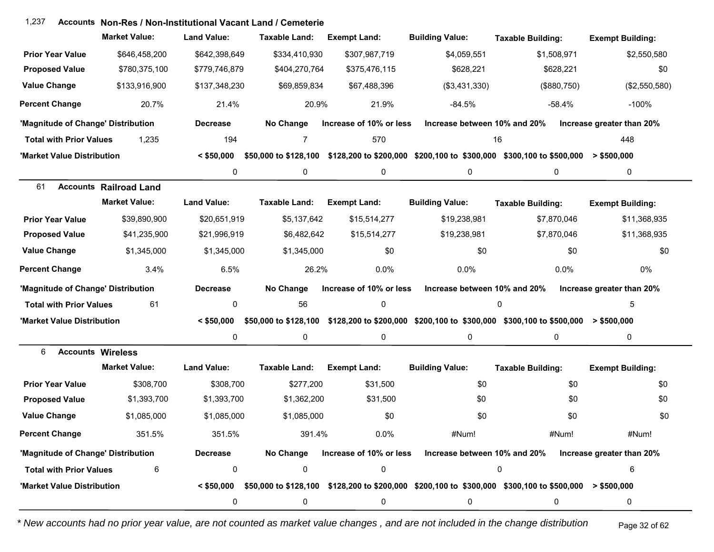| 1,237                              |                               | Accounts Non-Res / Non-Institutional Vacant Land / Cemeterie |                       |                         |                              |                                                                                                        |                           |
|------------------------------------|-------------------------------|--------------------------------------------------------------|-----------------------|-------------------------|------------------------------|--------------------------------------------------------------------------------------------------------|---------------------------|
|                                    | <b>Market Value:</b>          | <b>Land Value:</b>                                           | <b>Taxable Land:</b>  | <b>Exempt Land:</b>     | <b>Building Value:</b>       | <b>Taxable Building:</b>                                                                               | <b>Exempt Building:</b>   |
| <b>Prior Year Value</b>            | \$646,458,200                 | \$642,398,649                                                | \$334,410,930         | \$307,987,719           | \$4,059,551                  | \$1,508,971                                                                                            | \$2,550,580               |
| <b>Proposed Value</b>              | \$780,375,100                 | \$779,746,879                                                | \$404,270,764         | \$375,476,115           | \$628,221                    | \$628,221                                                                                              | \$0                       |
| <b>Value Change</b>                | \$133,916,900                 | \$137,348,230                                                | \$69,859,834          | \$67,488,396            | (\$3,431,330)                | (\$880,750)                                                                                            | (\$2,550,580)             |
| <b>Percent Change</b>              | 20.7%                         | 21.4%                                                        | 20.9%                 | 21.9%                   | $-84.5%$                     | $-58.4%$                                                                                               | $-100%$                   |
| 'Magnitude of Change' Distribution |                               | <b>Decrease</b>                                              | No Change             | Increase of 10% or less | Increase between 10% and 20% |                                                                                                        | Increase greater than 20% |
| <b>Total with Prior Values</b>     | 1,235                         | 194                                                          | 7                     | 570                     |                              | 16                                                                                                     | 448                       |
| 'Market Value Distribution         |                               | $<$ \$50,000                                                 | \$50,000 to \$128,100 |                         |                              | \$128,200 to \$200,000 \$200,100 to \$300,000 \$300,100 to \$500,000                                   | > \$500,000               |
|                                    |                               | 0                                                            | 0                     | 0                       | 0                            | 0                                                                                                      | 0                         |
| 61                                 | <b>Accounts Railroad Land</b> |                                                              |                       |                         |                              |                                                                                                        |                           |
|                                    | <b>Market Value:</b>          | <b>Land Value:</b>                                           | <b>Taxable Land:</b>  | <b>Exempt Land:</b>     | <b>Building Value:</b>       | <b>Taxable Building:</b>                                                                               | <b>Exempt Building:</b>   |
| <b>Prior Year Value</b>            | \$39,890,900                  | \$20,651,919                                                 | \$5,137,642           | \$15,514,277            | \$19,238,981                 | \$7,870,046                                                                                            | \$11,368,935              |
| <b>Proposed Value</b>              | \$41,235,900                  | \$21,996,919                                                 | \$6,482,642           | \$15,514,277            | \$19,238,981                 | \$7,870,046                                                                                            | \$11,368,935              |
| <b>Value Change</b>                | \$1,345,000                   | \$1,345,000                                                  | \$1,345,000           | \$0                     | \$0                          | \$0                                                                                                    | \$0                       |
| <b>Percent Change</b>              | 3.4%                          | 6.5%                                                         | 26.2%                 | 0.0%                    | 0.0%                         | 0.0%                                                                                                   | 0%                        |
| 'Magnitude of Change' Distribution |                               | <b>Decrease</b>                                              | No Change             | Increase of 10% or less | Increase between 10% and 20% |                                                                                                        | Increase greater than 20% |
| <b>Total with Prior Values</b>     | 61                            | 0                                                            | 56                    | 0                       |                              | $\Omega$                                                                                               | 5                         |
| 'Market Value Distribution         |                               | $<$ \$50,000                                                 | \$50,000 to \$128,100 |                         |                              | $$128,200$ to $$200,000$ $$200,100$ to $$300,000$ $$300,100$ to $$500,000$ > $$500,000$                |                           |
|                                    |                               | 0                                                            | 0                     | $\mathbf 0$             | 0                            | $\mathbf 0$                                                                                            | 0                         |
| 6<br><b>Accounts Wireless</b>      |                               |                                                              |                       |                         |                              |                                                                                                        |                           |
|                                    | <b>Market Value:</b>          | <b>Land Value:</b>                                           | <b>Taxable Land:</b>  | <b>Exempt Land:</b>     | <b>Building Value:</b>       | <b>Taxable Building:</b>                                                                               | <b>Exempt Building:</b>   |
| <b>Prior Year Value</b>            | \$308,700                     | \$308,700                                                    | \$277,200             | \$31,500                | \$0                          | \$0                                                                                                    | \$0                       |
| <b>Proposed Value</b>              | \$1,393,700                   | \$1,393,700                                                  | \$1,362,200           | \$31,500                | \$0                          | \$0                                                                                                    | \$0                       |
| <b>Value Change</b>                | \$1,085,000                   | \$1,085,000                                                  | \$1,085,000           | \$0                     | \$0                          | \$0                                                                                                    | \$0                       |
| <b>Percent Change</b>              | 351.5%                        | 351.5%                                                       | 391.4%                | 0.0%                    | #Num!                        | #Num!                                                                                                  | #Num!                     |
| 'Magnitude of Change' Distribution |                               | <b>Decrease</b>                                              | No Change             | Increase of 10% or less | Increase between 10% and 20% |                                                                                                        | Increase greater than 20% |
| <b>Total with Prior Values</b>     | 6                             | 0                                                            | 0                     | 0                       |                              | 0                                                                                                      | 6                         |
| 'Market Value Distribution         |                               | $<$ \$50,000                                                 |                       |                         |                              | \$50,000 to \$128,100 \$128,200 to \$200,000 \$200,100 to \$300,000 \$300,100 to \$500,000 > \$500,000 |                           |
|                                    |                               | 0                                                            | 0                     | 0                       | 0                            | 0                                                                                                      | 0                         |

*\* New accounts had no prior year value, are not counted as market value changes , and are not included in the change distribution* Page 32 of 62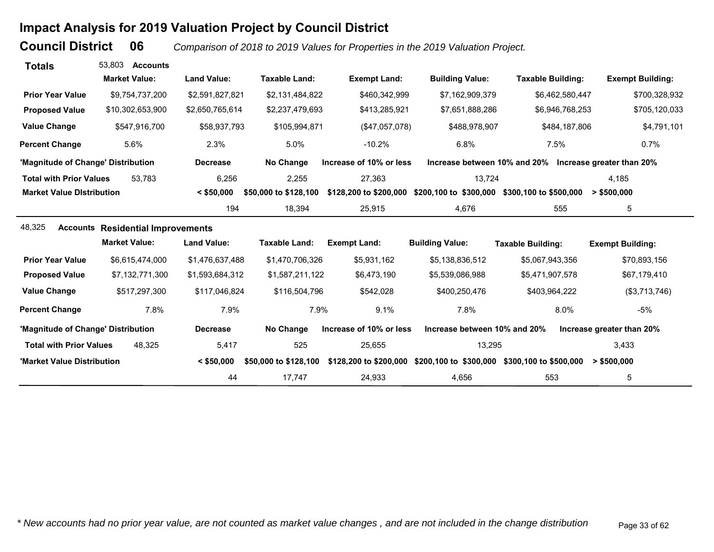# **Impact Analysis for 2019 Valuation Project by Council District**

**Council District**

 **06***Comparison of 2018 to 2019 Values for Properties in the 2019 Valuation Project.* 

| <b>Totals</b>                      | 53.803<br><b>Accounts</b>                |                    |                       |                         |                                               |                                                        |                           |
|------------------------------------|------------------------------------------|--------------------|-----------------------|-------------------------|-----------------------------------------------|--------------------------------------------------------|---------------------------|
|                                    | <b>Market Value:</b>                     | <b>Land Value:</b> | <b>Taxable Land:</b>  | <b>Exempt Land:</b>     | <b>Building Value:</b>                        | <b>Taxable Building:</b>                               | <b>Exempt Building:</b>   |
| <b>Prior Year Value</b>            | \$9,754,737,200                          | \$2,591,827,821    | \$2,131,484,822       | \$460,342,999           | \$7,162,909,379                               | \$6,462,580,447                                        | \$700,328,932             |
| <b>Proposed Value</b>              | \$10,302,653,900                         | \$2,650,765,614    | \$2,237,479,693       | \$413,285,921           | \$7,651,888,286                               | \$6,946,768,253                                        | \$705,120,033             |
| <b>Value Change</b>                | \$547,916,700                            | \$58,937,793       | \$105,994,871         | (\$47,057,078)          | \$488,978,907                                 | \$484,187,806                                          | \$4,791,101               |
| <b>Percent Change</b>              | 5.6%                                     | 2.3%               | 5.0%                  | $-10.2%$                | 6.8%                                          | 7.5%                                                   | 0.7%                      |
| 'Magnitude of Change' Distribution |                                          | <b>Decrease</b>    | No Change             | Increase of 10% or less |                                               | Increase between 10% and 20% Increase greater than 20% |                           |
| <b>Total with Prior Values</b>     | 53,783                                   | 6,256              | 2,255                 | 27,363                  | 13,724                                        |                                                        | 4.185                     |
| <b>Market Value Distribution</b>   |                                          | $<$ \$50,000       | \$50,000 to \$128,100 | \$128,200 to \$200,000  | \$200,100 to \$300,000 \$300,100 to \$500,000 |                                                        | > \$500,000               |
|                                    |                                          | 194                | 18,394                | 25,915                  | 4,676                                         | 555                                                    | 5                         |
| 48,325                             | <b>Accounts Residential Improvements</b> |                    |                       |                         |                                               |                                                        |                           |
|                                    | <b>Market Value:</b>                     | <b>Land Value:</b> | <b>Taxable Land:</b>  | <b>Exempt Land:</b>     | <b>Building Value:</b>                        | <b>Taxable Building:</b>                               | <b>Exempt Building:</b>   |
| <b>Prior Year Value</b>            | \$6,615,474,000                          | \$1,476,637,488    | \$1,470,706,326       | \$5,931,162             | \$5,138,836,512                               | \$5,067,943,356                                        | \$70,893,156              |
| <b>Proposed Value</b>              | \$7,132,771,300                          | \$1,593,684,312    | \$1,587,211,122       | \$6,473,190             | \$5,539,086,988                               | \$5,471,907,578                                        | \$67,179,410              |
| <b>Value Change</b>                | \$517,297,300                            | \$117,046,824      | \$116,504,796         | \$542,028               | \$400,250,476                                 | \$403,964,222                                          | (\$3,713,746)             |
| <b>Percent Change</b>              | 7.8%                                     | 7.9%               | 7.9%                  | 9.1%                    | 7.8%                                          | 8.0%                                                   | $-5%$                     |
| 'Magnitude of Change' Distribution |                                          | <b>Decrease</b>    | No Change             | Increase of 10% or less | Increase between 10% and 20%                  |                                                        | Increase greater than 20% |
| <b>Total with Prior Values</b>     | 48.325                                   | 5,417              | 525                   | 25,655                  | 13,295                                        |                                                        | 3,433                     |
| 'Market Value Distribution         |                                          | $<$ \$50,000       | \$50,000 to \$128,100 | \$128,200 to \$200,000  | \$200,100 to \$300,000                        | \$300,100 to \$500,000                                 | > \$500,000               |
|                                    |                                          | 44                 | 17,747                | 24,933                  | 4,656                                         | 553                                                    | 5                         |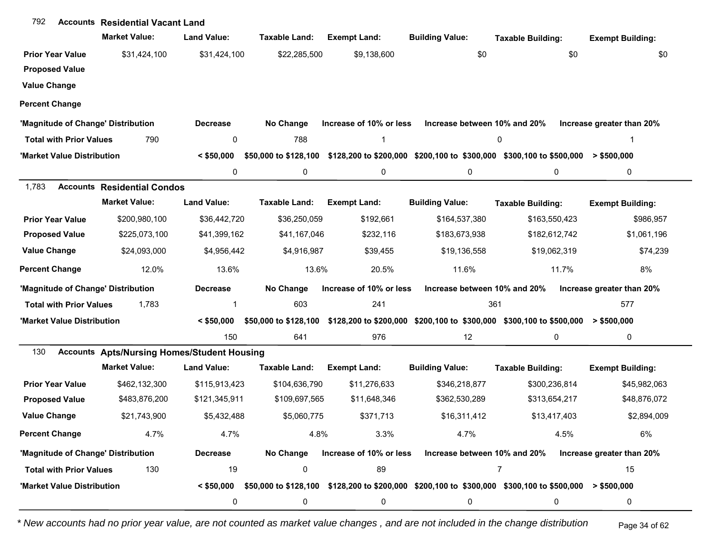| 792                            | <b>Accounts Residential Vacant Land</b>            |                    |                       |                         |                              |                                                                                                        |                           |
|--------------------------------|----------------------------------------------------|--------------------|-----------------------|-------------------------|------------------------------|--------------------------------------------------------------------------------------------------------|---------------------------|
|                                | <b>Market Value:</b>                               | <b>Land Value:</b> | Taxable Land:         | <b>Exempt Land:</b>     | <b>Building Value:</b>       | <b>Taxable Building:</b>                                                                               | <b>Exempt Building:</b>   |
| <b>Prior Year Value</b>        | \$31,424,100                                       | \$31,424,100       | \$22,285,500          | \$9,138,600             | \$0                          | \$0                                                                                                    | \$0                       |
| <b>Proposed Value</b>          |                                                    |                    |                       |                         |                              |                                                                                                        |                           |
| <b>Value Change</b>            |                                                    |                    |                       |                         |                              |                                                                                                        |                           |
| <b>Percent Change</b>          |                                                    |                    |                       |                         |                              |                                                                                                        |                           |
|                                | 'Magnitude of Change' Distribution                 | <b>Decrease</b>    | No Change             | Increase of 10% or less | Increase between 10% and 20% |                                                                                                        | Increase greater than 20% |
| <b>Total with Prior Values</b> | 790                                                | 0                  | 788                   |                         |                              | 0                                                                                                      |                           |
| 'Market Value Distribution     |                                                    | $<$ \$50,000       | \$50,000 to \$128,100 |                         |                              | \$128,200 to \$200,000 \$200,100 to \$300,000 \$300,100 to \$500,000                                   | > \$500,000               |
|                                |                                                    | 0                  | 0                     | 0                       | 0                            | 0                                                                                                      | 0                         |
| 1,783                          | <b>Accounts Residential Condos</b>                 |                    |                       |                         |                              |                                                                                                        |                           |
|                                | <b>Market Value:</b>                               | <b>Land Value:</b> | Taxable Land:         | <b>Exempt Land:</b>     | <b>Building Value:</b>       | <b>Taxable Building:</b>                                                                               | <b>Exempt Building:</b>   |
| <b>Prior Year Value</b>        | \$200,980,100                                      | \$36,442,720       | \$36,250,059          | \$192,661               | \$164,537,380                | \$163,550,423                                                                                          | \$986,957                 |
| <b>Proposed Value</b>          | \$225,073,100                                      | \$41,399,162       | \$41,167,046          | \$232,116               | \$183,673,938                | \$182,612,742                                                                                          | \$1,061,196               |
| <b>Value Change</b>            | \$24,093,000                                       | \$4,956,442        | \$4,916,987           | \$39,455                | \$19,136,558                 | \$19,062,319                                                                                           | \$74,239                  |
| <b>Percent Change</b>          | 12.0%                                              | 13.6%              | 13.6%                 | 20.5%                   | 11.6%                        | 11.7%                                                                                                  | 8%                        |
|                                | 'Magnitude of Change' Distribution                 | <b>Decrease</b>    | No Change             | Increase of 10% or less | Increase between 10% and 20% |                                                                                                        | Increase greater than 20% |
| <b>Total with Prior Values</b> | 1,783                                              |                    | 603                   | 241                     | 361                          |                                                                                                        | 577                       |
| 'Market Value Distribution     |                                                    | $<$ \$50,000       | \$50,000 to \$128,100 |                         |                              | \$128,200 to \$200,000 \$200,100 to \$300,000 \$300,100 to \$500,000                                   | > \$500,000               |
|                                |                                                    | 150                | 641                   | 976                     | 12                           | 0                                                                                                      | 0                         |
| 130                            | <b>Accounts Apts/Nursing Homes/Student Housing</b> |                    |                       |                         |                              |                                                                                                        |                           |
|                                | <b>Market Value:</b>                               | <b>Land Value:</b> | <b>Taxable Land:</b>  | <b>Exempt Land:</b>     | <b>Building Value:</b>       | <b>Taxable Building:</b>                                                                               | <b>Exempt Building:</b>   |
| <b>Prior Year Value</b>        | \$462,132,300                                      | \$115,913,423      | \$104,636,790         | \$11,276,633            | \$346,218,877                | \$300,236,814                                                                                          | \$45,982,063              |
| <b>Proposed Value</b>          | \$483,876,200                                      | \$121,345,911      | \$109,697,565         | \$11,648,346            | \$362,530,289                | \$313,654,217                                                                                          | \$48,876,072              |
| <b>Value Change</b>            | \$21,743,900                                       | \$5,432,488        | \$5,060,775           | \$371,713               | \$16,311,412                 | \$13,417,403                                                                                           | \$2,894,009               |
| <b>Percent Change</b>          | 4.7%                                               | 4.7%               | 4.8%                  | 3.3%                    | 4.7%                         | 4.5%                                                                                                   | 6%                        |
|                                | 'Magnitude of Change' Distribution                 | <b>Decrease</b>    | No Change             | Increase of 10% or less | Increase between 10% and 20% |                                                                                                        | Increase greater than 20% |
| <b>Total with Prior Values</b> | 130                                                | 19                 | 0                     | 89                      |                              | 7                                                                                                      | 15                        |
| 'Market Value Distribution     |                                                    | $<$ \$50,000       |                       |                         |                              | \$50,000 to \$128,100 \$128,200 to \$200,000 \$200,100 to \$300,000 \$300,100 to \$500,000 > \$500,000 |                           |
|                                |                                                    | 0                  | 0                     | 0                       | 0                            | 0                                                                                                      | 0                         |

*\* New accounts had no prior year value, are not counted as market value changes , and are not included in the change distribution* Page 34 of 62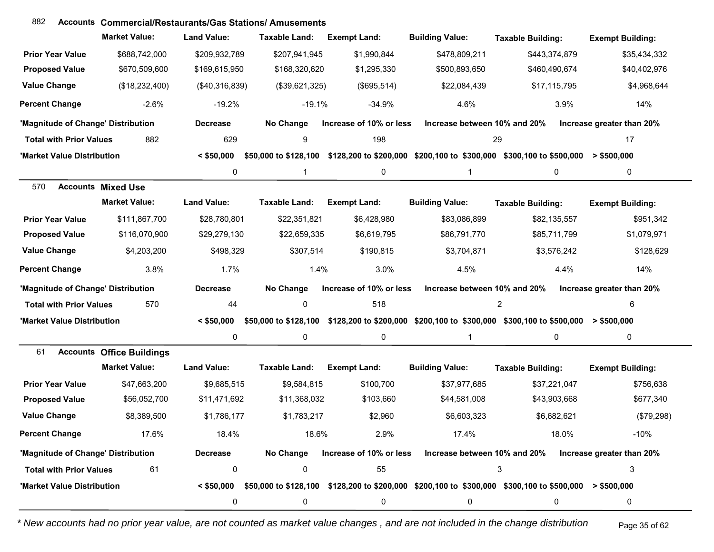## **Accounts** 882 **Commercial/Restaurants/Gas Stations/ Amusements**

|                                    | <b>Market Value:</b>             | <b>Land Value:</b> | <b>Taxable Land:</b>  | <b>Exempt Land:</b>     | <b>Building Value:</b>       | <b>Taxable Building:</b>                                                                                           | <b>Exempt Building:</b>   |
|------------------------------------|----------------------------------|--------------------|-----------------------|-------------------------|------------------------------|--------------------------------------------------------------------------------------------------------------------|---------------------------|
| <b>Prior Year Value</b>            | \$688,742,000                    | \$209,932,789      | \$207,941,945         | \$1,990,844             | \$478,809,211                | \$443,374,879                                                                                                      | \$35,434,332              |
| <b>Proposed Value</b>              | \$670,509,600                    | \$169,615,950      | \$168,320,620         | \$1,295,330             | \$500,893,650                | \$460,490,674                                                                                                      | \$40,402,976              |
| <b>Value Change</b>                | (\$18,232,400)                   | (\$40,316,839)     | (\$39,621,325)        | (\$695,514)             | \$22,084,439                 | \$17,115,795                                                                                                       | \$4,968,644               |
| <b>Percent Change</b>              | $-2.6%$                          | $-19.2%$           | $-19.1%$              | $-34.9%$                | 4.6%                         | 3.9%                                                                                                               | 14%                       |
| 'Magnitude of Change' Distribution |                                  | <b>Decrease</b>    | No Change             | Increase of 10% or less | Increase between 10% and 20% |                                                                                                                    | Increase greater than 20% |
| <b>Total with Prior Values</b>     | 882                              | 629                | 9                     | 198                     | 29                           |                                                                                                                    | 17                        |
| 'Market Value Distribution         |                                  | $<$ \$50,000       | \$50,000 to \$128,100 |                         |                              | \$128,200 to \$200,000 \$200,100 to \$300,000 \$300,100 to \$500,000                                               | $>$ \$500,000             |
|                                    |                                  | 0                  |                       | 0                       | 1                            | 0                                                                                                                  | 0                         |
| 570                                | <b>Accounts Mixed Use</b>        |                    |                       |                         |                              |                                                                                                                    |                           |
|                                    | <b>Market Value:</b>             | <b>Land Value:</b> | <b>Taxable Land:</b>  | <b>Exempt Land:</b>     | <b>Building Value:</b>       | <b>Taxable Building:</b>                                                                                           | <b>Exempt Building:</b>   |
| <b>Prior Year Value</b>            | \$111,867,700                    | \$28,780,801       | \$22,351,821          | \$6,428,980             | \$83,086,899                 | \$82,135,557                                                                                                       | \$951,342                 |
| <b>Proposed Value</b>              | \$116,070,900                    | \$29,279,130       | \$22,659,335          | \$6,619,795             | \$86,791,770                 | \$85,711,799                                                                                                       | \$1,079,971               |
| <b>Value Change</b>                | \$4,203,200                      | \$498,329          | \$307,514             | \$190,815               | \$3,704,871                  | \$3,576,242                                                                                                        | \$128,629                 |
| <b>Percent Change</b>              | 3.8%                             | 1.7%               | 1.4%                  | 3.0%                    | 4.5%                         | 4.4%                                                                                                               | 14%                       |
| 'Magnitude of Change' Distribution |                                  | <b>Decrease</b>    | No Change             | Increase of 10% or less | Increase between 10% and 20% |                                                                                                                    | Increase greater than 20% |
| <b>Total with Prior Values</b>     | 570                              | 44                 | $\mathbf 0$           | 518                     |                              | $\overline{2}$                                                                                                     | 6                         |
| 'Market Value Distribution         |                                  | $<$ \$50,000       |                       |                         |                              | \$50,000 to \$128,100 \$128,200 to \$200,000 \$200,100 to \$300,000 \$300,100 to \$500,000 > \$500,000             |                           |
|                                    |                                  | 0                  | $\mathbf 0$           | 0                       | $\mathbf 1$                  | 0                                                                                                                  | 0                         |
| 61                                 | <b>Accounts Office Buildings</b> |                    |                       |                         |                              |                                                                                                                    |                           |
|                                    | <b>Market Value:</b>             | <b>Land Value:</b> | <b>Taxable Land:</b>  | <b>Exempt Land:</b>     | <b>Building Value:</b>       | <b>Taxable Building:</b>                                                                                           | <b>Exempt Building:</b>   |
| <b>Prior Year Value</b>            | \$47,663,200                     | \$9,685,515        | \$9,584,815           | \$100,700               | \$37,977,685                 | \$37,221,047                                                                                                       | \$756,638                 |
| <b>Proposed Value</b>              | \$56,052,700                     | \$11,471,692       | \$11,368,032          | \$103,660               | \$44,581,008                 | \$43,903,668                                                                                                       | \$677,340                 |
| <b>Value Change</b>                | \$8,389,500                      | \$1,786,177        | \$1,783,217           | \$2,960                 | \$6,603,323                  | \$6,682,621                                                                                                        | (\$79,298)                |
| <b>Percent Change</b>              | 17.6%                            | 18.4%              | 18.6%                 | 2.9%                    | 17.4%                        | 18.0%                                                                                                              | -10%                      |
| 'Magnitude of Change' Distribution |                                  | <b>Decrease</b>    |                       |                         |                              | No Change Increase of 10% or less Increase between 10% and 20% Increase greater than 20%                           |                           |
| <b>Total with Prior Values</b>     | 61                               | 0                  | 0                     | 55                      |                              | 3                                                                                                                  | 3                         |
| 'Market Value Distribution         |                                  |                    |                       |                         |                              | $< $50,000$ \$50,000 to \$128,100 \$128,200 to \$200,000 \$200,100 to \$300,000 \$300,100 to \$500,000 > \$500,000 |                           |
|                                    |                                  | 0                  | 0                     | 0                       | 0                            | 0                                                                                                                  | 0                         |

*\* New accounts had no prior year value, are not counted as market value changes , and are not included in the change distribution* Page 35 of 62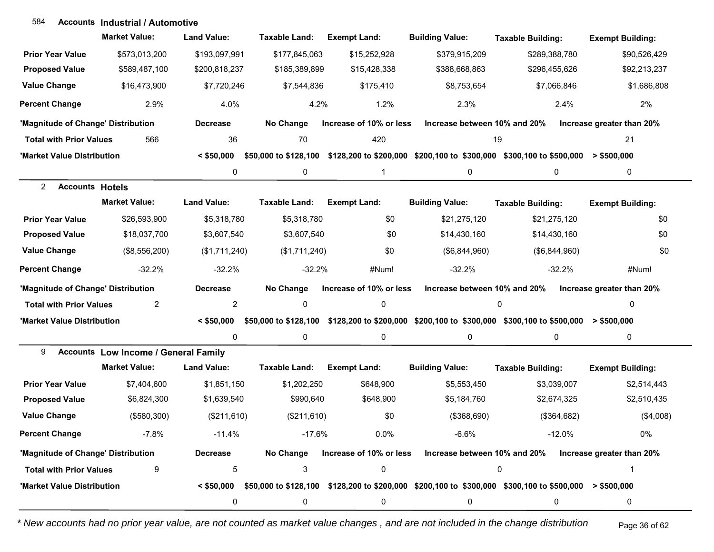#### **Accounts Industrial / Automotive**584

|                                          | <b>Market Value:</b>                        | <b>Land Value:</b> | <b>Taxable Land:</b> | <b>Exempt Land:</b>     | <b>Building Value:</b>                                                                                                 | <b>Taxable Building:</b> | <b>Exempt Building:</b>   |
|------------------------------------------|---------------------------------------------|--------------------|----------------------|-------------------------|------------------------------------------------------------------------------------------------------------------------|--------------------------|---------------------------|
| <b>Prior Year Value</b>                  | \$573,013,200                               | \$193,097,991      | \$177,845,063        | \$15,252,928            | \$379,915,209                                                                                                          | \$289,388,780            | \$90,526,429              |
| <b>Proposed Value</b>                    | \$589,487,100                               | \$200,818,237      | \$185,389,899        | \$15,428,338            | \$388,668,863                                                                                                          | \$296,455,626            | \$92,213,237              |
| <b>Value Change</b>                      | \$16,473,900                                | \$7,720,246        | \$7,544,836          | \$175,410               | \$8,753,654                                                                                                            | \$7,066,846              | \$1,686,808               |
| <b>Percent Change</b>                    | 2.9%                                        | 4.0%               | 4.2%                 | 1.2%                    | 2.3%                                                                                                                   | 2.4%                     | 2%                        |
| 'Magnitude of Change' Distribution       |                                             | <b>Decrease</b>    | No Change            | Increase of 10% or less | Increase between 10% and 20%                                                                                           |                          | Increase greater than 20% |
| <b>Total with Prior Values</b>           | 566                                         | 36                 | 70                   | 420                     | 19                                                                                                                     |                          | 21                        |
| 'Market Value Distribution               |                                             | $<$ \$50,000       |                      |                         | \$50,000 to \$128,100 \$128,200 to \$200,000 \$200,100 to \$300,000 \$300,100 to \$500,000 > \$500,000                 |                          |                           |
|                                          |                                             | 0                  | 0                    | $\mathbf{1}$            | 0                                                                                                                      | 0                        | 0                         |
| $\overline{2}$<br><b>Accounts Hotels</b> |                                             |                    |                      |                         |                                                                                                                        |                          |                           |
|                                          | <b>Market Value:</b>                        | <b>Land Value:</b> | <b>Taxable Land:</b> | <b>Exempt Land:</b>     | <b>Building Value:</b>                                                                                                 | <b>Taxable Building:</b> | <b>Exempt Building:</b>   |
| <b>Prior Year Value</b>                  | \$26,593,900                                | \$5,318,780        | \$5,318,780          | \$0                     | \$21,275,120                                                                                                           | \$21,275,120             | \$0                       |
| <b>Proposed Value</b>                    | \$18,037,700                                | \$3,607,540        | \$3,607,540          | \$0                     | \$14,430,160                                                                                                           | \$14,430,160             | \$0                       |
| <b>Value Change</b>                      | (\$8,556,200)                               | (\$1,711,240)      | (\$1,711,240)        | \$0                     | (\$6,844,960)                                                                                                          | (\$6,844,960)            | \$0                       |
| <b>Percent Change</b>                    | $-32.2%$                                    | $-32.2%$           | $-32.2%$             | #Num!                   | $-32.2%$                                                                                                               | $-32.2%$                 | #Num!                     |
| 'Magnitude of Change' Distribution       |                                             | <b>Decrease</b>    | No Change            | Increase of 10% or less | Increase between 10% and 20%                                                                                           |                          | Increase greater than 20% |
| <b>Total with Prior Values</b>           | $\overline{2}$                              | $\overline{c}$     | 0                    | 0                       |                                                                                                                        | $\mathbf 0$              | $\Omega$                  |
| 'Market Value Distribution               |                                             | $<$ \$50,000       |                      |                         | \$50,000 to \$128,100 \$128,200 to \$200,000 \$200,100 to \$300,000 \$300,100 to \$500,000 > \$500,000                 |                          |                           |
|                                          |                                             | 0                  | 0                    | 0                       | 0                                                                                                                      | $\mathbf 0$              | 0                         |
| 9                                        | <b>Accounts Low Income / General Family</b> |                    |                      |                         |                                                                                                                        |                          |                           |
|                                          | <b>Market Value:</b>                        | <b>Land Value:</b> | <b>Taxable Land:</b> | <b>Exempt Land:</b>     | <b>Building Value:</b>                                                                                                 | <b>Taxable Building:</b> | <b>Exempt Building:</b>   |
| <b>Prior Year Value</b>                  | \$7,404,600                                 | \$1,851,150        | \$1,202,250          | \$648,900               | \$5,553,450                                                                                                            | \$3,039,007              | \$2,514,443               |
| <b>Proposed Value</b>                    | \$6,824,300                                 | \$1,639,540        | \$990,640            | \$648,900               | \$5,184,760                                                                                                            | \$2,674,325              | \$2,510,435               |
| <b>Value Change</b>                      | (\$580,300)                                 | (\$211,610)        | (\$211,610)          | \$0                     | (\$368,690)                                                                                                            | (\$364,682)              | (\$4,008)                 |
| <b>Percent Change</b>                    | $-7.8%$                                     | $-11.4%$           | $-17.6%$             | 0.0%                    | $-6.6%$                                                                                                                | $-12.0%$                 | 0%                        |
| 'Magnitude of Change' Distribution       |                                             | <b>Decrease</b>    | No Change            | Increase of 10% or less | Increase between 10% and 20%                                                                                           |                          | Increase greater than 20% |
| <b>Total with Prior Values</b>           | 9                                           | 5                  | 3                    | 0                       |                                                                                                                        | 0                        | 1                         |
| 'Market Value Distribution               |                                             |                    |                      |                         | $\leq$ \$50,000 \$50,000 to \$128,100 \$128,200 to \$200,000 \$200,100 to \$300,000 \$300,100 to \$500,000 > \$500,000 |                          |                           |
|                                          |                                             | 0                  | 0                    | 0                       | 0                                                                                                                      | 0                        | 0                         |

*\* New accounts had no prior year value, are not counted as market value changes , and are not included in the change distribution* Page 36 of 62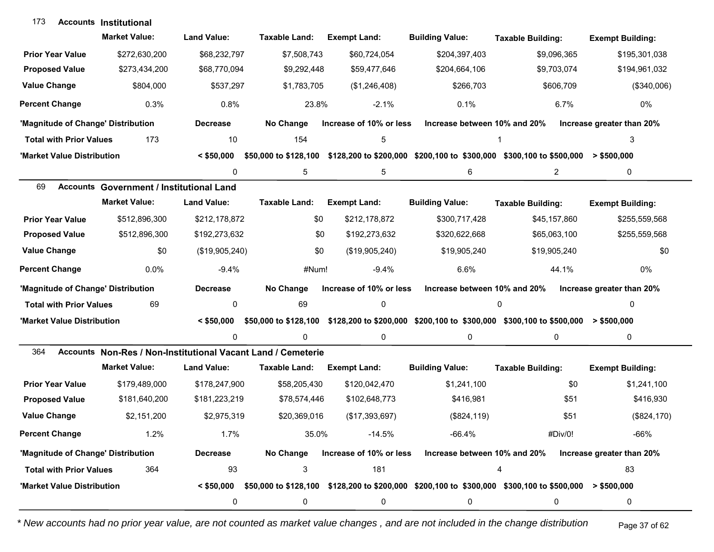| 173                                | <b>Accounts Institutional</b>                                |                    |                       |                         |                              |                                                                                                        |                           |
|------------------------------------|--------------------------------------------------------------|--------------------|-----------------------|-------------------------|------------------------------|--------------------------------------------------------------------------------------------------------|---------------------------|
|                                    | <b>Market Value:</b>                                         | <b>Land Value:</b> | Taxable Land:         | <b>Exempt Land:</b>     | <b>Building Value:</b>       | <b>Taxable Building:</b>                                                                               | <b>Exempt Building:</b>   |
| <b>Prior Year Value</b>            | \$272,630,200                                                | \$68,232,797       | \$7,508,743           | \$60,724,054            | \$204,397,403                | \$9,096,365                                                                                            | \$195,301,038             |
| <b>Proposed Value</b>              | \$273,434,200                                                | \$68,770,094       | \$9,292,448           | \$59,477,646            | \$204,664,106                | \$9,703,074                                                                                            | \$194,961,032             |
| <b>Value Change</b>                | \$804,000                                                    | \$537,297          | \$1,783,705           | (\$1,246,408)           | \$266,703                    | \$606,709                                                                                              | (\$340,006)               |
| <b>Percent Change</b>              | 0.3%                                                         | 0.8%               | 23.8%                 | $-2.1%$                 | 0.1%                         | 6.7%                                                                                                   | 0%                        |
| 'Magnitude of Change' Distribution |                                                              | <b>Decrease</b>    | No Change             | Increase of 10% or less | Increase between 10% and 20% |                                                                                                        | Increase greater than 20% |
| <b>Total with Prior Values</b>     | 173                                                          | 10                 | 154                   | 5                       |                              | 1                                                                                                      | 3                         |
| 'Market Value Distribution         |                                                              | $<$ \$50,000       | \$50,000 to \$128,100 |                         |                              | \$128,200 to \$200,000 \$200,100 to \$300,000 \$300,100 to \$500,000                                   | > \$500,000               |
|                                    |                                                              | 0                  | 5                     | 5                       | 6                            | $\overline{2}$                                                                                         | 0                         |
| 69                                 | <b>Accounts Government / Institutional Land</b>              |                    |                       |                         |                              |                                                                                                        |                           |
|                                    | <b>Market Value:</b>                                         | <b>Land Value:</b> | <b>Taxable Land:</b>  | <b>Exempt Land:</b>     | <b>Building Value:</b>       | <b>Taxable Building:</b>                                                                               | <b>Exempt Building:</b>   |
| <b>Prior Year Value</b>            | \$512,896,300                                                | \$212,178,872      | \$0                   | \$212,178,872           | \$300,717,428                | \$45,157,860                                                                                           | \$255,559,568             |
| <b>Proposed Value</b>              | \$512,896,300                                                | \$192,273,632      | \$0                   | \$192,273,632           | \$320,622,668                | \$65,063,100                                                                                           | \$255,559,568             |
| <b>Value Change</b>                | \$0                                                          | (\$19,905,240)     | \$0                   | (\$19,905,240)          | \$19,905,240                 | \$19,905,240                                                                                           | \$0                       |
| <b>Percent Change</b>              | $0.0\%$                                                      | $-9.4%$            | #Num!                 | $-9.4%$                 | 6.6%                         | 44.1%                                                                                                  | 0%                        |
| 'Magnitude of Change' Distribution |                                                              | <b>Decrease</b>    | No Change             | Increase of 10% or less | Increase between 10% and 20% |                                                                                                        | Increase greater than 20% |
| <b>Total with Prior Values</b>     | 69                                                           | 0                  | 69                    | 0                       |                              | 0                                                                                                      | 0                         |
| 'Market Value Distribution         |                                                              | $<$ \$50.000       | \$50,000 to \$128,100 |                         |                              | $$128,200$ to $$200,000$ $$200,100$ to $$300,000$ $$300,100$ to $$500,000$ > $$500,000$                |                           |
|                                    |                                                              | 0                  | $\mathbf{0}$          | 0                       | 0                            | 0                                                                                                      | $\mathbf 0$               |
| 364                                | Accounts Non-Res / Non-Institutional Vacant Land / Cemeterie |                    |                       |                         |                              |                                                                                                        |                           |
|                                    | <b>Market Value:</b>                                         | <b>Land Value:</b> | <b>Taxable Land:</b>  | <b>Exempt Land:</b>     | <b>Building Value:</b>       | <b>Taxable Building:</b>                                                                               | <b>Exempt Building:</b>   |
| <b>Prior Year Value</b>            | \$179,489,000                                                | \$178,247,900      | \$58,205,430          | \$120,042,470           | \$1,241,100                  | \$0                                                                                                    | \$1,241,100               |
| <b>Proposed Value</b>              | \$181,640,200                                                | \$181,223,219      | \$78,574,446          | \$102,648,773           | \$416,981                    | \$51                                                                                                   | \$416,930                 |
| <b>Value Change</b>                | \$2,151,200                                                  | \$2,975,319        | \$20,369,016          | (\$17,393,697)          | (\$824, 119)                 | \$51                                                                                                   | (\$824,170)               |
| <b>Percent Change</b>              | 1.2%                                                         | 1.7%               | 35.0%                 | $-14.5%$                | $-66.4%$                     | #Div/0!                                                                                                | $-66%$                    |
| 'Magnitude of Change' Distribution |                                                              | <b>Decrease</b>    | No Change             | Increase of 10% or less | Increase between 10% and 20% |                                                                                                        | Increase greater than 20% |
| <b>Total with Prior Values</b>     | 364                                                          | 93                 | 3                     | 181                     |                              | 4                                                                                                      | 83                        |
| 'Market Value Distribution         |                                                              | $<$ \$50,000       |                       |                         |                              | \$50,000 to \$128,100 \$128,200 to \$200,000 \$200,100 to \$300,000 \$300,100 to \$500,000 > \$500,000 |                           |
|                                    |                                                              | 0                  | 0                     | 0                       | 0                            | 0                                                                                                      | 0                         |

*\* New accounts had no prior year value, are not counted as market value changes , and are not included in the change distribution* Page 37 of 62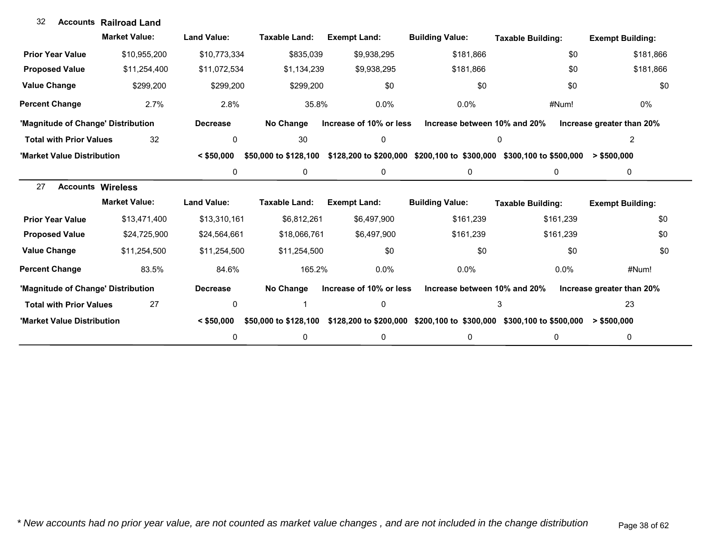| 32                                 | <b>Accounts Railroad Land</b> |                    |                       |                         |                              |                                                                      |                           |
|------------------------------------|-------------------------------|--------------------|-----------------------|-------------------------|------------------------------|----------------------------------------------------------------------|---------------------------|
|                                    | <b>Market Value:</b>          | <b>Land Value:</b> | <b>Taxable Land:</b>  | <b>Exempt Land:</b>     | <b>Building Value:</b>       | <b>Taxable Building:</b>                                             | <b>Exempt Building:</b>   |
| <b>Prior Year Value</b>            | \$10,955,200                  | \$10,773,334       | \$835,039             | \$9,938,295             | \$181,866                    | \$0                                                                  | \$181,866                 |
| <b>Proposed Value</b>              | \$11,254,400                  | \$11,072,534       | \$1,134,239           | \$9,938,295             | \$181,866                    | \$0                                                                  | \$181,866                 |
| <b>Value Change</b>                | \$299,200                     | \$299,200          | \$299,200             | \$0                     | \$0                          | \$0                                                                  | \$0                       |
| <b>Percent Change</b>              | 2.7%                          | 2.8%               | 35.8%                 | 0.0%                    | $0.0\%$                      | #Num!                                                                | 0%                        |
| 'Magnitude of Change' Distribution |                               | <b>Decrease</b>    | No Change             | Increase of 10% or less | Increase between 10% and 20% |                                                                      | Increase greater than 20% |
| <b>Total with Prior Values</b>     | 32                            | 0                  | 30                    | 0                       |                              | 0                                                                    | 2                         |
| 'Market Value Distribution         |                               | $<$ \$50,000       | \$50,000 to \$128,100 |                         |                              | \$128,200 to \$200,000 \$200,100 to \$300,000 \$300,100 to \$500,000 | > \$500.000               |
|                                    |                               | 0                  | 0                     | $\pmb{0}$               | 0                            | 0                                                                    | 0                         |
| 27                                 | <b>Accounts Wireless</b>      |                    |                       |                         |                              |                                                                      |                           |
|                                    | <b>Market Value:</b>          | <b>Land Value:</b> | Taxable Land:         | <b>Exempt Land:</b>     | <b>Building Value:</b>       | <b>Taxable Building:</b>                                             | <b>Exempt Building:</b>   |
| <b>Prior Year Value</b>            | \$13,471,400                  | \$13,310,161       | \$6,812,261           | \$6,497,900             | \$161,239                    | \$161,239                                                            | \$0                       |
| <b>Proposed Value</b>              | \$24,725,900                  | \$24,564,661       | \$18,066,761          | \$6,497,900             | \$161,239                    | \$161,239                                                            | \$0                       |
| <b>Value Change</b>                | \$11,254,500                  | \$11,254,500       | \$11,254,500          | \$0                     | \$0                          | \$0                                                                  | \$0                       |
| <b>Percent Change</b>              | 83.5%                         | 84.6%              | 165.2%                | 0.0%                    | $0.0\%$                      | $0.0\%$                                                              | #Num!                     |
| 'Magnitude of Change' Distribution |                               | <b>Decrease</b>    | No Change             | Increase of 10% or less | Increase between 10% and 20% |                                                                      | Increase greater than 20% |
| <b>Total with Prior Values</b>     | 27                            | 0                  |                       | 0                       |                              | 3                                                                    | 23                        |
| 'Market Value Distribution         |                               | $<$ \$50,000       | \$50,000 to \$128,100 |                         |                              | \$128,200 to \$200,000 \$200,100 to \$300,000 \$300,100 to \$500,000 | > \$500,000               |
|                                    |                               | 0                  | $\mathbf{0}$          | 0                       | 0                            | 0                                                                    | 0                         |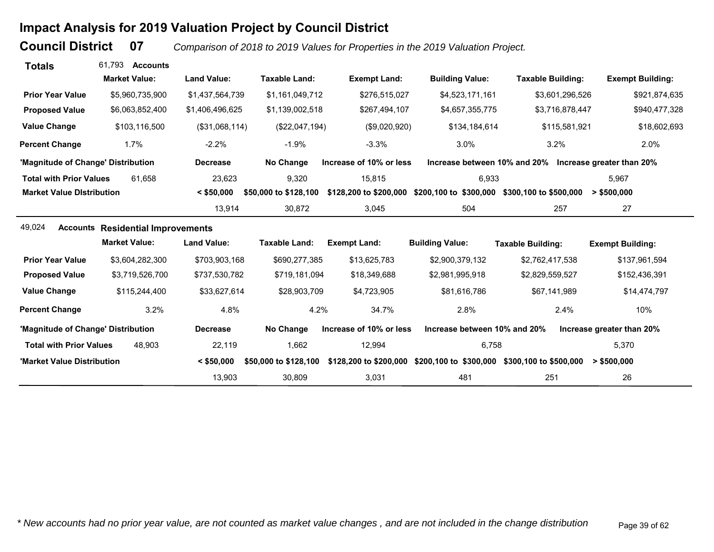# **Impact Analysis for 2019 Valuation Project by Council District**

**Council District**

 **07***Comparison of 2018 to 2019 Values for Properties in the 2019 Valuation Project.* 

| <b>Totals</b>                      | 61.793<br><b>Accounts</b>                |                    |                       |                         |                              |                                                                      |                           |
|------------------------------------|------------------------------------------|--------------------|-----------------------|-------------------------|------------------------------|----------------------------------------------------------------------|---------------------------|
|                                    | <b>Market Value:</b>                     | <b>Land Value:</b> | <b>Taxable Land:</b>  | <b>Exempt Land:</b>     | <b>Building Value:</b>       | <b>Taxable Building:</b>                                             | <b>Exempt Building:</b>   |
| <b>Prior Year Value</b>            | \$5,960,735,900                          | \$1,437,564,739    | \$1,161,049,712       | \$276,515,027           | \$4,523,171,161              | \$3,601,296,526                                                      | \$921,874,635             |
| <b>Proposed Value</b>              | \$6,063,852,400                          | \$1,406,496,625    | \$1,139,002,518       | \$267,494,107           | \$4,657,355,775              | \$3,716,878,447                                                      | \$940,477,328             |
| <b>Value Change</b>                | \$103,116,500                            | (\$31,068,114)     | (\$22,047,194)        | (\$9,020,920)           | \$134,184,614                | \$115,581,921                                                        | \$18,602,693              |
| <b>Percent Change</b>              | 1.7%                                     | $-2.2%$            | $-1.9%$               | $-3.3%$                 | 3.0%                         | 3.2%                                                                 | 2.0%                      |
| 'Magnitude of Change' Distribution |                                          | <b>Decrease</b>    | No Change             | Increase of 10% or less |                              | Increase between 10% and 20% Increase greater than 20%               |                           |
| <b>Total with Prior Values</b>     | 61,658                                   | 23,623             | 9,320                 | 15.815                  | 6,933                        |                                                                      | 5.967                     |
| <b>Market Value Distribution</b>   |                                          | $<$ \$50,000       | \$50,000 to \$128,100 | \$128,200 to \$200,000  | \$200,100 to \$300,000       | \$300,100 to \$500,000                                               | $>$ \$500,000             |
|                                    |                                          | 13,914             | 30,872                | 3,045                   | 504                          | 257                                                                  | 27                        |
| 49,024                             | <b>Accounts Residential Improvements</b> |                    |                       |                         |                              |                                                                      |                           |
|                                    | <b>Market Value:</b>                     | <b>Land Value:</b> | <b>Taxable Land:</b>  | <b>Exempt Land:</b>     | <b>Building Value:</b>       | <b>Taxable Building:</b>                                             | <b>Exempt Building:</b>   |
| <b>Prior Year Value</b>            | \$3,604,282,300                          | \$703,903,168      | \$690,277,385         | \$13,625,783            | \$2,900,379,132              | \$2,762,417,538                                                      | \$137,961,594             |
| <b>Proposed Value</b>              | \$3,719,526,700                          | \$737,530,782      | \$719,181,094         | \$18,349,688            | \$2,981,995,918              | \$2,829,559,527                                                      | \$152,436,391             |
| <b>Value Change</b>                | \$115,244,400                            | \$33,627,614       | \$28,903,709          | \$4,723,905             | \$81,616,786                 | \$67,141,989                                                         | \$14,474,797              |
| <b>Percent Change</b>              | 3.2%                                     | 4.8%               | 4.2%                  | 34.7%                   | 2.8%                         | 2.4%                                                                 | 10%                       |
| 'Magnitude of Change' Distribution |                                          | <b>Decrease</b>    | No Change             | Increase of 10% or less | Increase between 10% and 20% |                                                                      | Increase greater than 20% |
| <b>Total with Prior Values</b>     | 48.903                                   | 22,119             | 1,662                 | 12,994                  | 6,758                        |                                                                      | 5,370                     |
| 'Market Value Distribution         |                                          | $<$ \$50,000       | \$50,000 to \$128,100 |                         |                              | \$128,200 to \$200,000 \$200,100 to \$300,000 \$300,100 to \$500,000 | $>$ \$500,000             |
|                                    |                                          | 13,903             | 30,809                | 3,031                   | 481                          | 251                                                                  | 26                        |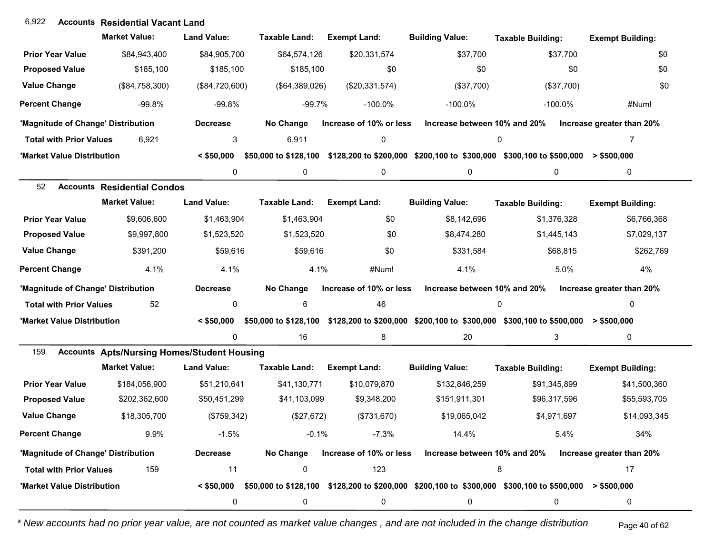## **Accounts** 6,922 **Residential Vacant Land**

|                                    | <b>Market Value:</b>                               | <b>Land Value:</b> | <b>Taxable Land:</b>  | <b>Exempt Land:</b>     | <b>Building Value:</b>       | <b>Taxable Building:</b>                                                                                               | <b>Exempt Building:</b>   |
|------------------------------------|----------------------------------------------------|--------------------|-----------------------|-------------------------|------------------------------|------------------------------------------------------------------------------------------------------------------------|---------------------------|
| <b>Prior Year Value</b>            | \$84,943,400                                       | \$84,905,700       | \$64,574,126          | \$20,331,574            | \$37,700                     | \$37,700                                                                                                               | \$0                       |
| <b>Proposed Value</b>              | \$185,100                                          | \$185,100          | \$185,100             | \$0                     | \$0                          | \$0                                                                                                                    | \$0                       |
| <b>Value Change</b>                | (\$84,758,300)                                     | (\$84,720,600)     | (\$64,389,026)        | (\$20,331,574)          | (\$37,700)                   | (\$37,700)                                                                                                             | \$0                       |
| <b>Percent Change</b>              | $-99.8%$                                           | $-99.8%$           | $-99.7%$              | $-100.0\%$              | $-100.0\%$                   | $-100.0\%$                                                                                                             | #Num!                     |
| 'Magnitude of Change' Distribution |                                                    | <b>Decrease</b>    | No Change             | Increase of 10% or less | Increase between 10% and 20% |                                                                                                                        | Increase greater than 20% |
| <b>Total with Prior Values</b>     | 6,921                                              | 3                  | 6,911                 | 0                       |                              | 0                                                                                                                      | 7                         |
| 'Market Value Distribution         |                                                    | $<$ \$50,000       | \$50,000 to \$128,100 |                         |                              | $$128,200$ to \$200,000 \$200,100 to \$300,000 \$300,100 to \$500,000 > \$500,000                                      |                           |
|                                    |                                                    | 0                  | 0                     | 0                       | 0                            | 0                                                                                                                      | 0                         |
| 52                                 | <b>Accounts Residential Condos</b>                 |                    |                       |                         |                              |                                                                                                                        |                           |
|                                    | <b>Market Value:</b>                               | <b>Land Value:</b> | <b>Taxable Land:</b>  | <b>Exempt Land:</b>     | <b>Building Value:</b>       | <b>Taxable Building:</b>                                                                                               | <b>Exempt Building:</b>   |
| <b>Prior Year Value</b>            | \$9,606,600                                        | \$1,463,904        | \$1,463,904           | \$0                     | \$8,142,696                  | \$1,376,328                                                                                                            | \$6,766,368               |
| <b>Proposed Value</b>              | \$9,997,800                                        | \$1,523,520        | \$1,523,520           | \$0                     | \$8,474,280                  | \$1,445,143                                                                                                            | \$7,029,137               |
| <b>Value Change</b>                | \$391,200                                          | \$59,616           | \$59,616              | \$0                     | \$331,584                    | \$68,815                                                                                                               | \$262,769                 |
| <b>Percent Change</b>              | 4.1%                                               | 4.1%               | 4.1%                  | #Num!                   | 4.1%                         | 5.0%                                                                                                                   | 4%                        |
| 'Magnitude of Change' Distribution |                                                    | <b>Decrease</b>    | No Change             | Increase of 10% or less | Increase between 10% and 20% |                                                                                                                        | Increase greater than 20% |
| <b>Total with Prior Values</b>     | 52                                                 | 0                  | 6                     | 46                      |                              | 0                                                                                                                      | $\Omega$                  |
| 'Market Value Distribution         |                                                    | $<$ \$50,000       |                       |                         |                              | \$50,000 to \$128,100 \$128,200 to \$200,000 \$200,100 to \$300,000 \$300,100 to \$500,000 > \$500,000                 |                           |
|                                    |                                                    | 0                  | 16                    | 8                       | 20                           | 3                                                                                                                      | 0                         |
| 159                                | <b>Accounts Apts/Nursing Homes/Student Housing</b> |                    |                       |                         |                              |                                                                                                                        |                           |
|                                    | <b>Market Value:</b>                               | <b>Land Value:</b> | <b>Taxable Land:</b>  | <b>Exempt Land:</b>     | <b>Building Value:</b>       | <b>Taxable Building:</b>                                                                                               | <b>Exempt Building:</b>   |
| <b>Prior Year Value</b>            | \$184,056,900                                      | \$51,210,641       | \$41,130,771          | \$10,079,870            | \$132,846,259                | \$91,345,899                                                                                                           | \$41,500,360              |
| <b>Proposed Value</b>              | \$202,362,600                                      | \$50,451,299       | \$41,103,099          | \$9,348,200             | \$151,911,301                | \$96,317,596                                                                                                           | \$55,593,705              |
| <b>Value Change</b>                | \$18,305,700                                       | (\$759,342)        | (\$27,672)            | (\$731,670)             | \$19,065,042                 | \$4,971,697                                                                                                            | \$14,093,345              |
| <b>Percent Change</b>              | 9.9%                                               | $-1.5%$            | $-0.1%$               | $-7.3%$                 | 14.4%                        | 5.4%                                                                                                                   | 34%                       |
| 'Magnitude of Change' Distribution |                                                    | <b>Decrease</b>    | No Change             | Increase of 10% or less | Increase between 10% and 20% |                                                                                                                        | Increase greater than 20% |
| <b>Total with Prior Values</b>     | 159                                                | 11                 | 0                     | 123                     |                              | 8                                                                                                                      | 17                        |
| 'Market Value Distribution         |                                                    |                    |                       |                         |                              | $\leq$ \$50,000 \$50,000 to \$128,100 \$128,200 to \$200,000 \$200,100 to \$300,000 \$300,100 to \$500,000 > \$500,000 |                           |
|                                    |                                                    | 0                  | 0                     | 0                       | 0                            | 0                                                                                                                      | 0                         |

*\* New accounts had no prior year value, are not counted as market value changes , and are not included in the change distribution* Page 40 of 62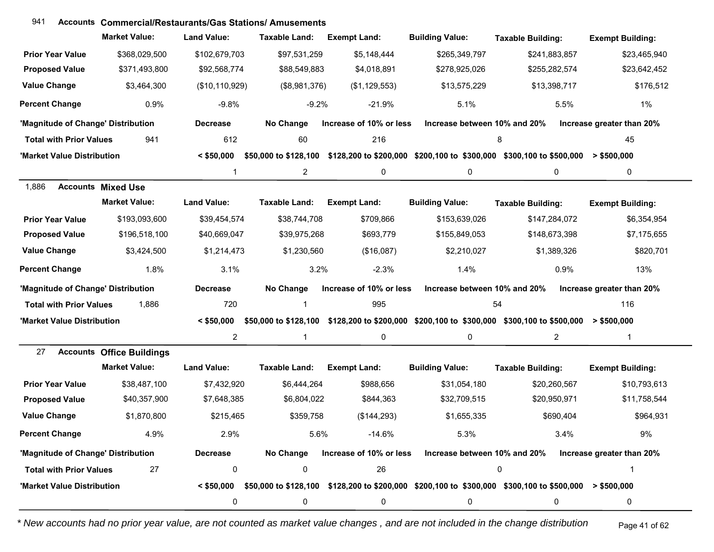| 941                                |                                  | <b>Accounts Commercial/Restaurants/Gas Stations/ Amusements</b> |                       |                         |                              |                                                                                                                         |                           |
|------------------------------------|----------------------------------|-----------------------------------------------------------------|-----------------------|-------------------------|------------------------------|-------------------------------------------------------------------------------------------------------------------------|---------------------------|
|                                    | <b>Market Value:</b>             | <b>Land Value:</b>                                              | <b>Taxable Land:</b>  | <b>Exempt Land:</b>     | <b>Building Value:</b>       | <b>Taxable Building:</b>                                                                                                | <b>Exempt Building:</b>   |
| <b>Prior Year Value</b>            | \$368,029,500                    | \$102,679,703                                                   | \$97,531,259          | \$5,148,444             | \$265,349,797                | \$241,883,857                                                                                                           | \$23,465,940              |
| <b>Proposed Value</b>              | \$371,493,800                    | \$92,568,774                                                    | \$88,549,883          | \$4,018,891             | \$278,925,026                | \$255,282,574                                                                                                           | \$23,642,452              |
| <b>Value Change</b>                | \$3,464,300                      | (\$10,110,929)                                                  | (\$8,981,376)         | (\$1,129,553)           | \$13,575,229                 | \$13,398,717                                                                                                            | \$176,512                 |
| <b>Percent Change</b>              | 0.9%                             | $-9.8%$                                                         | $-9.2%$               | $-21.9%$                | 5.1%                         | 5.5%                                                                                                                    | $1\%$                     |
| 'Magnitude of Change' Distribution |                                  | <b>Decrease</b>                                                 | No Change             | Increase of 10% or less | Increase between 10% and 20% |                                                                                                                         | Increase greater than 20% |
| <b>Total with Prior Values</b>     | 941                              | 612                                                             | 60                    | 216                     |                              | 8                                                                                                                       | 45                        |
| 'Market Value Distribution         |                                  | $<$ \$50,000                                                    |                       |                         |                              | \$50,000 to \$128,100 \$128,200 to \$200,000 \$200,100 to \$300,000 \$300,100 to \$500,000 > \$500,000                  |                           |
|                                    |                                  | $\mathbf 1$                                                     | $\overline{2}$        | 0                       | $\mathbf 0$                  | 0                                                                                                                       | 0                         |
| 1,886<br><b>Accounts Mixed Use</b> |                                  |                                                                 |                       |                         |                              |                                                                                                                         |                           |
|                                    | <b>Market Value:</b>             | <b>Land Value:</b>                                              | <b>Taxable Land:</b>  | <b>Exempt Land:</b>     | <b>Building Value:</b>       | <b>Taxable Building:</b>                                                                                                | <b>Exempt Building:</b>   |
| <b>Prior Year Value</b>            | \$193,093,600                    | \$39,454,574                                                    | \$38,744,708          | \$709,866               | \$153,639,026                | \$147,284,072                                                                                                           | \$6,354,954               |
| <b>Proposed Value</b>              | \$196,518,100                    | \$40,669,047                                                    | \$39,975,268          | \$693,779               | \$155,849,053                | \$148,673,398                                                                                                           | \$7,175,655               |
| <b>Value Change</b>                | \$3,424,500                      | \$1,214,473                                                     | \$1,230,560           | (\$16,087)              | \$2,210,027                  | \$1,389,326                                                                                                             | \$820,701                 |
| Percent Change                     | 1.8%                             | 3.1%                                                            | 3.2%                  | $-2.3%$                 | 1.4%                         | 0.9%                                                                                                                    | 13%                       |
| 'Magnitude of Change' Distribution |                                  | <b>Decrease</b>                                                 | No Change             | Increase of 10% or less | Increase between 10% and 20% |                                                                                                                         | Increase greater than 20% |
| <b>Total with Prior Values</b>     | 1,886                            | 720                                                             | 1                     | 995                     |                              | 54                                                                                                                      | 116                       |
| 'Market Value Distribution         |                                  | $<$ \$50,000                                                    | \$50,000 to \$128,100 |                         |                              | \$128,200 to \$200,000 \$200,100 to \$300,000 \$300,100 to \$500,000                                                    | > \$500,000               |
|                                    |                                  | $\overline{2}$                                                  | 1                     | 0                       | $\mathbf 0$                  | $\overline{2}$                                                                                                          | $\mathbf 1$               |
| 27                                 | <b>Accounts Office Buildings</b> |                                                                 |                       |                         |                              |                                                                                                                         |                           |
|                                    | <b>Market Value:</b>             | <b>Land Value:</b>                                              | <b>Taxable Land:</b>  | <b>Exempt Land:</b>     | <b>Building Value:</b>       | <b>Taxable Building:</b>                                                                                                | <b>Exempt Building:</b>   |
| <b>Prior Year Value</b>            | \$38,487,100                     | \$7,432,920                                                     | \$6,444,264           | \$988,656               | \$31,054,180                 | \$20,260,567                                                                                                            | \$10,793,613              |
| <b>Proposed Value</b>              | \$40,357,900                     | \$7,648,385                                                     | \$6,804,022           | \$844,363               | \$32,709,515                 | \$20,950,971                                                                                                            | \$11,758,544              |
| <b>Value Change</b>                | \$1,870,800                      | \$215,465                                                       | \$359,758             | (\$144, 293)            | \$1,655,335                  | \$690,404                                                                                                               | \$964,931                 |
| <b>Percent Change</b>              | 4.9%                             | 2.9%                                                            | 5.6%                  | $-14.6%$                | 5.3%                         | 3.4%                                                                                                                    | 9%                        |
| 'Magnitude of Change' Distribution |                                  | <b>Decrease</b>                                                 | No Change             | Increase of 10% or less | Increase between 10% and 20% |                                                                                                                         | Increase greater than 20% |
| <b>Total with Prior Values</b>     | 27                               | $\pmb{0}$                                                       | $\pmb{0}$             | 26                      |                              | $\pmb{0}$                                                                                                               | 1                         |
| 'Market Value Distribution         |                                  |                                                                 |                       |                         |                              | $< $50,000$ $$50,000$ to \$128,100 $$128,200$ to \$200,000 $$200,100$ to \$300,000 $$300,100$ to \$500,000 $> $500,000$ |                           |
|                                    |                                  | 0                                                               | 0                     | 0                       | 0                            | $\mathbf 0$                                                                                                             | 0                         |

*\* New accounts had no prior year value, are not counted as market value changes , and are not included in the change distribution* Page 41 of 62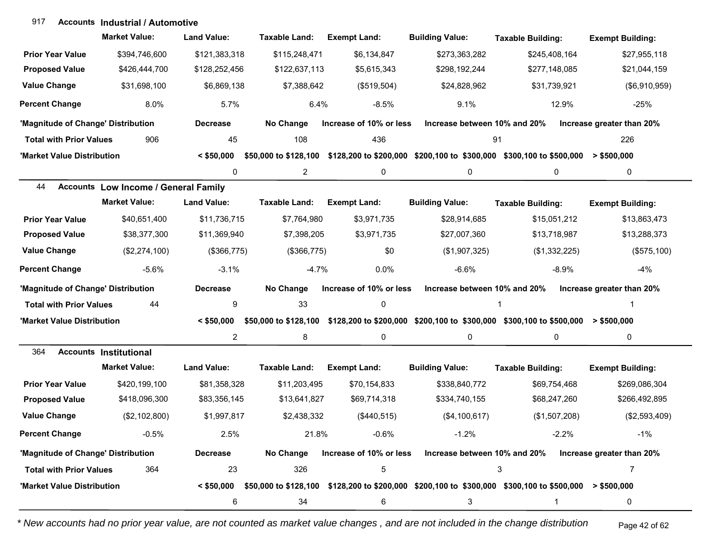### **Accounts Industrial / Automotive**917

|                                    | <b>Market Value:</b>                        | <b>Land Value:</b> | Taxable Land:         | <b>Exempt Land:</b>     | <b>Building Value:</b>                                                                                 | <b>Taxable Building:</b> | <b>Exempt Building:</b>   |
|------------------------------------|---------------------------------------------|--------------------|-----------------------|-------------------------|--------------------------------------------------------------------------------------------------------|--------------------------|---------------------------|
| <b>Prior Year Value</b>            | \$394,746,600                               | \$121,383,318      | \$115,248,471         | \$6,134,847             | \$273,363,282                                                                                          | \$245,408,164            | \$27,955,118              |
| <b>Proposed Value</b>              | \$426,444,700                               | \$128,252,456      | \$122,637,113         | \$5,615,343             | \$298,192,244                                                                                          | \$277,148,085            | \$21,044,159              |
| <b>Value Change</b>                | \$31,698,100                                | \$6,869,138        | \$7,388,642           | (\$519,504)             | \$24,828,962                                                                                           | \$31,739,921             | (\$6,910,959)             |
| <b>Percent Change</b>              | 8.0%                                        | 5.7%               | 6.4%                  | $-8.5%$                 | 9.1%                                                                                                   | 12.9%                    | $-25%$                    |
| 'Magnitude of Change' Distribution |                                             | <b>Decrease</b>    | No Change             | Increase of 10% or less | Increase between 10% and 20%                                                                           |                          | Increase greater than 20% |
| <b>Total with Prior Values</b>     | 906                                         | 45                 | 108                   | 436                     | 91                                                                                                     |                          | 226                       |
| 'Market Value Distribution         |                                             | $<$ \$50,000       |                       |                         | \$50,000 to \$128,100 \$128,200 to \$200,000 \$200,100 to \$300,000 \$300,100 to \$500,000 > \$500,000 |                          |                           |
|                                    |                                             | 0                  | $\overline{2}$        | 0                       | 0                                                                                                      | 0                        | 0                         |
| 44                                 | <b>Accounts Low Income / General Family</b> |                    |                       |                         |                                                                                                        |                          |                           |
|                                    | <b>Market Value:</b>                        | <b>Land Value:</b> | <b>Taxable Land:</b>  | <b>Exempt Land:</b>     | <b>Building Value:</b>                                                                                 | <b>Taxable Building:</b> | <b>Exempt Building:</b>   |
| <b>Prior Year Value</b>            | \$40,651,400                                | \$11,736,715       | \$7,764,980           | \$3,971,735             | \$28,914,685                                                                                           | \$15,051,212             | \$13,863,473              |
| <b>Proposed Value</b>              | \$38,377,300                                | \$11,369,940       | \$7,398,205           | \$3,971,735             | \$27,007,360                                                                                           | \$13,718,987             | \$13,288,373              |
| <b>Value Change</b>                | (\$2,274,100)                               | (\$366,775)        | (\$366,775)           | \$0                     | (\$1,907,325)                                                                                          | (\$1,332,225)            | (\$575,100)               |
| <b>Percent Change</b>              | $-5.6%$                                     | $-3.1%$            | $-4.7%$               | 0.0%                    | $-6.6%$                                                                                                | $-8.9%$                  | $-4%$                     |
| 'Magnitude of Change' Distribution |                                             | <b>Decrease</b>    | No Change             | Increase of 10% or less | Increase between 10% and 20%                                                                           |                          | Increase greater than 20% |
| <b>Total with Prior Values</b>     | 44                                          | 9                  | 33                    | 0                       |                                                                                                        |                          |                           |
| 'Market Value Distribution         |                                             | $<$ \$50,000       |                       |                         | \$50,000 to \$128,100 \$128,200 to \$200,000 \$200,100 to \$300,000 \$300,100 to \$500,000 > \$500,000 |                          |                           |
|                                    |                                             | $\overline{2}$     | 8                     | 0                       | 0                                                                                                      | 0                        | 0                         |
| 364                                | <b>Accounts Institutional</b>               |                    |                       |                         |                                                                                                        |                          |                           |
|                                    | <b>Market Value:</b>                        | <b>Land Value:</b> | <b>Taxable Land:</b>  | <b>Exempt Land:</b>     | <b>Building Value:</b>                                                                                 | <b>Taxable Building:</b> | <b>Exempt Building:</b>   |
| <b>Prior Year Value</b>            | \$420,199,100                               | \$81,358,328       | \$11,203,495          | \$70,154,833            | \$338,840,772                                                                                          | \$69,754,468             | \$269,086,304             |
| <b>Proposed Value</b>              | \$418,096,300                               | \$83,356,145       | \$13,641,827          | \$69,714,318            | \$334,740,155                                                                                          | \$68,247,260             | \$266,492,895             |
| <b>Value Change</b>                | (\$2,102,800)                               | \$1,997,817        | \$2,438,332           | (\$440,515)             | (\$4,100,617)                                                                                          | (\$1,507,208)            | (\$2,593,409)             |
| <b>Percent Change</b>              | $-0.5\%$                                    | 2.5%               | 21.8%                 | $-0.6%$                 | $-1.2%$                                                                                                | $-2.2%$                  | $-1%$                     |
| 'Magnitude of Change' Distribution |                                             | <b>Decrease</b>    | No Change             | Increase of 10% or less | Increase between 10% and 20%                                                                           |                          | Increase greater than 20% |
| <b>Total with Prior Values</b>     | 364                                         | 23                 | 326                   | 5                       |                                                                                                        | 3                        | $\overline{7}$            |
| 'Market Value Distribution         |                                             | $<$ \$50,000       | \$50,000 to \$128,100 |                         | \$128,200 to \$200,000 \$200,100 to \$300,000 \$300,100 to \$500,000 > \$500,000                       |                          |                           |
|                                    |                                             | 6                  | 34                    | 6                       | 3                                                                                                      | 1                        | 0                         |

*\* New accounts had no prior year value, are not counted as market value changes , and are not included in the change distribution* Page 42 of 62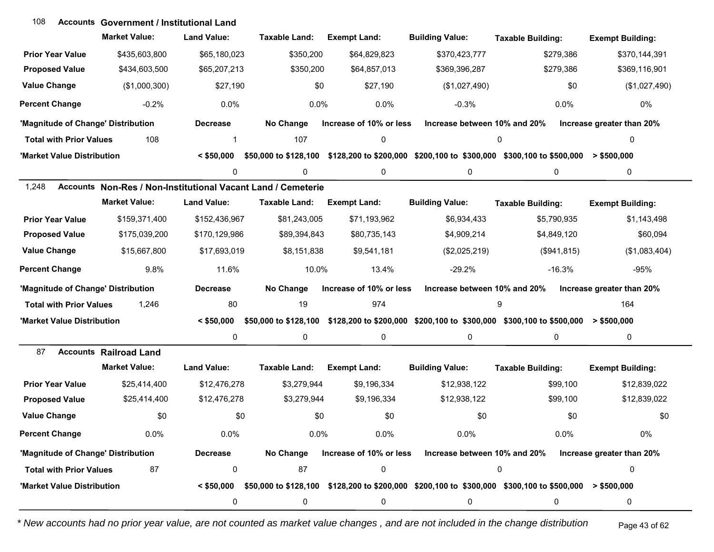| 108                                | <b>Accounts Government / Institutional Land</b>              |                    |                                   |                         |                              |                                                                                         |                           |
|------------------------------------|--------------------------------------------------------------|--------------------|-----------------------------------|-------------------------|------------------------------|-----------------------------------------------------------------------------------------|---------------------------|
|                                    | <b>Market Value:</b>                                         | <b>Land Value:</b> | Taxable Land:                     | <b>Exempt Land:</b>     | <b>Building Value:</b>       | <b>Taxable Building:</b>                                                                | <b>Exempt Building:</b>   |
| <b>Prior Year Value</b>            | \$435,603,800                                                | \$65,180,023       | \$350,200                         | \$64,829,823            | \$370,423,777                | \$279,386                                                                               | \$370,144,391             |
| <b>Proposed Value</b>              | \$434,603,500                                                | \$65,207,213       | \$350,200                         | \$64,857,013            | \$369,396,287                | \$279,386                                                                               | \$369,116,901             |
| <b>Value Change</b>                | (\$1,000,300)                                                | \$27,190           | \$0                               | \$27,190                | (\$1,027,490)                | \$0                                                                                     | (\$1,027,490)             |
| <b>Percent Change</b>              | $-0.2%$                                                      | 0.0%               | 0.0%                              | 0.0%                    | $-0.3%$                      | 0.0%                                                                                    | 0%                        |
| 'Magnitude of Change' Distribution |                                                              | <b>Decrease</b>    | No Change                         | Increase of 10% or less | Increase between 10% and 20% |                                                                                         | Increase greater than 20% |
| <b>Total with Prior Values</b>     | 108                                                          | 1                  | 107                               | 0                       |                              | 0                                                                                       | 0                         |
| 'Market Value Distribution         |                                                              | $<$ \$50,000       | \$50,000 to \$128,100             |                         |                              | \$128,200 to \$200,000 \$200,100 to \$300,000 \$300,100 to \$500,000                    | > \$500,000               |
|                                    |                                                              | 0                  | 0                                 | 0                       | 0                            | 0                                                                                       | 0                         |
| 1,248                              | Accounts Non-Res / Non-Institutional Vacant Land / Cemeterie |                    |                                   |                         |                              |                                                                                         |                           |
|                                    | <b>Market Value:</b>                                         | <b>Land Value:</b> | Taxable Land:                     | <b>Exempt Land:</b>     | <b>Building Value:</b>       | <b>Taxable Building:</b>                                                                | <b>Exempt Building:</b>   |
| <b>Prior Year Value</b>            | \$159,371,400                                                | \$152,436,967      | \$81,243,005                      | \$71,193,962            | \$6,934,433                  | \$5,790,935                                                                             | \$1,143,498               |
| <b>Proposed Value</b>              | \$175,039,200                                                | \$170,129,986      | \$89,394,843                      | \$80,735,143            | \$4,909,214                  | \$4,849,120                                                                             | \$60,094                  |
| <b>Value Change</b>                | \$15,667,800                                                 | \$17,693,019       | \$8,151,838                       | \$9,541,181             | (\$2,025,219)                | (\$941, 815)                                                                            | (\$1,083,404)             |
| <b>Percent Change</b>              | 9.8%                                                         | 11.6%              | 10.0%                             | 13.4%                   | $-29.2%$                     | $-16.3%$                                                                                | -95%                      |
| 'Magnitude of Change' Distribution |                                                              | <b>Decrease</b>    | No Change                         | Increase of 10% or less | Increase between 10% and 20% |                                                                                         | Increase greater than 20% |
| <b>Total with Prior Values</b>     | 1,246                                                        | 80                 | 19                                | 974                     |                              | 9                                                                                       | 164                       |
| 'Market Value Distribution         |                                                              | $<$ \$50,000       | \$50,000 to \$128,100             |                         |                              | \$128,200 to \$200,000 \$200,100 to \$300,000 \$300,100 to \$500,000                    | $>$ \$500,000             |
|                                    |                                                              | 0                  | 0                                 | 0                       | 0                            | 0                                                                                       | 0                         |
| 87                                 | <b>Accounts Railroad Land</b>                                |                    |                                   |                         |                              |                                                                                         |                           |
|                                    | <b>Market Value:</b>                                         | <b>Land Value:</b> | <b>Taxable Land:</b>              | <b>Exempt Land:</b>     | <b>Building Value:</b>       | <b>Taxable Building:</b>                                                                | <b>Exempt Building:</b>   |
| <b>Prior Year Value</b>            | \$25,414,400                                                 | \$12,476,278       | \$3,279,944                       | \$9,196,334             | \$12,938,122                 | \$99,100                                                                                | \$12,839,022              |
| <b>Proposed Value</b>              | \$25,414,400                                                 | \$12,476,278       | \$3,279,944                       | \$9,196,334             | \$12,938,122                 | \$99,100                                                                                | \$12,839,022              |
| <b>Value Change</b>                | \$0                                                          | \$0                | \$0                               | \$0                     | \$0                          | \$0                                                                                     | \$0                       |
| <b>Percent Change</b>              | 0.0%                                                         | 0.0%               | 0.0%                              | 0.0%                    | 0.0%                         | 0.0%                                                                                    | 0%                        |
| 'Magnitude of Change' Distribution |                                                              | <b>Decrease</b>    | No Change                         | Increase of 10% or less | Increase between 10% and 20% |                                                                                         | Increase greater than 20% |
| <b>Total with Prior Values</b>     | 87                                                           | 0                  | 87                                | $\pmb{0}$               |                              | 0                                                                                       | 0                         |
| 'Market Value Distribution         |                                                              |                    | $< $50,000$ \$50,000 to \$128,100 |                         |                              | $$128,200$ to $$200,000$ $$200,100$ to $$300,000$ $$300,100$ to $$500,000$ > $$500,000$ |                           |
|                                    |                                                              | 0                  | 0                                 | 0                       | 0                            | 0                                                                                       | 0                         |

*\* New accounts had no prior year value, are not counted as market value changes , and are not included in the change distribution* Page 43 of 62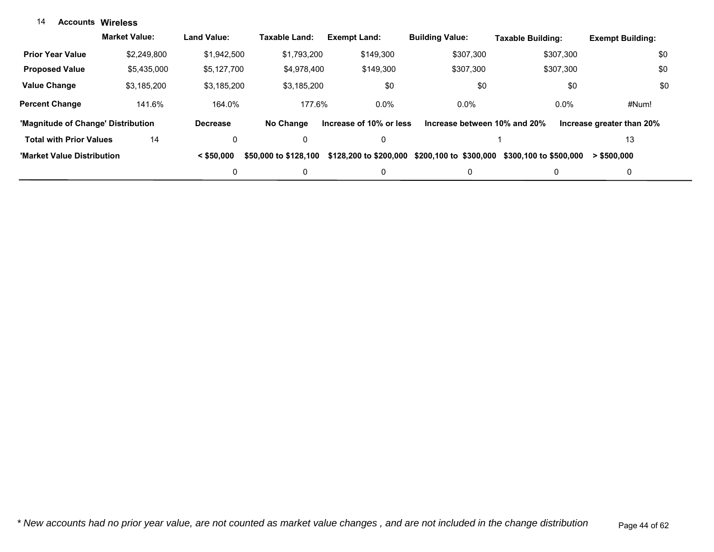#### **Accounts Wireless**14

|                                    | <b>Market Value:</b> | <b>Land Value:</b> | Taxable Land:         | <b>Exempt Land:</b>     | <b>Building Value:</b>       | Taxable Building:      | <b>Exempt Building:</b>   |
|------------------------------------|----------------------|--------------------|-----------------------|-------------------------|------------------------------|------------------------|---------------------------|
| <b>Prior Year Value</b>            | \$2,249,800          | \$1.942.500        | \$1.793.200           | \$149.300               | \$307.300                    | \$307.300              | \$0                       |
| <b>Proposed Value</b>              | \$5,435,000          | \$5,127,700        | \$4,978,400           | \$149,300               | \$307.300                    | \$307.300              | \$0                       |
| <b>Value Change</b>                | \$3.185.200          | \$3.185.200        | \$3.185.200           | \$0                     | \$0                          | \$0                    | \$0                       |
| <b>Percent Change</b>              | 141.6%               | 164.0%             | 177.6%                | $0.0\%$                 | $0.0\%$                      | $0.0\%$                | #Num!                     |
| 'Magnitude of Change' Distribution |                      | <b>Decrease</b>    | No Change             | Increase of 10% or less | Increase between 10% and 20% |                        | Increase greater than 20% |
| <b>Total with Prior Values</b>     | 14                   | 0                  | 0                     | 0                       |                              |                        | 13                        |
| 'Market Value Distribution         |                      | $<$ \$50,000       | \$50,000 to \$128,100 | \$128,200 to \$200,000  | \$200,100 to \$300,000       | \$300,100 to \$500,000 | > \$500.000               |
|                                    |                      |                    | 0                     | 0                       | 0                            | 0                      | 0                         |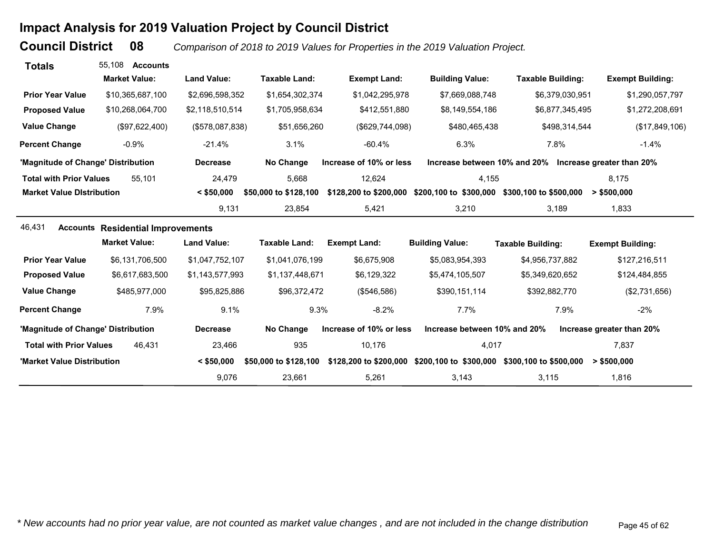# **Impact Analysis for 2019 Valuation Project by Council District**

**Council District**

 **08***Comparison of 2018 to 2019 Values for Properties in the 2019 Valuation Project.* 

| <b>Totals</b>                      | 55.108<br><b>Accounts</b>                |                    |                       |                         |                              |                                                        |                           |
|------------------------------------|------------------------------------------|--------------------|-----------------------|-------------------------|------------------------------|--------------------------------------------------------|---------------------------|
|                                    | <b>Market Value:</b>                     | <b>Land Value:</b> | <b>Taxable Land:</b>  | <b>Exempt Land:</b>     | <b>Building Value:</b>       | <b>Taxable Building:</b>                               | <b>Exempt Building:</b>   |
| <b>Prior Year Value</b>            | \$10,365,687,100                         | \$2,696,598,352    | \$1,654,302,374       | \$1,042,295,978         | \$7,669,088,748              | \$6,379,030,951                                        | \$1,290,057,797           |
| <b>Proposed Value</b>              | \$10,268,064,700                         | \$2,118,510,514    | \$1,705,958,634       | \$412,551,880           | \$8,149,554,186              | \$6,877,345,495                                        | \$1,272,208,691           |
| <b>Value Change</b>                | (\$97,622,400)                           | (\$578,087,838)    | \$51,656,260          | (\$629,744,098)         | \$480,465,438                | \$498,314,544                                          | (\$17,849,106)            |
| <b>Percent Change</b>              | $-0.9%$                                  | $-21.4%$           | 3.1%                  | $-60.4%$                | 6.3%                         | 7.8%                                                   | $-1.4%$                   |
| 'Magnitude of Change' Distribution |                                          | <b>Decrease</b>    | No Change             | Increase of 10% or less |                              | Increase between 10% and 20% Increase greater than 20% |                           |
| <b>Total with Prior Values</b>     | 55.101                                   | 24,479             | 5,668                 | 12,624                  | 4,155                        |                                                        | 8.175                     |
| <b>Market Value Distribution</b>   |                                          | $<$ \$50,000       | \$50,000 to \$128,100 | \$128,200 to \$200,000  | \$200,100 to \$300,000       | \$300,100 to \$500,000                                 | > \$500,000               |
|                                    |                                          | 9,131              | 23,854                | 5,421                   | 3,210                        | 3,189                                                  | 1,833                     |
| 46,431                             | <b>Accounts Residential Improvements</b> |                    |                       |                         |                              |                                                        |                           |
|                                    | <b>Market Value:</b>                     | <b>Land Value:</b> | <b>Taxable Land:</b>  | <b>Exempt Land:</b>     | <b>Building Value:</b>       | <b>Taxable Building:</b>                               | <b>Exempt Building:</b>   |
| <b>Prior Year Value</b>            | \$6,131,706,500                          | \$1,047,752,107    | \$1,041,076,199       | \$6,675,908             | \$5,083,954,393              | \$4,956,737,882                                        | \$127,216,511             |
| <b>Proposed Value</b>              | \$6,617,683,500                          | \$1,143,577,993    | \$1,137,448,671       | \$6,129,322             | \$5,474,105,507              | \$5,349,620,652                                        | \$124,484,855             |
| <b>Value Change</b>                | \$485,977,000                            | \$95,825,886       | \$96,372,472          | (\$546,586)             | \$390,151,114                | \$392,882,770                                          | (\$2,731,656)             |
| <b>Percent Change</b>              | 7.9%                                     | 9.1%               | 9.3%                  | $-8.2%$                 | 7.7%                         | 7.9%                                                   | $-2\%$                    |
| 'Magnitude of Change' Distribution |                                          | <b>Decrease</b>    | No Change             | Increase of 10% or less | Increase between 10% and 20% |                                                        | Increase greater than 20% |
| <b>Total with Prior Values</b>     | 46.431                                   | 23,466             | 935                   | 10,176                  | 4,017                        |                                                        | 7,837                     |
| 'Market Value Distribution         |                                          | $<$ \$50,000       | \$50,000 to \$128,100 | \$128,200 to \$200,000  |                              | \$200,100 to \$300,000 \$300,100 to \$500,000          | > \$500,000               |
|                                    |                                          | 9,076              | 23,661                | 5,261                   | 3,143                        | 3,115                                                  | 1,816                     |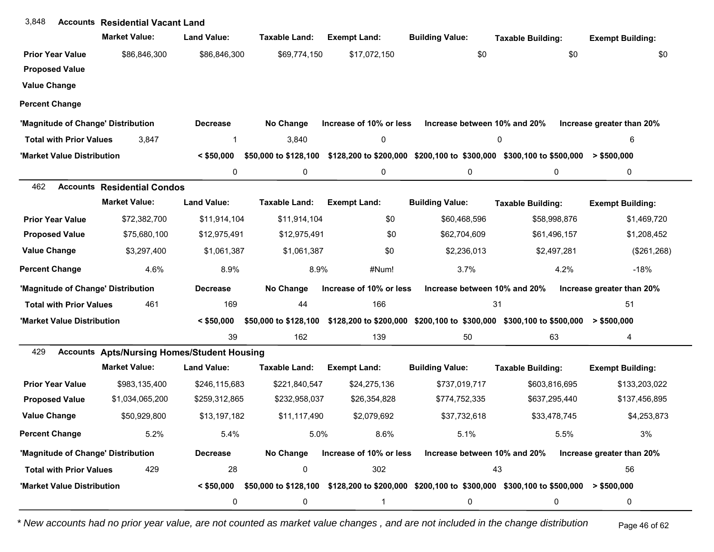| 3,848                          | <b>Accounts Residential Vacant Land</b>            |                    |                       |                         |                              |                                                                                                        |                           |
|--------------------------------|----------------------------------------------------|--------------------|-----------------------|-------------------------|------------------------------|--------------------------------------------------------------------------------------------------------|---------------------------|
|                                | <b>Market Value:</b>                               | <b>Land Value:</b> | Taxable Land:         | <b>Exempt Land:</b>     | <b>Building Value:</b>       | <b>Taxable Building:</b>                                                                               | <b>Exempt Building:</b>   |
| <b>Prior Year Value</b>        | \$86,846,300                                       | \$86,846,300       | \$69,774,150          | \$17,072,150            | \$0                          | \$0                                                                                                    | \$0                       |
| <b>Proposed Value</b>          |                                                    |                    |                       |                         |                              |                                                                                                        |                           |
| <b>Value Change</b>            |                                                    |                    |                       |                         |                              |                                                                                                        |                           |
| <b>Percent Change</b>          |                                                    |                    |                       |                         |                              |                                                                                                        |                           |
|                                | 'Magnitude of Change' Distribution                 | <b>Decrease</b>    | No Change             | Increase of 10% or less | Increase between 10% and 20% |                                                                                                        | Increase greater than 20% |
| <b>Total with Prior Values</b> | 3,847                                              | 1                  | 3,840                 | 0                       |                              | 0                                                                                                      | 6                         |
| 'Market Value Distribution     |                                                    | $<$ \$50,000       | \$50,000 to \$128,100 |                         |                              | \$128,200 to \$200,000 \$200,100 to \$300,000 \$300,100 to \$500,000                                   | $>$ \$500,000             |
|                                |                                                    | 0                  | 0                     | 0                       | 0                            | 0                                                                                                      | 0                         |
| 462                            | <b>Accounts Residential Condos</b>                 |                    |                       |                         |                              |                                                                                                        |                           |
|                                | <b>Market Value:</b>                               | <b>Land Value:</b> | Taxable Land:         | <b>Exempt Land:</b>     | <b>Building Value:</b>       | <b>Taxable Building:</b>                                                                               | <b>Exempt Building:</b>   |
| <b>Prior Year Value</b>        | \$72,382,700                                       | \$11,914,104       | \$11,914,104          | \$0                     | \$60,468,596                 | \$58,998,876                                                                                           | \$1,469,720               |
| <b>Proposed Value</b>          | \$75,680,100                                       | \$12,975,491       | \$12,975,491          | \$0                     | \$62,704,609                 | \$61,496,157                                                                                           | \$1,208,452               |
| <b>Value Change</b>            | \$3,297,400                                        | \$1,061,387        | \$1,061,387           | \$0                     | \$2,236,013                  | \$2,497,281                                                                                            | (\$261, 268)              |
| <b>Percent Change</b>          | 4.6%                                               | 8.9%               | 8.9%                  | #Num!                   | 3.7%                         | 4.2%                                                                                                   | $-18%$                    |
|                                | 'Magnitude of Change' Distribution                 | <b>Decrease</b>    | No Change             | Increase of 10% or less | Increase between 10% and 20% |                                                                                                        | Increase greater than 20% |
| <b>Total with Prior Values</b> | 461                                                | 169                | 44                    | 166                     |                              | 31                                                                                                     | 51                        |
| 'Market Value Distribution     |                                                    | $<$ \$50,000       | \$50,000 to \$128,100 |                         |                              | $$128,200$ to \$200,000 \$200,100 to \$300,000 \$300,100 to \$500,000 > \$500,000                      |                           |
|                                |                                                    | 39                 | 162                   | 139                     | 50                           | 63                                                                                                     | 4                         |
| 429                            | <b>Accounts Apts/Nursing Homes/Student Housing</b> |                    |                       |                         |                              |                                                                                                        |                           |
|                                | <b>Market Value:</b>                               | <b>Land Value:</b> | Taxable Land:         | <b>Exempt Land:</b>     | <b>Building Value:</b>       | <b>Taxable Building:</b>                                                                               | <b>Exempt Building:</b>   |
| <b>Prior Year Value</b>        | \$983,135,400                                      | \$246,115,683      | \$221,840,547         | \$24,275,136            | \$737,019,717                | \$603,816,695                                                                                          | \$133,203,022             |
| <b>Proposed Value</b>          | \$1,034,065,200                                    | \$259,312,865      | \$232,958,037         | \$26,354,828            | \$774,752,335                | \$637,295,440                                                                                          | \$137,456,895             |
| <b>Value Change</b>            | \$50,929,800                                       | \$13,197,182       | \$11,117,490          | \$2,079,692             | \$37,732,618                 | \$33,478,745                                                                                           | \$4,253,873               |
| <b>Percent Change</b>          | 5.2%                                               | 5.4%               | 5.0%                  | 8.6%                    | 5.1%                         | 5.5%                                                                                                   | 3%                        |
|                                | 'Magnitude of Change' Distribution                 | <b>Decrease</b>    | No Change             | Increase of 10% or less | Increase between 10% and 20% |                                                                                                        | Increase greater than 20% |
| <b>Total with Prior Values</b> | 429                                                | 28                 | 0                     | 302                     |                              | 43                                                                                                     | 56                        |
| 'Market Value Distribution     |                                                    | $<$ \$50,000       |                       |                         |                              | \$50,000 to \$128,100 \$128,200 to \$200,000 \$200,100 to \$300,000 \$300,100 to \$500,000 > \$500,000 |                           |
|                                |                                                    | 0                  | 0                     | 1                       | 0                            | 0                                                                                                      | 0                         |

*\* New accounts had no prior year value, are not counted as market value changes , and are not included in the change distribution* Page 46 of 62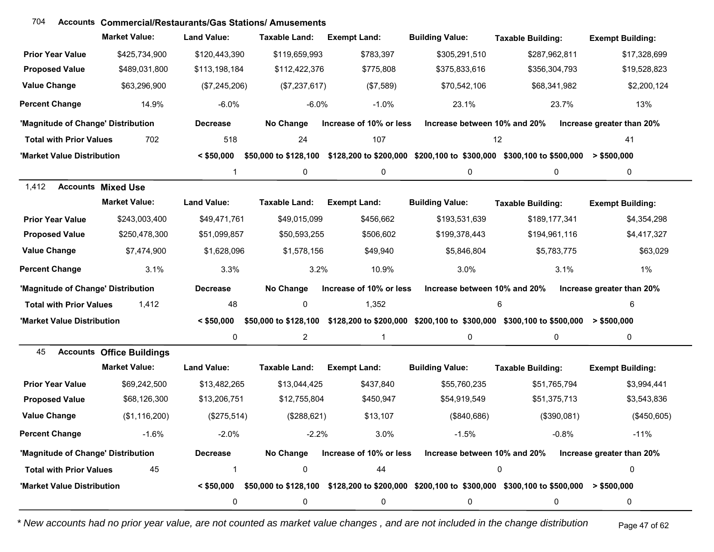#### **Accounts Commercial/Restaurants/Gas Stations/ Amusements**704

|                                    | <b>Market Value:</b>             | <b>Land Value:</b> | <b>Taxable Land:</b>  | <b>Exempt Land:</b>     | <b>Building Value:</b>       | <b>Taxable Building:</b>                                                                                               | <b>Exempt Building:</b>   |
|------------------------------------|----------------------------------|--------------------|-----------------------|-------------------------|------------------------------|------------------------------------------------------------------------------------------------------------------------|---------------------------|
| <b>Prior Year Value</b>            | \$425,734,900                    | \$120,443,390      | \$119,659,993         | \$783,397               | \$305,291,510                | \$287,962,811                                                                                                          | \$17,328,699              |
| <b>Proposed Value</b>              | \$489,031,800                    | \$113,198,184      | \$112,422,376         | \$775,808               | \$375,833,616                | \$356,304,793                                                                                                          | \$19,528,823              |
| <b>Value Change</b>                | \$63,296,900                     | (\$7,245,206)      | (\$7,237,617)         | (\$7,589)               | \$70,542,106                 | \$68,341,982                                                                                                           | \$2,200,124               |
| <b>Percent Change</b>              | 14.9%                            | $-6.0%$            | $-6.0%$               | $-1.0%$                 | 23.1%                        | 23.7%                                                                                                                  | 13%                       |
| 'Magnitude of Change' Distribution |                                  | <b>Decrease</b>    | No Change             | Increase of 10% or less | Increase between 10% and 20% |                                                                                                                        | Increase greater than 20% |
| <b>Total with Prior Values</b>     | 702                              | 518                | 24                    | 107                     |                              | 12                                                                                                                     | 41                        |
| 'Market Value Distribution         |                                  | $<$ \$50,000       | \$50,000 to \$128,100 |                         |                              | \$128,200 to \$200,000 \$200,100 to \$300,000 \$300,100 to \$500,000                                                   | $>$ \$500,000             |
|                                    |                                  | 1                  | 0                     | 0                       | 0                            | 0                                                                                                                      | 0                         |
| 1,412                              | <b>Accounts Mixed Use</b>        |                    |                       |                         |                              |                                                                                                                        |                           |
|                                    | <b>Market Value:</b>             | <b>Land Value:</b> | <b>Taxable Land:</b>  | <b>Exempt Land:</b>     | <b>Building Value:</b>       | <b>Taxable Building:</b>                                                                                               | <b>Exempt Building:</b>   |
| <b>Prior Year Value</b>            | \$243,003,400                    | \$49,471,761       | \$49,015,099          | \$456,662               | \$193,531,639                | \$189,177,341                                                                                                          | \$4,354,298               |
| <b>Proposed Value</b>              | \$250,478,300                    | \$51,099,857       | \$50,593,255          | \$506,602               | \$199,378,443                | \$194,961,116                                                                                                          | \$4,417,327               |
| <b>Value Change</b>                | \$7,474,900                      | \$1,628,096        | \$1,578,156           | \$49,940                | \$5,846,804                  | \$5,783,775                                                                                                            | \$63,029                  |
| <b>Percent Change</b>              | 3.1%                             | 3.3%               | 3.2%                  | 10.9%                   | 3.0%                         | 3.1%                                                                                                                   | 1%                        |
| 'Magnitude of Change' Distribution |                                  | <b>Decrease</b>    | No Change             | Increase of 10% or less | Increase between 10% and 20% |                                                                                                                        | Increase greater than 20% |
| <b>Total with Prior Values</b>     | 1,412                            | 48                 | 0                     | 1,352                   |                              | 6                                                                                                                      | 6                         |
| 'Market Value Distribution         |                                  | $<$ \$50,000       |                       |                         |                              | \$50,000 to \$128,100 \$128,200 to \$200,000 \$200,100 to \$300,000 \$300,100 to \$500,000 > \$500,000                 |                           |
|                                    |                                  | 0                  | $\overline{2}$        | $\mathbf{1}$            | 0                            | 0                                                                                                                      | $\mathbf 0$               |
| 45                                 | <b>Accounts Office Buildings</b> |                    |                       |                         |                              |                                                                                                                        |                           |
|                                    | <b>Market Value:</b>             | <b>Land Value:</b> | <b>Taxable Land:</b>  | <b>Exempt Land:</b>     | <b>Building Value:</b>       | <b>Taxable Building:</b>                                                                                               | <b>Exempt Building:</b>   |
| <b>Prior Year Value</b>            | \$69,242,500                     | \$13,482,265       | \$13,044,425          | \$437,840               | \$55,760,235                 | \$51,765,794                                                                                                           | \$3,994,441               |
| <b>Proposed Value</b>              | \$68,126,300                     | \$13,206,751       | \$12,755,804          | \$450,947               | \$54,919,549                 | \$51,375,713                                                                                                           | \$3,543,836               |
| <b>Value Change</b>                | (\$1,116,200)                    | (\$275,514)        | (\$288,621)           | \$13,107                | (\$840,686)                  | (\$390,081)                                                                                                            | (\$450,605)               |
| <b>Percent Change</b>              | $-1.6%$                          | $-2.0%$            | $-2.2%$               | 3.0%                    | $-1.5%$                      | $-0.8%$                                                                                                                | $-11%$                    |
| 'Magnitude of Change' Distribution |                                  | <b>Decrease</b>    |                       |                         |                              | No Change Increase of 10% or less Increase between 10% and 20% Increase greater than 20%                               |                           |
| <b>Total with Prior Values</b>     | 45                               |                    | 0                     | 44                      |                              | 0                                                                                                                      | 0                         |
| 'Market Value Distribution         |                                  |                    |                       |                         |                              | $\leq$ \$50,000 \$50,000 to \$128,100 \$128,200 to \$200,000 \$200,100 to \$300,000 \$300,100 to \$500,000 > \$500,000 |                           |
|                                    |                                  | 0                  | 0                     | 0                       | 0                            | 0                                                                                                                      | 0                         |

*\* New accounts had no prior year value, are not counted as market value changes , and are not included in the change distribution* Page 47 of 62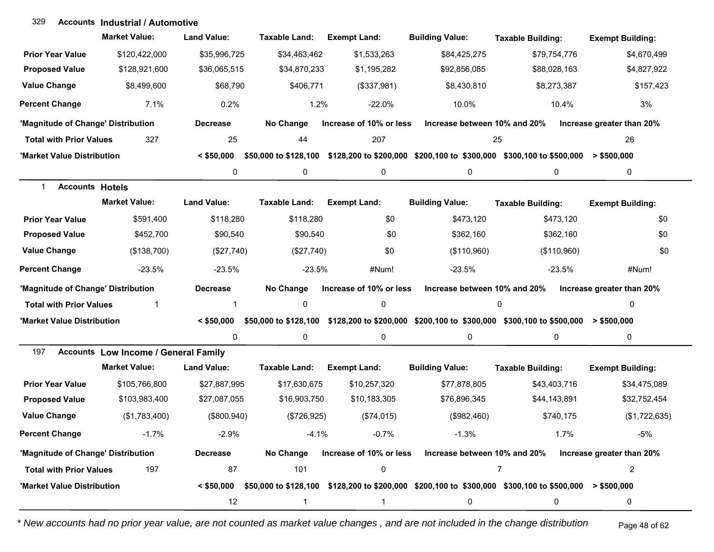#### **Accounts Industrial / Automotive**329

|                                        | <b>Market Value:</b>                        | <b>Land Value:</b> | <b>Taxable Land:</b> | <b>Exempt Land:</b>     | <b>Building Value:</b>                                                                                                 | <b>Taxable Building:</b> | <b>Exempt Building:</b>   |
|----------------------------------------|---------------------------------------------|--------------------|----------------------|-------------------------|------------------------------------------------------------------------------------------------------------------------|--------------------------|---------------------------|
| <b>Prior Year Value</b>                | \$120,422,000                               | \$35,996,725       | \$34,463,462         | \$1,533,263             | \$84,425,275                                                                                                           | \$79.754.776             | \$4,670,499               |
| <b>Proposed Value</b>                  | \$128,921,600                               | \$36,065,515       | \$34,870,233         | \$1,195,282             | \$92,856,085                                                                                                           | \$88,028,163             | \$4,827,922               |
| <b>Value Change</b>                    | \$8,499,600                                 | \$68,790           | \$406,771            | (\$337,981)             | \$8,430,810                                                                                                            | \$8,273,387              | \$157,423                 |
| <b>Percent Change</b>                  | 7.1%                                        | 0.2%               | 1.2%                 | $-22.0%$                | 10.0%                                                                                                                  | 10.4%                    | 3%                        |
| 'Magnitude of Change' Distribution     |                                             | <b>Decrease</b>    | No Change            | Increase of 10% or less | Increase between 10% and 20%                                                                                           |                          | Increase greater than 20% |
| <b>Total with Prior Values</b>         | 327                                         | 25                 | 44                   | 207                     | 25                                                                                                                     |                          | 26                        |
| 'Market Value Distribution             |                                             | $<$ \$50.000       |                      |                         | \$50,000 to \$128,100 \$128,200 to \$200,000 \$200,100 to \$300,000 \$300,100 to \$500,000 > \$500,000                 |                          |                           |
|                                        |                                             | 0                  | 0                    | $\pmb{0}$               | 0                                                                                                                      | 0                        | 0                         |
| $\mathbf{1}$<br><b>Accounts Hotels</b> |                                             |                    |                      |                         |                                                                                                                        |                          |                           |
|                                        | <b>Market Value:</b>                        | <b>Land Value:</b> | <b>Taxable Land:</b> | <b>Exempt Land:</b>     | <b>Building Value:</b>                                                                                                 | <b>Taxable Building:</b> | <b>Exempt Building:</b>   |
| <b>Prior Year Value</b>                | \$591,400                                   | \$118,280          | \$118,280            | \$0                     | \$473,120                                                                                                              | \$473,120                | \$0                       |
| <b>Proposed Value</b>                  | \$452,700                                   | \$90,540           | \$90,540             | \$0                     | \$362,160                                                                                                              | \$362,160                | \$0                       |
| <b>Value Change</b>                    | (\$138,700)                                 | (\$27,740)         | (\$27,740)           | \$0                     | (\$110,960)                                                                                                            | (\$110,960)              | \$0                       |
| <b>Percent Change</b>                  | $-23.5%$                                    | $-23.5%$           | $-23.5%$             | #Num!                   | $-23.5%$                                                                                                               | $-23.5%$                 | #Num!                     |
| 'Magnitude of Change' Distribution     |                                             | <b>Decrease</b>    | No Change            | Increase of 10% or less | Increase between 10% and 20%                                                                                           |                          | Increase greater than 20% |
| <b>Total with Prior Values</b>         | 1                                           | 1                  | 0                    | $\mathbf 0$             |                                                                                                                        | 0                        | 0                         |
| 'Market Value Distribution             |                                             | $<$ \$50,000       |                      |                         | \$50,000 to \$128,100 \$128,200 to \$200,000 \$200,100 to \$300,000 \$300,100 to \$500,000 > \$500,000                 |                          |                           |
|                                        |                                             | 0                  | 0                    | 0                       | 0                                                                                                                      | 0                        | 0                         |
| 197                                    | <b>Accounts Low Income / General Family</b> |                    |                      |                         |                                                                                                                        |                          |                           |
|                                        | <b>Market Value:</b>                        | <b>Land Value:</b> | <b>Taxable Land:</b> | <b>Exempt Land:</b>     | <b>Building Value:</b>                                                                                                 | <b>Taxable Building:</b> | <b>Exempt Building:</b>   |
| <b>Prior Year Value</b>                | \$105,766,800                               | \$27,887,995       | \$17,630,675         | \$10,257,320            | \$77,878,805                                                                                                           | \$43,403,716             | \$34,475,089              |
| <b>Proposed Value</b>                  | \$103,983,400                               | \$27,087,055       | \$16,903,750         | \$10,183,305            | \$76,896,345                                                                                                           | \$44,143,891             | \$32,752,454              |
| <b>Value Change</b>                    | (\$1,783,400)                               | (\$800, 940)       | (\$726,925)          | (\$74,015)              | (\$982,460)                                                                                                            | \$740,175                | (\$1,722,635)             |
| <b>Percent Change</b>                  | $-1.7\%$                                    | $-2.9%$            | $-4.1%$              | $-0.7\%$                | $-1.3%$                                                                                                                | $1.7\%$                  | -5%                       |
| 'Magnitude of Change' Distribution     |                                             | <b>Decrease</b>    | No Change            |                         | Increase of 10% or less Increase between 10% and 20%                                                                   |                          | Increase greater than 20% |
| <b>Total with Prior Values</b>         | 197                                         | 87                 | 101                  | $\pmb{0}$               |                                                                                                                        | $\overline{7}$           | $\overline{c}$            |
| 'Market Value Distribution             |                                             |                    |                      |                         | $\leq$ \$50,000 \$50,000 to \$128,100 \$128,200 to \$200,000 \$200,100 to \$300,000 \$300,100 to \$500,000 > \$500,000 |                          |                           |
|                                        |                                             | 12                 | 1                    | 1                       | 0                                                                                                                      | 0                        | 0                         |

*\* New accounts had no prior year value, are not counted as market value changes , and are not included in the change distribution* Page 48 of 62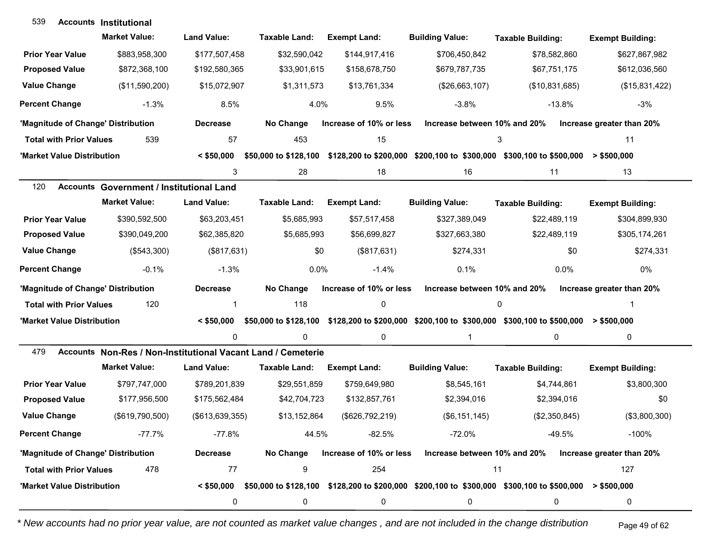| 539                                | <b>Accounts Institutional</b>                                |                    |                       |                         |                              |                                                                                                                        |                           |
|------------------------------------|--------------------------------------------------------------|--------------------|-----------------------|-------------------------|------------------------------|------------------------------------------------------------------------------------------------------------------------|---------------------------|
|                                    | <b>Market Value:</b>                                         | <b>Land Value:</b> | Taxable Land:         | <b>Exempt Land:</b>     | <b>Building Value:</b>       | <b>Taxable Building:</b>                                                                                               | <b>Exempt Building:</b>   |
| <b>Prior Year Value</b>            | \$883,958,300                                                | \$177,507,458      | \$32,590,042          | \$144,917,416           | \$706,450,842                | \$78,582,860                                                                                                           | \$627,867,982             |
| <b>Proposed Value</b>              | \$872,368,100                                                | \$192,580,365      | \$33,901,615          | \$158,678,750           | \$679,787,735                | \$67,751,175                                                                                                           | \$612,036,560             |
| <b>Value Change</b>                | (\$11,590,200)                                               | \$15,072,907       | \$1,311,573           | \$13,761,334            | (\$26,663,107)               | (\$10,831,685)                                                                                                         | (\$15,831,422)            |
| <b>Percent Change</b>              | $-1.3%$                                                      | 8.5%               | 4.0%                  | 9.5%                    | $-3.8%$                      | $-13.8%$                                                                                                               | $-3%$                     |
| 'Magnitude of Change' Distribution |                                                              | <b>Decrease</b>    | No Change             | Increase of 10% or less | Increase between 10% and 20% |                                                                                                                        | Increase greater than 20% |
| <b>Total with Prior Values</b>     | 539                                                          | 57                 | 453                   | 15                      |                              | 3                                                                                                                      | 11                        |
| 'Market Value Distribution         |                                                              | $<$ \$50,000       | \$50,000 to \$128,100 |                         |                              | \$128,200 to \$200,000 \$200,100 to \$300,000 \$300,100 to \$500,000                                                   | $>$ \$500,000             |
|                                    |                                                              | 3                  | 28                    | 18                      | 16                           | 11                                                                                                                     | 13                        |
| 120                                | <b>Accounts Government / Institutional Land</b>              |                    |                       |                         |                              |                                                                                                                        |                           |
|                                    | <b>Market Value:</b>                                         | <b>Land Value:</b> | <b>Taxable Land:</b>  | <b>Exempt Land:</b>     | <b>Building Value:</b>       | <b>Taxable Building:</b>                                                                                               | <b>Exempt Building:</b>   |
| <b>Prior Year Value</b>            | \$390,592,500                                                | \$63,203,451       | \$5,685,993           | \$57,517,458            | \$327,389,049                | \$22,489,119                                                                                                           | \$304,899,930             |
| <b>Proposed Value</b>              | \$390,049,200                                                | \$62,385,820       | \$5,685,993           | \$56,699,827            | \$327,663,380                | \$22,489,119                                                                                                           | \$305,174,261             |
| <b>Value Change</b>                | (\$543,300)                                                  | (\$817,631)        | \$0                   | (\$817,631)             | \$274,331                    | \$0                                                                                                                    | \$274,331                 |
| <b>Percent Change</b>              | $-0.1%$                                                      | $-1.3%$            | 0.0%                  | $-1.4%$                 | 0.1%                         | 0.0%                                                                                                                   | 0%                        |
| 'Magnitude of Change' Distribution |                                                              | <b>Decrease</b>    | No Change             | Increase of 10% or less | Increase between 10% and 20% |                                                                                                                        | Increase greater than 20% |
| <b>Total with Prior Values</b>     | 120                                                          | 1                  | 118                   | 0                       |                              | 0                                                                                                                      |                           |
| 'Market Value Distribution         |                                                              | $<$ \$50,000       |                       |                         |                              | \$50,000 to \$128,100 \$128,200 to \$200,000 \$200,100 to \$300,000 \$300,100 to \$500,000 > \$500,000                 |                           |
|                                    |                                                              | 0                  | $\Omega$              | 0                       | $\mathbf{1}$                 | 0                                                                                                                      | $\mathbf 0$               |
| 479                                | Accounts Non-Res / Non-Institutional Vacant Land / Cemeterie |                    |                       |                         |                              |                                                                                                                        |                           |
|                                    | <b>Market Value:</b>                                         | <b>Land Value:</b> | <b>Taxable Land:</b>  | <b>Exempt Land:</b>     | <b>Building Value:</b>       | <b>Taxable Building:</b>                                                                                               | <b>Exempt Building:</b>   |
| <b>Prior Year Value</b>            | \$797,747,000                                                | \$789,201,839      | \$29,551,859          | \$759,649,980           | \$8,545,161                  | \$4,744,861                                                                                                            | \$3,800,300               |
| <b>Proposed Value</b>              | \$177,956,500                                                | \$175,562,484      | \$42,704,723          | \$132,857,761           | \$2,394,016                  | \$2,394,016                                                                                                            | \$0                       |
| <b>Value Change</b>                | (\$619,790,500)                                              | (\$613, 639, 355)  | \$13,152,864          | (\$626,792,219)         | (\$6, 151, 145)              | (\$2,350,845)                                                                                                          | (\$3,800,300)             |
| <b>Percent Change</b>              | $-77.7%$                                                     | $-77.8%$           | 44.5%                 | $-82.5%$                | $-72.0%$                     | $-49.5%$                                                                                                               | $-100%$                   |
| 'Magnitude of Change' Distribution |                                                              | <b>Decrease</b>    | No Change             | Increase of 10% or less | Increase between 10% and 20% |                                                                                                                        | Increase greater than 20% |
| <b>Total with Prior Values</b>     | 478                                                          | 77                 | 9                     | 254                     |                              | 11                                                                                                                     | 127                       |
| 'Market Value Distribution         |                                                              |                    |                       |                         |                              | $\leq$ \$50,000 \$50,000 to \$128,100 \$128,200 to \$200,000 \$200,100 to \$300,000 \$300,100 to \$500,000 > \$500,000 |                           |
|                                    |                                                              | 0                  | 0                     | 0                       | 0                            | 0                                                                                                                      | 0                         |

*\* New accounts had no prior year value, are not counted as market value changes , and are not included in the change distribution* Page 49 of 62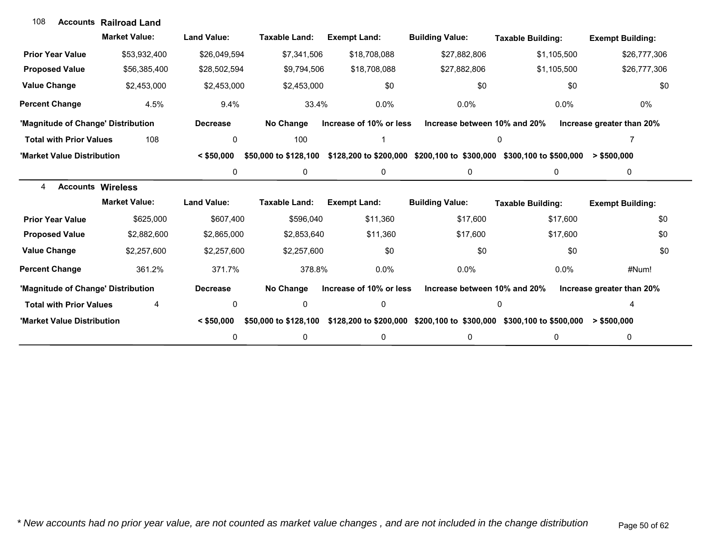| 108                                | <b>Accounts Railroad Land</b> |                    |                       |                         |                              |                                                                      |                           |
|------------------------------------|-------------------------------|--------------------|-----------------------|-------------------------|------------------------------|----------------------------------------------------------------------|---------------------------|
|                                    | <b>Market Value:</b>          | <b>Land Value:</b> | <b>Taxable Land:</b>  | <b>Exempt Land:</b>     | <b>Building Value:</b>       | <b>Taxable Building:</b>                                             | <b>Exempt Building:</b>   |
| <b>Prior Year Value</b>            | \$53,932,400                  | \$26,049,594       | \$7,341,506           | \$18,708,088            | \$27,882,806                 | \$1,105,500                                                          | \$26,777,306              |
| <b>Proposed Value</b>              | \$56,385,400                  | \$28,502,594       | \$9,794,506           | \$18,708,088            | \$27,882,806                 | \$1,105,500                                                          | \$26,777,306              |
| <b>Value Change</b>                | \$2,453,000                   | \$2,453,000        | \$2,453,000           | \$0                     | \$0                          | \$0                                                                  | \$0                       |
| <b>Percent Change</b>              | 4.5%                          | 9.4%               | 33.4%                 | 0.0%                    | $0.0\%$                      | $0.0\%$                                                              | 0%                        |
| 'Magnitude of Change' Distribution |                               | <b>Decrease</b>    | No Change             | Increase of 10% or less | Increase between 10% and 20% |                                                                      | Increase greater than 20% |
| <b>Total with Prior Values</b>     | 108                           | 0                  | 100                   |                         |                              | 0                                                                    |                           |
| 'Market Value Distribution         |                               | $<$ \$50.000       | \$50,000 to \$128,100 |                         |                              | \$128,200 to \$200,000 \$200,100 to \$300,000 \$300,100 to \$500,000 | > \$500,000               |
|                                    |                               | 0                  | 0                     | $\pmb{0}$               | 0                            | 0                                                                    | 0                         |
| <b>Accounts Wireless</b><br>4      |                               |                    |                       |                         |                              |                                                                      |                           |
|                                    | <b>Market Value:</b>          | <b>Land Value:</b> | Taxable Land:         | <b>Exempt Land:</b>     | <b>Building Value:</b>       | <b>Taxable Building:</b>                                             | <b>Exempt Building:</b>   |
| <b>Prior Year Value</b>            | \$625,000                     | \$607,400          | \$596,040             | \$11,360                | \$17,600                     | \$17,600                                                             | \$0                       |
| <b>Proposed Value</b>              | \$2,882,600                   | \$2,865,000        | \$2,853,640           | \$11,360                | \$17,600                     | \$17,600                                                             | \$0                       |
| <b>Value Change</b>                | \$2,257,600                   | \$2,257,600        | \$2,257,600           | \$0                     | \$0                          | \$0                                                                  | \$0                       |
| <b>Percent Change</b>              | 361.2%                        | 371.7%             | 378.8%                | 0.0%                    | $0.0\%$                      | $0.0\%$                                                              | #Num!                     |
| 'Magnitude of Change' Distribution |                               | <b>Decrease</b>    | No Change             | Increase of 10% or less | Increase between 10% and 20% |                                                                      | Increase greater than 20% |
| <b>Total with Prior Values</b>     | 4                             | 0                  | 0                     | 0                       |                              | 0                                                                    |                           |
| 'Market Value Distribution         |                               | $<$ \$50,000       | \$50,000 to \$128,100 |                         |                              | \$128,200 to \$200,000 \$200,100 to \$300,000 \$300,100 to \$500,000 | > \$500,000               |
|                                    |                               | 0                  | $\mathbf{0}$          | 0                       | 0                            | 0                                                                    | 0                         |

 $100$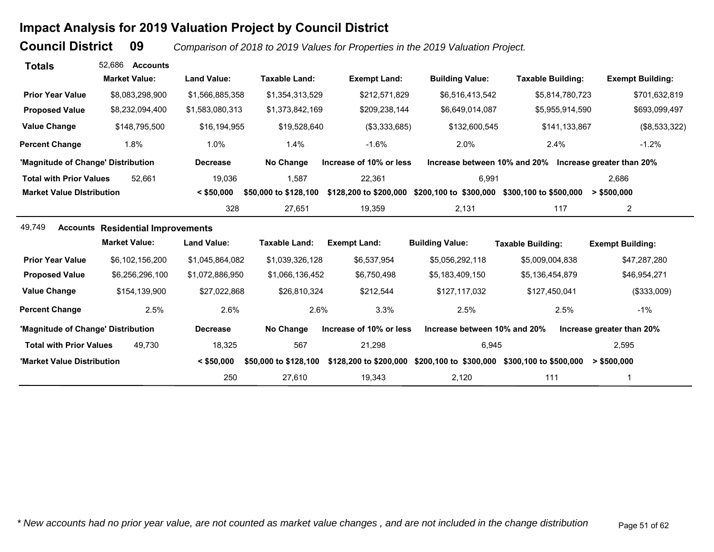# **Impact Analysis for 2019 Valuation Project by Council District**

**Council District**

 **09***Comparison of 2018 to 2019 Values for Properties in the 2019 Valuation Project.* 

| <b>Totals</b>                      | 52.686<br><b>Accounts</b>                |                    |                       |                         |                              |                                                        |                           |
|------------------------------------|------------------------------------------|--------------------|-----------------------|-------------------------|------------------------------|--------------------------------------------------------|---------------------------|
|                                    | <b>Market Value:</b>                     | <b>Land Value:</b> | <b>Taxable Land:</b>  | <b>Exempt Land:</b>     | <b>Building Value:</b>       | <b>Taxable Building:</b>                               | <b>Exempt Building:</b>   |
| <b>Prior Year Value</b>            | \$8,083,298,900                          | \$1,566,885,358    | \$1,354,313,529       | \$212,571,829           | \$6,516,413,542              | \$5,814,780,723                                        | \$701,632,819             |
| <b>Proposed Value</b>              | \$8,232,094,400                          | \$1,583,080,313    | \$1,373,842,169       | \$209,238,144           | \$6,649,014,087              | \$5,955,914,590                                        | \$693,099,497             |
| <b>Value Change</b>                | \$148,795,500                            | \$16,194,955       | \$19,528,640          | (\$3,333,685)           | \$132,600,545                | \$141,133,867                                          | (\$8,533,322)             |
| <b>Percent Change</b>              | 1.8%                                     | 1.0%               | 1.4%                  | $-1.6%$                 | 2.0%                         | 2.4%                                                   | $-1.2%$                   |
| 'Magnitude of Change' Distribution |                                          | <b>Decrease</b>    | No Change             | Increase of 10% or less |                              | Increase between 10% and 20% Increase greater than 20% |                           |
| <b>Total with Prior Values</b>     | 52.661                                   | 19,036             | 1,587                 | 22,361                  | 6,991                        |                                                        | 2.686                     |
| <b>Market Value Distribution</b>   |                                          | $<$ \$50,000       | \$50,000 to \$128,100 | \$128,200 to \$200,000  | \$200,100 to \$300,000       | \$300,100 to \$500,000                                 | > \$500,000               |
|                                    |                                          | 328                | 27,651                | 19,359                  | 2,131                        | 117                                                    | $\overline{2}$            |
| 49,749                             | <b>Accounts Residential Improvements</b> |                    |                       |                         |                              |                                                        |                           |
|                                    | <b>Market Value:</b>                     | <b>Land Value:</b> | <b>Taxable Land:</b>  | <b>Exempt Land:</b>     | <b>Building Value:</b>       | <b>Taxable Building:</b>                               | <b>Exempt Building:</b>   |
| <b>Prior Year Value</b>            | \$6,102,156,200                          | \$1,045,864,082    | \$1,039,326,128       | \$6,537,954             | \$5,056,292,118              | \$5,009,004,838                                        | \$47,287,280              |
| <b>Proposed Value</b>              | \$6,256,296,100                          | \$1,072,886,950    | \$1,066,136,452       | \$6,750,498             | \$5,183,409,150              | \$5,136,454,879                                        | \$46,954,271              |
| <b>Value Change</b>                | \$154,139,900                            | \$27,022,868       | \$26,810,324          | \$212,544               | \$127,117,032                | \$127,450,041                                          | (\$333,009)               |
| <b>Percent Change</b>              | 2.5%                                     | 2.6%               | 2.6%                  | 3.3%                    | 2.5%                         | 2.5%                                                   | $-1%$                     |
| 'Magnitude of Change' Distribution |                                          | <b>Decrease</b>    | No Change             | Increase of 10% or less | Increase between 10% and 20% |                                                        | Increase greater than 20% |
| <b>Total with Prior Values</b>     | 49.730                                   | 18,325             | 567                   | 21,298                  | 6,945                        |                                                        | 2,595                     |
| 'Market Value Distribution         |                                          | $<$ \$50,000       | \$50,000 to \$128,100 | \$128,200 to \$200,000  | \$200,100 to \$300,000       | \$300,100 to \$500,000                                 | > \$500,000               |
|                                    |                                          | 250                | 27,610                | 19,343                  | 2,120                        | 111                                                    |                           |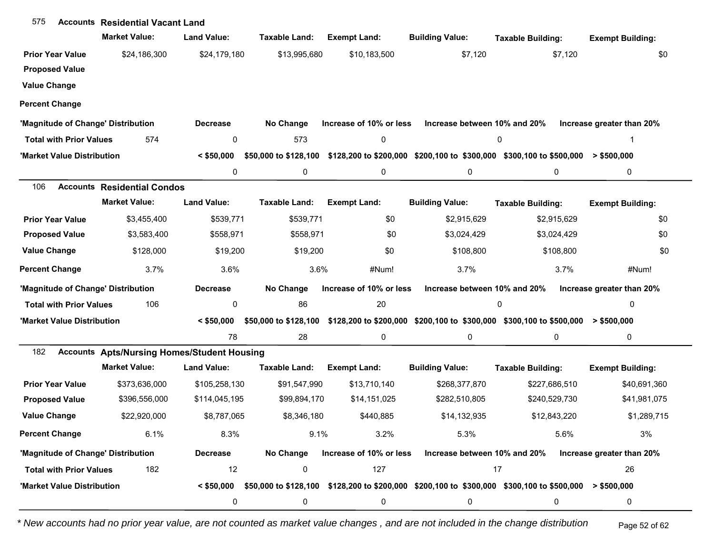| 575                            | <b>Accounts Residential Vacant Land</b>            |                    |                       |                         |                                                                                                        |                          |                           |
|--------------------------------|----------------------------------------------------|--------------------|-----------------------|-------------------------|--------------------------------------------------------------------------------------------------------|--------------------------|---------------------------|
|                                | <b>Market Value:</b>                               | <b>Land Value:</b> | <b>Taxable Land:</b>  | <b>Exempt Land:</b>     | <b>Building Value:</b>                                                                                 | <b>Taxable Building:</b> | <b>Exempt Building:</b>   |
| <b>Prior Year Value</b>        | \$24,186,300                                       | \$24,179,180       | \$13,995,680          | \$10,183,500            | \$7,120                                                                                                | \$7,120                  | \$0                       |
| <b>Proposed Value</b>          |                                                    |                    |                       |                         |                                                                                                        |                          |                           |
| <b>Value Change</b>            |                                                    |                    |                       |                         |                                                                                                        |                          |                           |
| <b>Percent Change</b>          |                                                    |                    |                       |                         |                                                                                                        |                          |                           |
|                                | 'Magnitude of Change' Distribution                 | <b>Decrease</b>    | No Change             | Increase of 10% or less | Increase between 10% and 20%                                                                           |                          | Increase greater than 20% |
| <b>Total with Prior Values</b> | 574                                                | 0                  | 573                   | $\pmb{0}$               |                                                                                                        | 0                        |                           |
| 'Market Value Distribution     |                                                    | $<$ \$50,000       | \$50,000 to \$128,100 |                         | \$128,200 to \$200,000 \$200,100 to \$300,000 \$300,100 to \$500,000                                   |                          | $>$ \$500,000             |
|                                |                                                    | 0                  | 0                     | 0                       | 0                                                                                                      | 0                        | 0                         |
| 106                            | <b>Accounts Residential Condos</b>                 |                    |                       |                         |                                                                                                        |                          |                           |
|                                | <b>Market Value:</b>                               | <b>Land Value:</b> | <b>Taxable Land:</b>  | <b>Exempt Land:</b>     | <b>Building Value:</b>                                                                                 | <b>Taxable Building:</b> | <b>Exempt Building:</b>   |
| <b>Prior Year Value</b>        | \$3,455,400                                        | \$539,771          | \$539,771             | \$0                     | \$2,915,629                                                                                            | \$2,915,629              | \$0                       |
| <b>Proposed Value</b>          | \$3,583,400                                        | \$558,971          | \$558,971             | \$0                     | \$3,024,429                                                                                            | \$3,024,429              | \$0                       |
| <b>Value Change</b>            | \$128,000                                          | \$19,200           | \$19,200              | \$0                     | \$108,800                                                                                              | \$108,800                | \$0                       |
| <b>Percent Change</b>          | 3.7%                                               | 3.6%               | 3.6%                  | #Num!                   | 3.7%                                                                                                   | 3.7%                     | #Num!                     |
|                                | 'Magnitude of Change' Distribution                 | <b>Decrease</b>    | No Change             | Increase of 10% or less | Increase between 10% and 20%                                                                           |                          | Increase greater than 20% |
| <b>Total with Prior Values</b> | 106                                                | 0                  | 86                    | 20                      |                                                                                                        | 0                        | 0                         |
| 'Market Value Distribution     |                                                    | $<$ \$50,000       | \$50,000 to \$128,100 |                         | $$128,200$ to $$200,000$ $$200,100$ to $$300,000$ $$300,100$ to $$500,000$ > $$500,000$                |                          |                           |
|                                |                                                    | 78                 | 28                    | 0                       | 0                                                                                                      | 0                        | 0                         |
| 182                            | <b>Accounts Apts/Nursing Homes/Student Housing</b> |                    |                       |                         |                                                                                                        |                          |                           |
|                                | <b>Market Value:</b>                               | <b>Land Value:</b> | <b>Taxable Land:</b>  | <b>Exempt Land:</b>     | <b>Building Value:</b>                                                                                 | <b>Taxable Building:</b> | <b>Exempt Building:</b>   |
| <b>Prior Year Value</b>        | \$373,636,000                                      | \$105,258,130      | \$91,547,990          | \$13,710,140            | \$268,377,870                                                                                          | \$227,686,510            | \$40,691,360              |
| <b>Proposed Value</b>          | \$396,556,000                                      | \$114,045,195      | \$99,894,170          | \$14,151,025            | \$282,510,805                                                                                          | \$240,529,730            | \$41,981,075              |
| <b>Value Change</b>            | \$22,920,000                                       | \$8,787,065        | \$8,346,180           | \$440,885               | \$14,132,935                                                                                           | \$12,843,220             | \$1,289,715               |
| <b>Percent Change</b>          | 6.1%                                               | 8.3%               | 9.1%                  | 3.2%                    | 5.3%                                                                                                   | 5.6%                     | 3%                        |
|                                | 'Magnitude of Change' Distribution                 | <b>Decrease</b>    | No Change             | Increase of 10% or less | Increase between 10% and 20%                                                                           |                          | Increase greater than 20% |
| <b>Total with Prior Values</b> | 182                                                | 12                 | 0                     | 127                     |                                                                                                        | 17                       | 26                        |
| 'Market Value Distribution     |                                                    | $<$ \$50,000       |                       |                         | \$50,000 to \$128,100 \$128,200 to \$200,000 \$200,100 to \$300,000 \$300,100 to \$500,000 > \$500,000 |                          |                           |
|                                |                                                    | 0                  | 0                     | $\pmb{0}$               | 0                                                                                                      | 0                        | 0                         |

*\* New accounts had no prior year value, are not counted as market value changes , and are not included in the change distribution* Page 52 of 62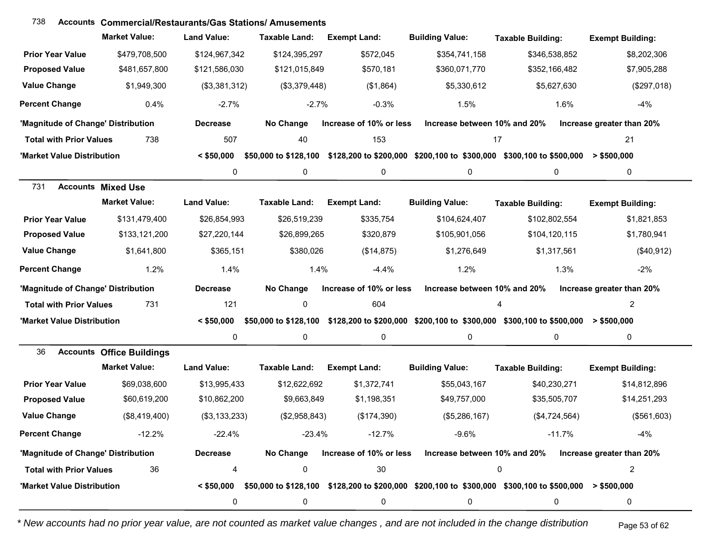#### **Accounts Commercial/Restaurants/Gas Stations/ Amusements**738

|                                    | <b>Market Value:</b>             | <b>Land Value:</b> | <b>Taxable Land:</b>  | <b>Exempt Land:</b>     | <b>Building Value:</b>       | <b>Taxable Building:</b>                                                                                               | <b>Exempt Building:</b>   |
|------------------------------------|----------------------------------|--------------------|-----------------------|-------------------------|------------------------------|------------------------------------------------------------------------------------------------------------------------|---------------------------|
| <b>Prior Year Value</b>            | \$479,708,500                    | \$124,967,342      | \$124,395,297         | \$572,045               | \$354,741,158                | \$346,538,852                                                                                                          | \$8,202,306               |
| <b>Proposed Value</b>              | \$481,657,800                    | \$121,586,030      | \$121,015,849         | \$570,181               | \$360,071,770                | \$352,166,482                                                                                                          | \$7,905,288               |
| <b>Value Change</b>                | \$1,949,300                      | (\$3,381,312)      | (\$3,379,448)         | (\$1,864)               | \$5,330,612                  | \$5,627,630                                                                                                            | (\$297,018)               |
| <b>Percent Change</b>              | 0.4%                             | $-2.7%$            | $-2.7%$               | $-0.3%$                 | 1.5%                         | 1.6%                                                                                                                   | $-4%$                     |
| 'Magnitude of Change' Distribution |                                  | <b>Decrease</b>    | No Change             | Increase of 10% or less | Increase between 10% and 20% |                                                                                                                        | Increase greater than 20% |
| <b>Total with Prior Values</b>     | 738                              | 507                | 40                    | 153                     | 17                           |                                                                                                                        | 21                        |
| 'Market Value Distribution         |                                  | $<$ \$50,000       | \$50,000 to \$128,100 |                         |                              | \$128,200 to \$200,000 \$200,100 to \$300,000 \$300,100 to \$500,000                                                   | $>$ \$500,000             |
|                                    |                                  | 0                  | 0                     | 0                       | 0                            | 0                                                                                                                      | 0                         |
| 731                                | <b>Accounts Mixed Use</b>        |                    |                       |                         |                              |                                                                                                                        |                           |
|                                    | <b>Market Value:</b>             | <b>Land Value:</b> | <b>Taxable Land:</b>  | <b>Exempt Land:</b>     | <b>Building Value:</b>       | <b>Taxable Building:</b>                                                                                               | <b>Exempt Building:</b>   |
| <b>Prior Year Value</b>            | \$131,479,400                    | \$26,854,993       | \$26,519,239          | \$335,754               | \$104,624,407                | \$102,802,554                                                                                                          | \$1,821,853               |
| <b>Proposed Value</b>              | \$133,121,200                    | \$27,220,144       | \$26,899,265          | \$320,879               | \$105,901,056                | \$104,120,115                                                                                                          | \$1,780,941               |
| <b>Value Change</b>                | \$1,641,800                      | \$365,151          | \$380,026             | (\$14,875)              | \$1,276,649                  | \$1,317,561                                                                                                            | (\$40,912)                |
| <b>Percent Change</b>              | 1.2%                             | 1.4%               | 1.4%                  | $-4.4%$                 | 1.2%                         | 1.3%                                                                                                                   | $-2%$                     |
| 'Magnitude of Change' Distribution |                                  | <b>Decrease</b>    | No Change             | Increase of 10% or less | Increase between 10% and 20% |                                                                                                                        | Increase greater than 20% |
| <b>Total with Prior Values</b>     | 731                              | 121                | $\mathbf 0$           | 604                     |                              | 4                                                                                                                      | $\overline{2}$            |
| 'Market Value Distribution         |                                  | $<$ \$50,000       | \$50,000 to \$128,100 |                         |                              | $$128,200$ to $$200,000$ $$200,100$ to $$300,000$ $$300,100$ to $$500,000$ > $$500,000$                                |                           |
|                                    |                                  | 0                  | 0                     | 0                       | 0                            | $\mathbf{0}$                                                                                                           | 0                         |
| 36                                 | <b>Accounts Office Buildings</b> |                    |                       |                         |                              |                                                                                                                        |                           |
|                                    | <b>Market Value:</b>             | <b>Land Value:</b> | <b>Taxable Land:</b>  | <b>Exempt Land:</b>     | <b>Building Value:</b>       | <b>Taxable Building:</b>                                                                                               | <b>Exempt Building:</b>   |
| <b>Prior Year Value</b>            | \$69,038,600                     | \$13,995,433       | \$12,622,692          | \$1,372,741             | \$55,043,167                 | \$40,230,271                                                                                                           | \$14,812,896              |
| <b>Proposed Value</b>              | \$60,619,200                     | \$10,862,200       | \$9,663,849           | \$1,198,351             | \$49,757,000                 | \$35,505,707                                                                                                           | \$14,251,293              |
| <b>Value Change</b>                | (\$8,419,400)                    | (\$3,133,233)      | (\$2,958,843)         | (\$174,390)             | (\$5,286,167)                | (\$4,724,564)                                                                                                          | (\$561,603)               |
| <b>Percent Change</b>              | $-12.2%$                         | $-22.4%$           | $-23.4%$              | $-12.7%$                | $-9.6%$                      | $-11.7%$                                                                                                               | $-4%$                     |
| 'Magnitude of Change' Distribution |                                  | <b>Decrease</b>    |                       |                         |                              | No Change Increase of 10% or less Increase between 10% and 20% Increase greater than 20%                               |                           |
| <b>Total with Prior Values</b>     | 36                               | 4                  | 0                     | 30                      |                              | 0                                                                                                                      | 2                         |
| 'Market Value Distribution         |                                  |                    |                       |                         |                              | $\leq$ \$50,000 \$50,000 to \$128,100 \$128,200 to \$200,000 \$200,100 to \$300,000 \$300,100 to \$500,000 > \$500,000 |                           |
|                                    |                                  | 0                  | 0                     | 0                       | 0                            | 0                                                                                                                      | 0                         |

*\* New accounts had no prior year value, are not counted as market value changes , and are not included in the change distribution* Page 53 of 62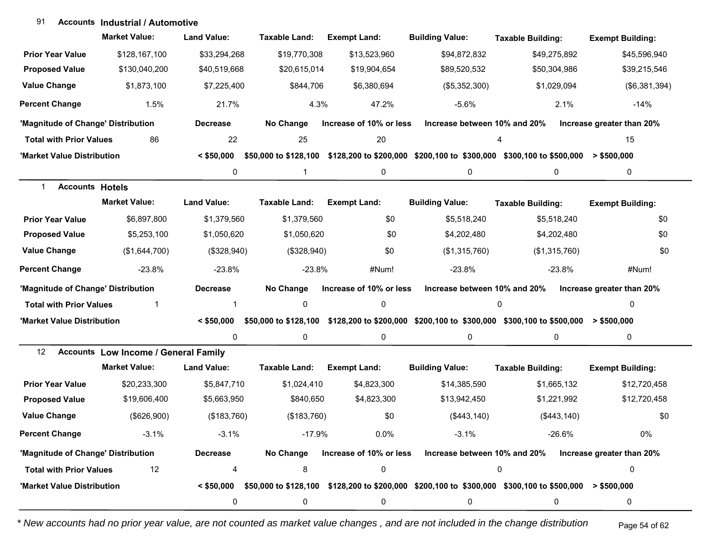#### **Accounts Industrial / Automotive**91

|                                    | <b>Market Value:</b>                        | <b>Land Value:</b> | Taxable Land:        | <b>Exempt Land:</b>     | <b>Building Value:</b>                                                                                                      | <b>Taxable Building:</b> | <b>Exempt Building:</b>   |
|------------------------------------|---------------------------------------------|--------------------|----------------------|-------------------------|-----------------------------------------------------------------------------------------------------------------------------|--------------------------|---------------------------|
| <b>Prior Year Value</b>            | \$128,167,100                               | \$33,294,268       | \$19,770,308         | \$13,523,960            | \$94,872,832                                                                                                                | \$49,275,892             | \$45,596,940              |
| <b>Proposed Value</b>              | \$130,040,200                               | \$40,519,668       | \$20,615,014         | \$19,904,654            | \$89,520,532                                                                                                                | \$50,304,986             | \$39,215,546              |
| <b>Value Change</b>                | \$1,873,100                                 | \$7,225,400        | \$844,706            | \$6,380,694             | (\$5,352,300)                                                                                                               | \$1,029,094              | (\$6,381,394)             |
| <b>Percent Change</b>              | 1.5%                                        | 21.7%              | 4.3%                 | 47.2%                   | $-5.6%$                                                                                                                     | 2.1%                     | $-14%$                    |
| 'Magnitude of Change' Distribution |                                             | <b>Decrease</b>    | No Change            | Increase of 10% or less | Increase between 10% and 20%                                                                                                |                          | Increase greater than 20% |
| <b>Total with Prior Values</b>     | 86                                          | 22                 | 25                   | 20                      |                                                                                                                             | 4                        | 15                        |
| 'Market Value Distribution         |                                             | $<$ \$50,000       |                      |                         | \$50,000 to \$128,100 \$128,200 to \$200,000 \$200,100 to \$300,000 \$300,100 to \$500,000 > \$500,000                      |                          |                           |
|                                    |                                             | 0                  | 1                    | 0                       | 0                                                                                                                           | 0                        | 0                         |
| <b>Accounts Hotels</b>             |                                             |                    |                      |                         |                                                                                                                             |                          |                           |
|                                    | <b>Market Value:</b>                        | <b>Land Value:</b> | <b>Taxable Land:</b> | <b>Exempt Land:</b>     | <b>Building Value:</b>                                                                                                      | <b>Taxable Building:</b> | <b>Exempt Building:</b>   |
| <b>Prior Year Value</b>            | \$6,897,800                                 | \$1,379,560        | \$1,379,560          | \$0                     | \$5,518,240                                                                                                                 | \$5,518,240              | \$0                       |
| <b>Proposed Value</b>              | \$5,253,100                                 | \$1,050,620        | \$1,050,620          | \$0                     | \$4,202,480                                                                                                                 | \$4,202,480              | \$0                       |
| <b>Value Change</b>                | (\$1,644,700)                               | (\$328,940)        | (\$328,940)          | \$0                     | (\$1,315,760)                                                                                                               | (\$1,315,760)            | \$0                       |
| <b>Percent Change</b>              | $-23.8%$                                    | $-23.8%$           | $-23.8%$             | #Num!                   | $-23.8%$                                                                                                                    | $-23.8%$                 | #Num!                     |
| 'Magnitude of Change' Distribution |                                             | <b>Decrease</b>    | No Change            | Increase of 10% or less | Increase between 10% and 20%                                                                                                |                          | Increase greater than 20% |
| <b>Total with Prior Values</b>     | 1                                           | 1                  | 0                    | 0                       |                                                                                                                             | $\mathbf 0$              | 0                         |
| 'Market Value Distribution         |                                             | $<$ \$50,000       |                      |                         | \$50,000 to \$128,100 \$128,200 to \$200,000 \$200,100 to \$300,000 \$300,100 to \$500,000 > \$500,000                      |                          |                           |
|                                    |                                             | 0                  | 0                    | 0                       | 0                                                                                                                           | 0                        | 0                         |
| $12 \overline{ }$                  | <b>Accounts Low Income / General Family</b> |                    |                      |                         |                                                                                                                             |                          |                           |
|                                    | <b>Market Value:</b>                        | <b>Land Value:</b> | <b>Taxable Land:</b> | <b>Exempt Land:</b>     | <b>Building Value:</b>                                                                                                      | <b>Taxable Building:</b> | <b>Exempt Building:</b>   |
| <b>Prior Year Value</b>            | \$20,233,300                                | \$5,847,710        | \$1,024,410          | \$4,823,300             | \$14,385,590                                                                                                                | \$1,665,132              | \$12,720,458              |
| <b>Proposed Value</b>              | \$19,606,400                                | \$5,663,950        | \$840,650            | \$4,823,300             | \$13,942,450                                                                                                                | \$1,221,992              | \$12,720,458              |
| <b>Value Change</b>                | (\$626,900)                                 | (\$183,760)        | (\$183,760)          | \$0                     | (\$443, 140)                                                                                                                | (\$443, 140)             | \$0                       |
| <b>Percent Change</b>              | $-3.1%$                                     | $-3.1%$            | $-17.9%$             | $0.0\%$                 | $-3.1%$                                                                                                                     | $-26.6%$                 | 0%                        |
| 'Magnitude of Change' Distribution |                                             | <b>Decrease</b>    | No Change            | Increase of 10% or less | Increase between 10% and 20%                                                                                                |                          | Increase greater than 20% |
| <b>Total with Prior Values</b>     | 12                                          | 4                  | 8                    | 0                       |                                                                                                                             | 0                        | 0                         |
| 'Market Value Distribution         |                                             |                    |                      |                         | $\leq$ \$50,000 \$50,000 to \$128,100 \$128,200 to \$200,000 \$200,100 to \$300,000 \$300,100 to \$500,000 $\geq$ \$500,000 |                          |                           |
|                                    |                                             | 0                  | 0                    | 0                       | 0                                                                                                                           | 0                        | 0                         |

*\* New accounts had no prior year value, are not counted as market value changes , and are not included in the change distribution* Page 54 of 62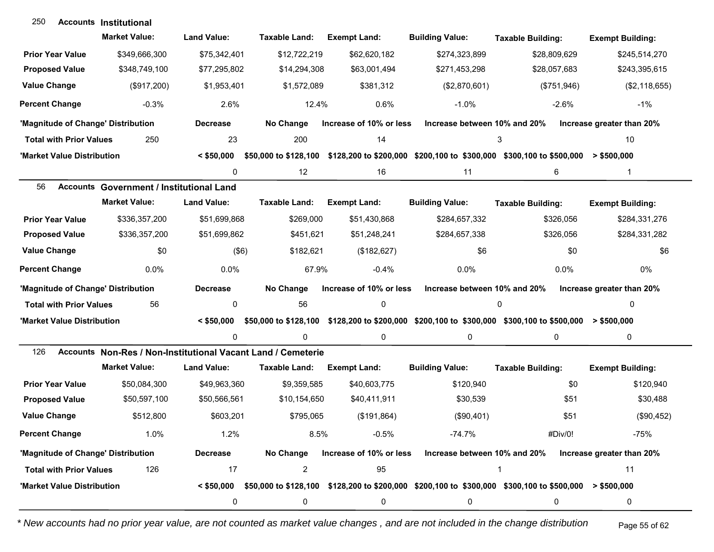| 250                                | <b>Accounts Institutional</b>                                |                    |                       |                         |                              |                                                                                                           |                           |
|------------------------------------|--------------------------------------------------------------|--------------------|-----------------------|-------------------------|------------------------------|-----------------------------------------------------------------------------------------------------------|---------------------------|
|                                    | <b>Market Value:</b>                                         | <b>Land Value:</b> | Taxable Land:         | <b>Exempt Land:</b>     | <b>Building Value:</b>       | <b>Taxable Building:</b>                                                                                  | <b>Exempt Building:</b>   |
| <b>Prior Year Value</b>            | \$349,666,300                                                | \$75,342,401       | \$12,722,219          | \$62,620,182            | \$274,323,899                | \$28,809,629                                                                                              | \$245,514,270             |
| <b>Proposed Value</b>              | \$348,749,100                                                | \$77,295,802       | \$14,294,308          | \$63,001,494            | \$271,453,298                | \$28,057,683                                                                                              | \$243,395,615             |
| <b>Value Change</b>                | (\$917,200)                                                  | \$1,953,401        | \$1,572,089           | \$381,312               | (\$2,870,601)                | (\$751,946)                                                                                               | (\$2,118,655)             |
| <b>Percent Change</b>              | $-0.3%$                                                      | 2.6%               | 12.4%                 | 0.6%                    | $-1.0%$                      | $-2.6%$                                                                                                   | $-1\%$                    |
| 'Magnitude of Change' Distribution |                                                              | <b>Decrease</b>    | No Change             | Increase of 10% or less | Increase between 10% and 20% |                                                                                                           | Increase greater than 20% |
| <b>Total with Prior Values</b>     | 250                                                          | 23                 | 200                   | 14                      |                              | 3                                                                                                         | 10                        |
| 'Market Value Distribution         |                                                              | $<$ \$50,000       | \$50,000 to \$128,100 |                         |                              | \$128,200 to \$200,000 \$200,100 to \$300,000 \$300,100 to \$500,000                                      | > \$500,000               |
|                                    |                                                              | 0                  | 12                    | 16                      | 11                           | 6                                                                                                         | $\mathbf{1}$              |
| 56                                 | <b>Accounts Government / Institutional Land</b>              |                    |                       |                         |                              |                                                                                                           |                           |
|                                    | <b>Market Value:</b>                                         | <b>Land Value:</b> | <b>Taxable Land:</b>  | <b>Exempt Land:</b>     | <b>Building Value:</b>       | <b>Taxable Building:</b>                                                                                  | <b>Exempt Building:</b>   |
| <b>Prior Year Value</b>            | \$336,357,200                                                | \$51,699,868       | \$269,000             | \$51,430,868            | \$284,657,332                | \$326,056                                                                                                 | \$284,331,276             |
| <b>Proposed Value</b>              | \$336,357,200                                                | \$51,699,862       | \$451,621             | \$51,248,241            | \$284,657,338                | \$326,056                                                                                                 | \$284,331,282             |
| <b>Value Change</b>                | \$0                                                          | $($ \$6)           | \$182,621             | (\$182,627)             | \$6                          | \$0                                                                                                       | \$6                       |
| <b>Percent Change</b>              | 0.0%                                                         | 0.0%               | 67.9%                 | $-0.4%$                 | 0.0%                         | 0.0%                                                                                                      | 0%                        |
| 'Magnitude of Change' Distribution |                                                              | <b>Decrease</b>    | No Change             | Increase of 10% or less | Increase between 10% and 20% |                                                                                                           | Increase greater than 20% |
| <b>Total with Prior Values</b>     | 56                                                           | 0                  | 56                    | $\pmb{0}$               |                              | 0                                                                                                         | $\Omega$                  |
| 'Market Value Distribution         |                                                              | $<$ \$50,000       |                       |                         |                              | \$50,000 to \$128,100 \$128,200 to \$200,000 \$200,100 to \$300,000 \$300,100 to \$500,000 > \$500,000    |                           |
|                                    |                                                              | 0                  | $\Omega$              | 0                       | 0                            | 0                                                                                                         | $\mathbf 0$               |
| 126                                | Accounts Non-Res / Non-Institutional Vacant Land / Cemeterie |                    |                       |                         |                              |                                                                                                           |                           |
|                                    | <b>Market Value:</b>                                         | <b>Land Value:</b> | Taxable Land:         | <b>Exempt Land:</b>     | <b>Building Value:</b>       | <b>Taxable Building:</b>                                                                                  | <b>Exempt Building:</b>   |
| <b>Prior Year Value</b>            | \$50,084,300                                                 | \$49,963,360       | \$9,359,585           | \$40,603,775            | \$120,940                    | \$0                                                                                                       | \$120,940                 |
| <b>Proposed Value</b>              | \$50,597,100                                                 | \$50,566,561       | \$10,154,650          | \$40,411,911            | \$30,539                     | \$51                                                                                                      | \$30,488                  |
| <b>Value Change</b>                | \$512,800                                                    | \$603,201          | \$795,065             | (\$191,864)             | (\$90,401)                   | \$51                                                                                                      | (\$90,452)                |
| <b>Percent Change</b>              | 1.0%                                                         | 1.2%               | 8.5%                  | $-0.5%$                 | $-74.7%$                     | #Div/0!                                                                                                   | $-75%$                    |
| 'Magnitude of Change' Distribution |                                                              | <b>Decrease</b>    | No Change             | Increase of 10% or less | Increase between 10% and 20% |                                                                                                           | Increase greater than 20% |
| <b>Total with Prior Values</b>     | 126                                                          | 17                 | $\overline{2}$        | 95                      |                              | 1                                                                                                         | 11                        |
| 'Market Value Distribution         |                                                              | $<$ \$50,000       |                       |                         |                              | $$50,000$ to \$128,100 $$128,200$ to \$200,000 $$200,100$ to \$300,000 \$300,100 to \$500,000 > \$500,000 |                           |
|                                    |                                                              | 0                  | 0                     | 0                       | 0                            | 0                                                                                                         | 0                         |

*\* New accounts had no prior year value, are not counted as market value changes , and are not included in the change distribution* Page 55 of 62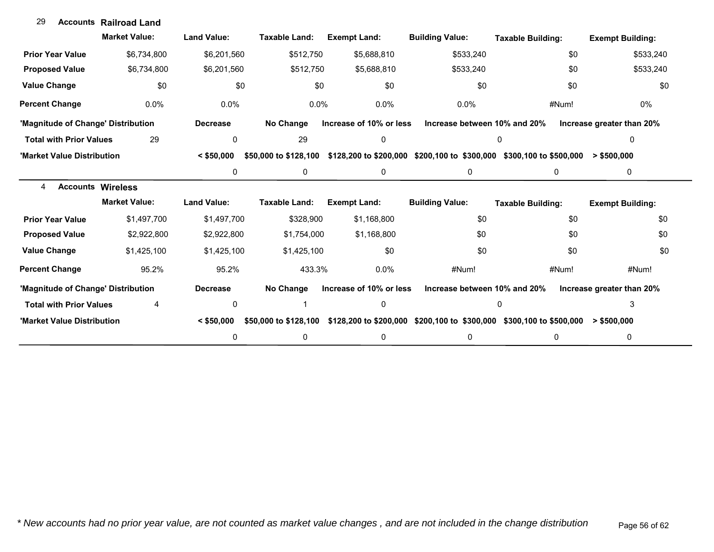| 29                                 | <b>Accounts Railroad Land</b> |                    |                       |                         |                                                                      |                          |                           |
|------------------------------------|-------------------------------|--------------------|-----------------------|-------------------------|----------------------------------------------------------------------|--------------------------|---------------------------|
|                                    | <b>Market Value:</b>          | <b>Land Value:</b> | <b>Taxable Land:</b>  | <b>Exempt Land:</b>     | <b>Building Value:</b>                                               | <b>Taxable Building:</b> | <b>Exempt Building:</b>   |
| <b>Prior Year Value</b>            | \$6,734,800                   | \$6,201,560        | \$512,750             | \$5,688,810             | \$533,240                                                            | \$0                      | \$533,240                 |
| <b>Proposed Value</b>              | \$6,734,800                   | \$6,201,560        | \$512,750             | \$5,688,810             | \$533,240                                                            | \$0                      | \$533,240                 |
| <b>Value Change</b>                | \$0                           | \$0                | \$0                   | \$0                     | \$0                                                                  | \$0                      | \$0                       |
| <b>Percent Change</b>              | 0.0%                          | 0.0%               | 0.0%                  | 0.0%                    | 0.0%                                                                 | #Num!                    | 0%                        |
| 'Magnitude of Change' Distribution |                               | <b>Decrease</b>    | No Change             | Increase of 10% or less | Increase between 10% and 20%                                         |                          | Increase greater than 20% |
| <b>Total with Prior Values</b>     | 29                            | 0                  | 29                    | 0                       | 0                                                                    |                          | 0                         |
| 'Market Value Distribution         |                               | $<$ \$50.000       | \$50,000 to \$128,100 |                         | \$128,200 to \$200,000 \$200,100 to \$300,000 \$300,100 to \$500,000 |                          | $>$ \$500,000             |
|                                    |                               | 0                  | $\mathbf{0}$          | 0                       | 0                                                                    | 0                        | 0                         |
| <b>Accounts Wireless</b><br>4      |                               |                    |                       |                         |                                                                      |                          |                           |
|                                    | <b>Market Value:</b>          | <b>Land Value:</b> | <b>Taxable Land:</b>  | <b>Exempt Land:</b>     | <b>Building Value:</b>                                               | <b>Taxable Building:</b> | <b>Exempt Building:</b>   |
| <b>Prior Year Value</b>            | \$1,497,700                   | \$1,497,700        | \$328,900             | \$1,168,800             | \$0                                                                  | \$0                      | \$0                       |
| <b>Proposed Value</b>              | \$2,922,800                   | \$2,922,800        | \$1,754,000           | \$1,168,800             | \$0                                                                  | \$0                      | \$0                       |
| <b>Value Change</b>                | \$1,425,100                   | \$1,425,100        | \$1,425,100           | \$0                     | \$0                                                                  | \$0                      | \$0                       |
| <b>Percent Change</b>              | 95.2%                         | 95.2%              | 433.3%                | 0.0%                    | #Num!                                                                | #Num!                    | #Num!                     |
| 'Magnitude of Change' Distribution |                               | <b>Decrease</b>    | No Change             | Increase of 10% or less | Increase between 10% and 20%                                         |                          | Increase greater than 20% |
| <b>Total with Prior Values</b>     | 4                             | 0                  |                       | 0                       | 0                                                                    |                          | 3                         |
| 'Market Value Distribution         |                               | $<$ \$50,000       | \$50,000 to \$128,100 |                         | \$128,200 to \$200,000 \$200,100 to \$300,000                        | \$300,100 to \$500,000   | $>$ \$500,000             |
|                                    |                               | 0                  | $\mathbf 0$           | 0                       | 0                                                                    | 0                        | 0                         |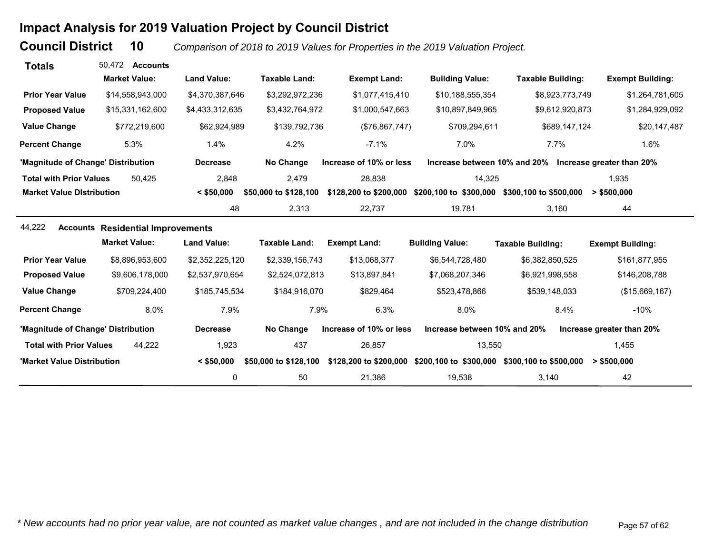# **Impact Analysis for 2019 Valuation Project by Council District**

**Council District**

 **10***Comparison of 2018 to 2019 Values for Properties in the 2019 Valuation Project.* 

| <b>Totals</b>                      | 50.472<br><b>Accounts</b>                |                    |                       |                         |                              |                                                        |                           |
|------------------------------------|------------------------------------------|--------------------|-----------------------|-------------------------|------------------------------|--------------------------------------------------------|---------------------------|
|                                    | <b>Market Value:</b>                     | <b>Land Value:</b> | <b>Taxable Land:</b>  | <b>Exempt Land:</b>     | <b>Building Value:</b>       | <b>Taxable Building:</b>                               | <b>Exempt Building:</b>   |
| <b>Prior Year Value</b>            | \$14,558,943,000                         | \$4,370,387,646    | \$3,292,972,236       | \$1,077,415,410         | \$10,188,555,354             | \$8,923,773,749                                        | \$1,264,781,605           |
| <b>Proposed Value</b>              | \$15,331,162,600                         | \$4,433,312,635    | \$3,432,764,972       | \$1,000,547,663         | \$10,897,849,965             | \$9,612,920,873                                        | \$1,284,929,092           |
| <b>Value Change</b>                | \$772,219,600                            | \$62,924,989       | \$139,792,736         | (\$76,867,747)          | \$709,294,611                | \$689,147,124                                          | \$20,147,487              |
| <b>Percent Change</b>              | 5.3%                                     | 1.4%               | 4.2%                  | $-7.1%$                 | 7.0%                         | 7.7%                                                   | 1.6%                      |
| 'Magnitude of Change' Distribution |                                          | <b>Decrease</b>    | No Change             | Increase of 10% or less |                              | Increase between 10% and 20% Increase greater than 20% |                           |
| <b>Total with Prior Values</b>     | 50.425                                   | 2,848              | 2,479                 | 28,838                  | 14,325                       |                                                        | 1,935                     |
| <b>Market Value Distribution</b>   |                                          | $<$ \$50,000       | \$50,000 to \$128,100 | \$128,200 to \$200,000  | \$200,100 to \$300,000       | \$300,100 to \$500,000                                 | > \$500,000               |
|                                    |                                          | 48                 | 2,313                 | 22,737                  | 19,781                       | 3,160                                                  | 44                        |
| 44,222                             | <b>Accounts Residential Improvements</b> |                    |                       |                         |                              |                                                        |                           |
|                                    | <b>Market Value:</b>                     | <b>Land Value:</b> | <b>Taxable Land:</b>  | <b>Exempt Land:</b>     | <b>Building Value:</b>       | <b>Taxable Building:</b>                               | <b>Exempt Building:</b>   |
| <b>Prior Year Value</b>            | \$8,896,953,600                          | \$2,352,225,120    | \$2,339,156,743       | \$13,068,377            | \$6,544,728,480              | \$6,382,850,525                                        | \$161,877,955             |
| <b>Proposed Value</b>              | \$9,606,178,000                          | \$2,537,970,654    | \$2,524,072,813       | \$13,897,841            | \$7,068,207,346              | \$6,921,998,558                                        | \$146,208,788             |
| <b>Value Change</b>                | \$709,224,400                            | \$185,745,534      | \$184,916,070         | \$829,464               | \$523,478,866                | \$539,148,033                                          | (\$15,669,167)            |
| <b>Percent Change</b>              | 8.0%                                     | 7.9%               | 7.9%                  | 6.3%                    | 8.0%                         | 8.4%                                                   | $-10%$                    |
| 'Magnitude of Change' Distribution |                                          | <b>Decrease</b>    | No Change             | Increase of 10% or less | Increase between 10% and 20% |                                                        | Increase greater than 20% |
| <b>Total with Prior Values</b>     | 44.222                                   | 1,923              | 437                   | 26,857                  | 13,550                       |                                                        | 1,455                     |
| 'Market Value Distribution         |                                          | $<$ \$50,000       | \$50,000 to \$128,100 | \$128,200 to \$200,000  | \$200,100 to \$300,000       | \$300,100 to \$500,000                                 | $>$ \$500,000             |
|                                    |                                          | 0                  | 50                    | 21,386                  | 19,538                       | 3,140                                                  | 42                        |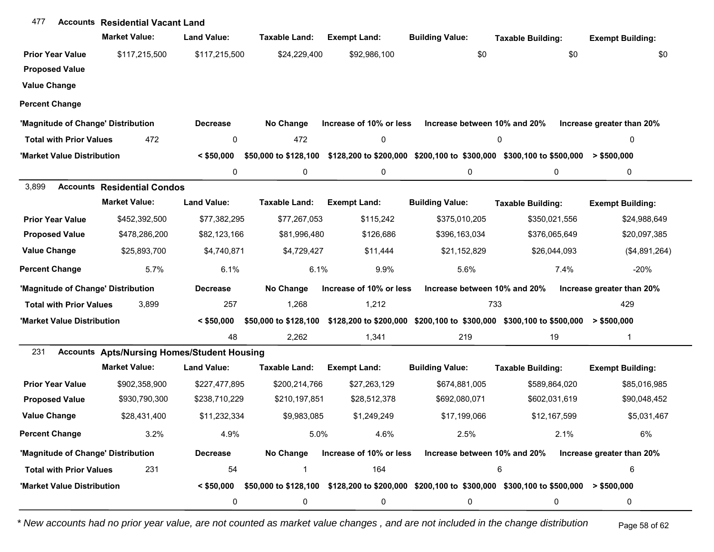| 477                                | <b>Accounts Residential Vacant Land</b>            |                    |                       |                         |                              |                                                                                                        |                           |
|------------------------------------|----------------------------------------------------|--------------------|-----------------------|-------------------------|------------------------------|--------------------------------------------------------------------------------------------------------|---------------------------|
|                                    | <b>Market Value:</b>                               | <b>Land Value:</b> | Taxable Land:         | <b>Exempt Land:</b>     | <b>Building Value:</b>       | <b>Taxable Building:</b>                                                                               | <b>Exempt Building:</b>   |
| <b>Prior Year Value</b>            | \$117,215,500                                      | \$117,215,500      | \$24,229,400          | \$92,986,100            | \$0                          | \$0                                                                                                    | \$0                       |
| <b>Proposed Value</b>              |                                                    |                    |                       |                         |                              |                                                                                                        |                           |
| <b>Value Change</b>                |                                                    |                    |                       |                         |                              |                                                                                                        |                           |
| <b>Percent Change</b>              |                                                    |                    |                       |                         |                              |                                                                                                        |                           |
| 'Magnitude of Change' Distribution |                                                    | <b>Decrease</b>    | No Change             | Increase of 10% or less | Increase between 10% and 20% |                                                                                                        | Increase greater than 20% |
| <b>Total with Prior Values</b>     | 472                                                | 0                  | 472                   | $\pmb{0}$               |                              | 0                                                                                                      | 0                         |
| 'Market Value Distribution         |                                                    | $<$ \$50,000       | \$50,000 to \$128,100 |                         |                              | \$128,200 to \$200,000 \$200,100 to \$300,000 \$300,100 to \$500,000                                   | $>$ \$500,000             |
|                                    |                                                    | 0                  | 0                     | 0                       | 0                            | 0                                                                                                      | 0                         |
| 3,899                              | <b>Accounts Residential Condos</b>                 |                    |                       |                         |                              |                                                                                                        |                           |
|                                    | <b>Market Value:</b>                               | <b>Land Value:</b> | Taxable Land:         | <b>Exempt Land:</b>     | <b>Building Value:</b>       | <b>Taxable Building:</b>                                                                               | <b>Exempt Building:</b>   |
| <b>Prior Year Value</b>            | \$452,392,500                                      | \$77,382,295       | \$77,267,053          | \$115,242               | \$375,010,205                | \$350,021,556                                                                                          | \$24,988,649              |
| <b>Proposed Value</b>              | \$478,286,200                                      | \$82,123,166       | \$81,996,480          | \$126,686               | \$396,163,034                | \$376,065,649                                                                                          | \$20,097,385              |
| <b>Value Change</b>                | \$25,893,700                                       | \$4,740,871        | \$4,729,427           | \$11,444                | \$21,152,829                 | \$26,044,093                                                                                           | (\$4,891,264)             |
| <b>Percent Change</b>              | 5.7%                                               | 6.1%               | 6.1%                  | 9.9%                    | 5.6%                         | 7.4%                                                                                                   | $-20%$                    |
| 'Magnitude of Change' Distribution |                                                    | <b>Decrease</b>    | No Change             | Increase of 10% or less | Increase between 10% and 20% |                                                                                                        | Increase greater than 20% |
| <b>Total with Prior Values</b>     | 3,899                                              | 257                | 1,268                 | 1,212                   | 733                          |                                                                                                        | 429                       |
| 'Market Value Distribution         |                                                    | $<$ \$50,000       | \$50,000 to \$128,100 |                         |                              | \$128,200 to \$200,000 \$200,100 to \$300,000 \$300,100 to \$500,000                                   | $>$ \$500,000             |
|                                    |                                                    | 48                 | 2,262                 | 1,341                   | 219                          | 19                                                                                                     | $\mathbf{1}$              |
| 231                                | <b>Accounts Apts/Nursing Homes/Student Housing</b> |                    |                       |                         |                              |                                                                                                        |                           |
|                                    | <b>Market Value:</b>                               | <b>Land Value:</b> | <b>Taxable Land:</b>  | <b>Exempt Land:</b>     | <b>Building Value:</b>       | <b>Taxable Building:</b>                                                                               | <b>Exempt Building:</b>   |
| <b>Prior Year Value</b>            | \$902,358,900                                      | \$227,477,895      | \$200,214,766         | \$27,263,129            | \$674,881,005                | \$589,864,020                                                                                          | \$85,016,985              |
| <b>Proposed Value</b>              | \$930,790,300                                      | \$238,710,229      | \$210,197,851         | \$28,512,378            | \$692,080,071                | \$602,031,619                                                                                          | \$90,048,452              |
| <b>Value Change</b>                | \$28,431,400                                       | \$11,232,334       | \$9,983,085           | \$1,249,249             | \$17,199,066                 | \$12,167,599                                                                                           | \$5,031,467               |
| <b>Percent Change</b>              | 3.2%                                               | 4.9%               | 5.0%                  | 4.6%                    | 2.5%                         | 2.1%                                                                                                   | 6%                        |
| 'Magnitude of Change' Distribution |                                                    | <b>Decrease</b>    | No Change             | Increase of 10% or less | Increase between 10% and 20% |                                                                                                        | Increase greater than 20% |
| <b>Total with Prior Values</b>     | 231                                                | 54                 | -1                    | 164                     |                              | 6                                                                                                      | 6                         |
| 'Market Value Distribution         |                                                    | $<$ \$50,000       |                       |                         |                              | \$50,000 to \$128,100 \$128,200 to \$200,000 \$200,100 to \$300,000 \$300,100 to \$500,000 > \$500,000 |                           |
|                                    |                                                    | 0                  | 0                     | 0                       | 0                            | 0                                                                                                      | 0                         |

*\* New accounts had no prior year value, are not counted as market value changes , and are not included in the change distribution* Page 58 of 62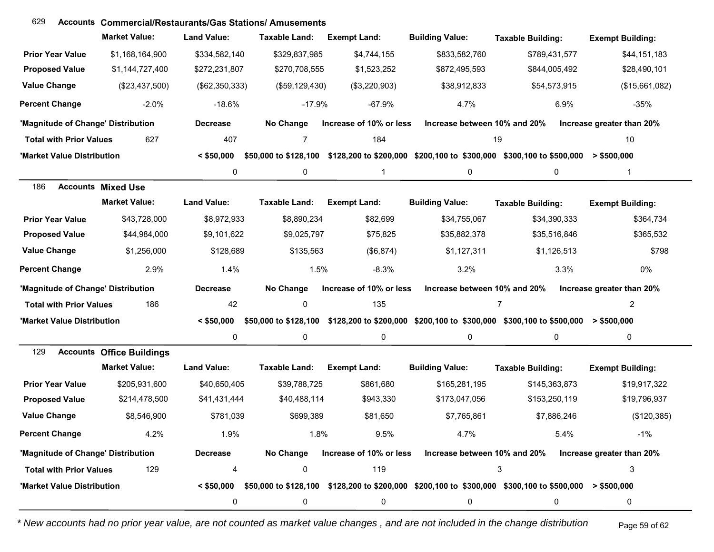| 629                                | <b>Accounts Commercial/Restaurants/Gas Stations/Amusements</b> |                    |                       |                         |                              |                                                                                                                           |                           |
|------------------------------------|----------------------------------------------------------------|--------------------|-----------------------|-------------------------|------------------------------|---------------------------------------------------------------------------------------------------------------------------|---------------------------|
|                                    | <b>Market Value:</b>                                           | <b>Land Value:</b> | <b>Taxable Land:</b>  | <b>Exempt Land:</b>     | <b>Building Value:</b>       | <b>Taxable Building:</b>                                                                                                  | <b>Exempt Building:</b>   |
| <b>Prior Year Value</b>            | \$1,168,164,900                                                | \$334,582,140      | \$329,837,985         | \$4,744,155             | \$833,582,760                | \$789,431,577                                                                                                             | \$44,151,183              |
| <b>Proposed Value</b>              | \$1,144,727,400                                                | \$272,231,807      | \$270,708,555         | \$1,523,252             | \$872,495,593                | \$844,005,492                                                                                                             | \$28,490,101              |
| <b>Value Change</b>                | (\$23,437,500)                                                 | (\$62,350,333)     | (\$59, 129, 430)      | (\$3,220,903)           | \$38,912,833                 | \$54,573,915                                                                                                              | (\$15,661,082)            |
| <b>Percent Change</b>              | $-2.0%$                                                        | $-18.6%$           | $-17.9%$              | $-67.9%$                | 4.7%                         | 6.9%                                                                                                                      | $-35%$                    |
| 'Magnitude of Change' Distribution |                                                                | <b>Decrease</b>    | No Change             | Increase of 10% or less | Increase between 10% and 20% |                                                                                                                           | Increase greater than 20% |
| <b>Total with Prior Values</b>     | 627                                                            | 407                | 7                     | 184                     |                              | 19                                                                                                                        | 10                        |
| 'Market Value Distribution         |                                                                | $<$ \$50,000       | \$50,000 to \$128,100 |                         |                              | \$128,200 to \$200,000 \$200,100 to \$300,000 \$300,100 to \$500,000                                                      | > \$500,000               |
|                                    |                                                                | 0                  | 0                     | 1                       | 0                            | 0                                                                                                                         | 1                         |
| 186                                | <b>Accounts Mixed Use</b>                                      |                    |                       |                         |                              |                                                                                                                           |                           |
|                                    | <b>Market Value:</b>                                           | <b>Land Value:</b> | <b>Taxable Land:</b>  | <b>Exempt Land:</b>     | <b>Building Value:</b>       | <b>Taxable Building:</b>                                                                                                  | <b>Exempt Building:</b>   |
| <b>Prior Year Value</b>            | \$43,728,000                                                   | \$8,972,933        | \$8,890,234           | \$82,699                | \$34,755,067                 | \$34,390,333                                                                                                              | \$364,734                 |
| <b>Proposed Value</b>              | \$44,984,000                                                   | \$9,101,622        | \$9,025,797           | \$75,825                | \$35,882,378                 | \$35,516,846                                                                                                              | \$365,532                 |
| <b>Value Change</b>                | \$1,256,000                                                    | \$128,689          | \$135,563             | (\$6,874)               | \$1,127,311                  | \$1,126,513                                                                                                               | \$798                     |
| <b>Percent Change</b>              | 2.9%                                                           | 1.4%               | 1.5%                  | $-8.3%$                 | 3.2%                         | 3.3%                                                                                                                      | 0%                        |
| 'Magnitude of Change' Distribution |                                                                | <b>Decrease</b>    | No Change             | Increase of 10% or less | Increase between 10% and 20% |                                                                                                                           | Increase greater than 20% |
| <b>Total with Prior Values</b>     | 186                                                            | 42                 | 0                     | 135                     |                              | $\overline{7}$                                                                                                            | $\overline{2}$            |
| 'Market Value Distribution         |                                                                | $<$ \$50,000       |                       |                         |                              | \$50,000 to \$128,100 \$128,200 to \$200,000 \$200,100 to \$300,000 \$300,100 to \$500,000 > \$500,000                    |                           |
|                                    |                                                                | 0                  | 0                     | 0                       | 0                            | $\mathbf 0$                                                                                                               | 0                         |
| 129                                | <b>Accounts Office Buildings</b>                               |                    |                       |                         |                              |                                                                                                                           |                           |
|                                    | <b>Market Value:</b>                                           | <b>Land Value:</b> | <b>Taxable Land:</b>  | <b>Exempt Land:</b>     | <b>Building Value:</b>       | <b>Taxable Building:</b>                                                                                                  | <b>Exempt Building:</b>   |
| <b>Prior Year Value</b>            | \$205,931,600                                                  | \$40,650,405       | \$39,788,725          | \$861,680               | \$165,281,195                | \$145,363,873                                                                                                             | \$19,917,322              |
| <b>Proposed Value</b>              | \$214,478,500                                                  | \$41,431,444       | \$40,488,114          | \$943,330               | \$173,047,056                | \$153,250,119                                                                                                             | \$19,796,937              |
| <b>Value Change</b>                | \$8,546,900                                                    | \$781,039          | \$699,389             | \$81,650                | \$7,765,861                  | \$7,886,246                                                                                                               | (\$120,385)               |
| <b>Percent Change</b>              | 4.2%                                                           | 1.9%               | 1.8%                  | 9.5%                    | 4.7%                         | 5.4%                                                                                                                      | $-1%$                     |
| 'Magnitude of Change' Distribution |                                                                | <b>Decrease</b>    | No Change             | Increase of 10% or less | Increase between 10% and 20% |                                                                                                                           | Increase greater than 20% |
| <b>Total with Prior Values</b>     | 129                                                            | 4                  | 0                     | 119                     |                              | 3                                                                                                                         | 3                         |
| 'Market Value Distribution         |                                                                |                    |                       |                         |                              | $\le$ \$50,000 \$50,000 to \$128,100 \$128,200 to \$200,000 \$200,100 to \$300,000 \$300,100 to \$500,000 $\ge$ \$500,000 |                           |
|                                    |                                                                | 0                  | 0                     | 0                       | 0                            | 0                                                                                                                         | 0                         |

*\* New accounts had no prior year value, are not counted as market value changes , and are not included in the change distribution* Page 59 of 62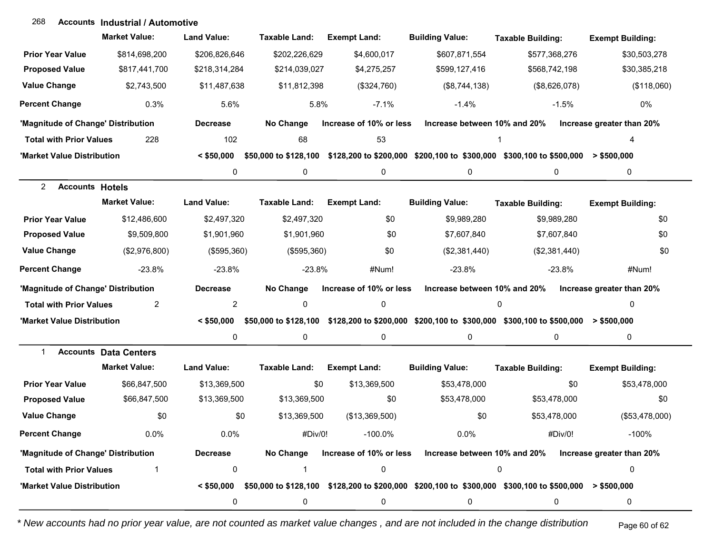| 268                                | <b>Accounts Industrial / Automotive</b> |                    |                       |                         |                              |                                                                                            |                           |
|------------------------------------|-----------------------------------------|--------------------|-----------------------|-------------------------|------------------------------|--------------------------------------------------------------------------------------------|---------------------------|
|                                    | <b>Market Value:</b>                    | <b>Land Value:</b> | Taxable Land:         | <b>Exempt Land:</b>     | <b>Building Value:</b>       | <b>Taxable Building:</b>                                                                   | <b>Exempt Building:</b>   |
| <b>Prior Year Value</b>            | \$814,698,200                           | \$206,826,646      | \$202,226,629         | \$4,600,017             | \$607,871,554                | \$577,368,276                                                                              | \$30,503,278              |
| <b>Proposed Value</b>              | \$817,441,700                           | \$218,314,284      | \$214,039,027         | \$4,275,257             | \$599,127,416                | \$568,742,198                                                                              | \$30,385,218              |
| <b>Value Change</b>                | \$2,743,500                             | \$11,487,638       | \$11,812,398          | (\$324,760)             | (\$8,744,138)                | (\$8,626,078)                                                                              | (\$118,060)               |
| <b>Percent Change</b>              | 0.3%                                    | 5.6%               | 5.8%                  | $-7.1%$                 | $-1.4%$                      | $-1.5%$                                                                                    | 0%                        |
| 'Magnitude of Change' Distribution |                                         | <b>Decrease</b>    | No Change             | Increase of 10% or less | Increase between 10% and 20% |                                                                                            | Increase greater than 20% |
| <b>Total with Prior Values</b>     | 228                                     | 102                | 68                    | 53                      |                              |                                                                                            | 4                         |
| 'Market Value Distribution         |                                         | $<$ \$50,000       | \$50,000 to \$128,100 |                         |                              | \$128,200 to \$200,000 \$200,100 to \$300,000 \$300,100 to \$500,000                       | $>$ \$500,000             |
|                                    |                                         | 0                  | 0                     | 0                       | 0                            | 0                                                                                          | 0                         |
| 2<br><b>Accounts Hotels</b>        |                                         |                    |                       |                         |                              |                                                                                            |                           |
|                                    | <b>Market Value:</b>                    | <b>Land Value:</b> | Taxable Land:         | <b>Exempt Land:</b>     | <b>Building Value:</b>       | <b>Taxable Building:</b>                                                                   | <b>Exempt Building:</b>   |
| <b>Prior Year Value</b>            | \$12,486,600                            | \$2,497,320        | \$2,497,320           | \$0                     | \$9,989,280                  | \$9,989,280                                                                                | \$0                       |
| <b>Proposed Value</b>              | \$9,509,800                             | \$1,901,960        | \$1,901,960           | \$0                     | \$7,607,840                  | \$7,607,840                                                                                | \$0                       |
| <b>Value Change</b>                | (\$2,976,800)                           | (\$595,360)        | (\$595,360)           | \$0                     | (\$2,381,440)                | (\$2,381,440)                                                                              | \$0                       |
| <b>Percent Change</b>              | $-23.8%$                                | $-23.8%$           | $-23.8%$              | #Num!                   | $-23.8%$                     | $-23.8%$                                                                                   | #Num!                     |
| 'Magnitude of Change' Distribution |                                         | <b>Decrease</b>    | No Change             | Increase of 10% or less | Increase between 10% and 20% |                                                                                            | Increase greater than 20% |
| <b>Total with Prior Values</b>     | $\overline{c}$                          | $\overline{2}$     | $\mathbf 0$           | 0                       |                              | 0                                                                                          | 0                         |
| 'Market Value Distribution         |                                         | $<$ \$50,000       |                       |                         |                              | \$50,000 to \$128,100 \$128,200 to \$200,000 \$200,100 to \$300,000 \$300,100 to \$500,000 | $>$ \$500,000             |
|                                    |                                         | 0                  | 0                     | 0                       | 0                            | 0                                                                                          | 0                         |
| -1                                 | <b>Accounts Data Centers</b>            |                    |                       |                         |                              |                                                                                            |                           |
|                                    | <b>Market Value:</b>                    | <b>Land Value:</b> | Taxable Land:         | <b>Exempt Land:</b>     | <b>Building Value:</b>       | <b>Taxable Building:</b>                                                                   | <b>Exempt Building:</b>   |
| <b>Prior Year Value</b>            | \$66,847,500                            | \$13,369,500       | \$0                   | \$13,369,500            | \$53,478,000                 | \$0                                                                                        | \$53,478,000              |
| <b>Proposed Value</b>              | \$66,847,500                            | \$13,369,500       | \$13,369,500          | \$0                     | \$53,478,000                 | \$53,478,000                                                                               | \$0                       |
| <b>Value Change</b>                | \$0                                     | \$0                | \$13,369,500          | (\$13,369,500)          | \$0                          | \$53,478,000                                                                               | (\$53,478,000)            |
| <b>Percent Change</b>              | 0.0%                                    | 0.0%               | #Div/0!               | $-100.0\%$              | 0.0%                         | #Div/0!                                                                                    | $-100%$                   |
| 'Magnitude of Change' Distribution |                                         | <b>Decrease</b>    | No Change             | Increase of 10% or less | Increase between 10% and 20% |                                                                                            | Increase greater than 20% |
| <b>Total with Prior Values</b>     |                                         | 0                  | -1                    | $\pmb{0}$               |                              | 0                                                                                          | 0                         |
| 'Market Value Distribution         |                                         |                    |                       |                         |                              |                                                                                            | $>$ \$500,000             |
|                                    |                                         | 0                  | 0                     | 0                       | 0                            | 0                                                                                          | 0                         |

*\* New accounts had no prior year value, are not counted as market value changes , and are not included in the change distribution* Page 60 of 62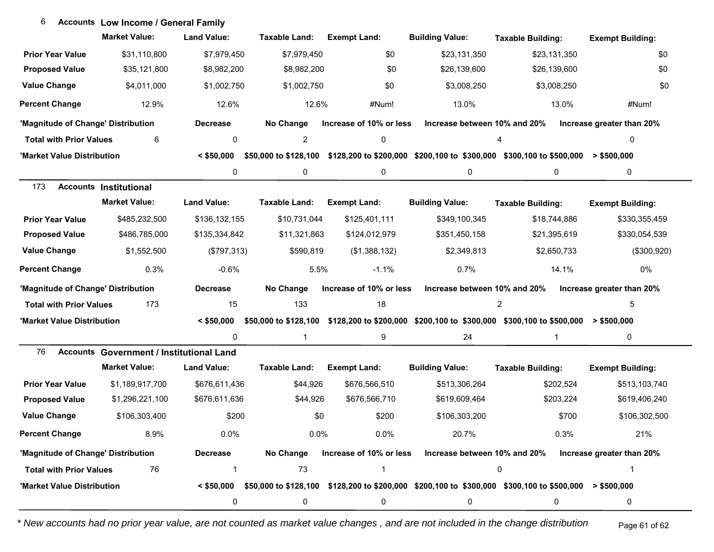| 6                                     | <b>Accounts Low Income / General Family</b>     |                    |                       |                         |                              |                                                                                                                             |                           |
|---------------------------------------|-------------------------------------------------|--------------------|-----------------------|-------------------------|------------------------------|-----------------------------------------------------------------------------------------------------------------------------|---------------------------|
|                                       | <b>Market Value:</b>                            | <b>Land Value:</b> | <b>Taxable Land:</b>  | <b>Exempt Land:</b>     | <b>Building Value:</b>       | <b>Taxable Building:</b>                                                                                                    | <b>Exempt Building:</b>   |
| <b>Prior Year Value</b>               | \$31,110,800                                    | \$7,979,450        | \$7,979,450           | \$0                     | \$23,131,350                 | \$23,131,350                                                                                                                | \$0                       |
| <b>Proposed Value</b>                 | \$35,121,800                                    | \$8,982,200        | \$8,982,200           | \$0                     | \$26,139,600                 | \$26,139,600                                                                                                                | \$0                       |
| <b>Value Change</b>                   | \$4,011,000                                     | \$1,002,750        | \$1,002,750           | \$0                     | \$3,008,250                  | \$3,008,250                                                                                                                 | \$0                       |
| <b>Percent Change</b>                 | 12.9%                                           | 12.6%              | 12.6%                 | #Num!                   | 13.0%                        | 13.0%                                                                                                                       | #Num!                     |
| 'Magnitude of Change' Distribution    |                                                 | <b>Decrease</b>    | No Change             | Increase of 10% or less | Increase between 10% and 20% |                                                                                                                             | Increase greater than 20% |
| <b>Total with Prior Values</b>        | 6                                               | 0                  | $\overline{c}$        | 0                       |                              | 4                                                                                                                           | 0                         |
| 'Market Value Distribution            |                                                 | $<$ \$50,000       | \$50,000 to \$128,100 |                         |                              | \$128,200 to \$200,000 \$200,100 to \$300,000 \$300,100 to \$500,000                                                        | $>$ \$500,000             |
|                                       |                                                 | 0                  | 0                     | 0                       | 0                            | 0                                                                                                                           | 0                         |
| 173                                   | <b>Accounts Institutional</b>                   |                    |                       |                         |                              |                                                                                                                             |                           |
|                                       | <b>Market Value:</b>                            | <b>Land Value:</b> | <b>Taxable Land:</b>  | <b>Exempt Land:</b>     | <b>Building Value:</b>       | <b>Taxable Building:</b>                                                                                                    | <b>Exempt Building:</b>   |
| <b>Prior Year Value</b>               | \$485,232,500                                   | \$136,132,155      | \$10,731,044          | \$125,401,111           | \$349,100,345                | \$18,744,886                                                                                                                | \$330,355,459             |
| <b>Proposed Value</b>                 | \$486,785,000                                   | \$135,334,842      | \$11,321,863          | \$124,012,979           | \$351,450,158                | \$21,395,619                                                                                                                | \$330,054,539             |
| <b>Value Change</b>                   | \$1,552,500                                     | (\$797,313)        | \$590,819             | (\$1,388,132)           | \$2,349,813                  | \$2,650,733                                                                                                                 | (\$300,920)               |
| <b>Percent Change</b>                 | 0.3%                                            | $-0.6%$            | 5.5%                  | $-1.1%$                 | 0.7%                         | 14.1%                                                                                                                       | 0%                        |
| 'Magnitude of Change' Distribution    |                                                 | <b>Decrease</b>    | No Change             | Increase of 10% or less | Increase between 10% and 20% |                                                                                                                             | Increase greater than 20% |
| 173<br><b>Total with Prior Values</b> |                                                 | 15                 | 133                   | 18                      |                              | $\overline{c}$                                                                                                              | 5                         |
| 'Market Value Distribution            |                                                 | $<$ \$50,000       |                       |                         |                              | \$50,000 to \$128,100 \$128,200 to \$200,000 \$200,100 to \$300,000 \$300,100 to \$500,000 > \$500,000                      |                           |
|                                       |                                                 | 0                  | 1                     | 9                       | 24                           | $\mathbf{1}$                                                                                                                | $\mathbf 0$               |
| 76                                    | <b>Accounts Government / Institutional Land</b> |                    |                       |                         |                              |                                                                                                                             |                           |
|                                       | <b>Market Value:</b>                            | <b>Land Value:</b> | <b>Taxable Land:</b>  | <b>Exempt Land:</b>     | <b>Building Value:</b>       | <b>Taxable Building:</b>                                                                                                    | <b>Exempt Building:</b>   |
| <b>Prior Year Value</b>               | \$1,189,917,700                                 | \$676,611,436      | \$44,926              | \$676,566,510           | \$513,306,264                | \$202,524                                                                                                                   | \$513,103,740             |
| <b>Proposed Value</b>                 | \$1,296,221,100                                 | \$676,611,636      | \$44,926              | \$676,566,710           | \$619,609,464                | \$203,224                                                                                                                   | \$619,406,240             |
| <b>Value Change</b>                   | \$106,303,400                                   | \$200              | \$0                   | \$200                   | \$106,303,200                | \$700                                                                                                                       | \$106,302,500             |
| <b>Percent Change</b>                 | 8.9%                                            | 0.0%               | 0.0%                  | 0.0%                    | 20.7%                        | 0.3%                                                                                                                        | 21%                       |
| 'Magnitude of Change' Distribution    |                                                 | <b>Decrease</b>    | No Change             | Increase of 10% or less | Increase between 10% and 20% |                                                                                                                             | Increase greater than 20% |
| 76<br><b>Total with Prior Values</b>  |                                                 | -1                 | 73                    | -1                      |                              | 0                                                                                                                           | 1                         |
| 'Market Value Distribution            |                                                 |                    |                       |                         |                              | $\leq$ \$50,000 \$50,000 to \$128,100 \$128,200 to \$200,000 \$200,100 to \$300,000 \$300,100 to \$500,000 $\geq$ \$500,000 |                           |
|                                       |                                                 | 0                  | 0                     | 0                       | 0                            | 0                                                                                                                           | 0                         |

6

*\* New accounts had no prior year value, are not counted as market value changes , and are not included in the change distribution* Page 61 of 62